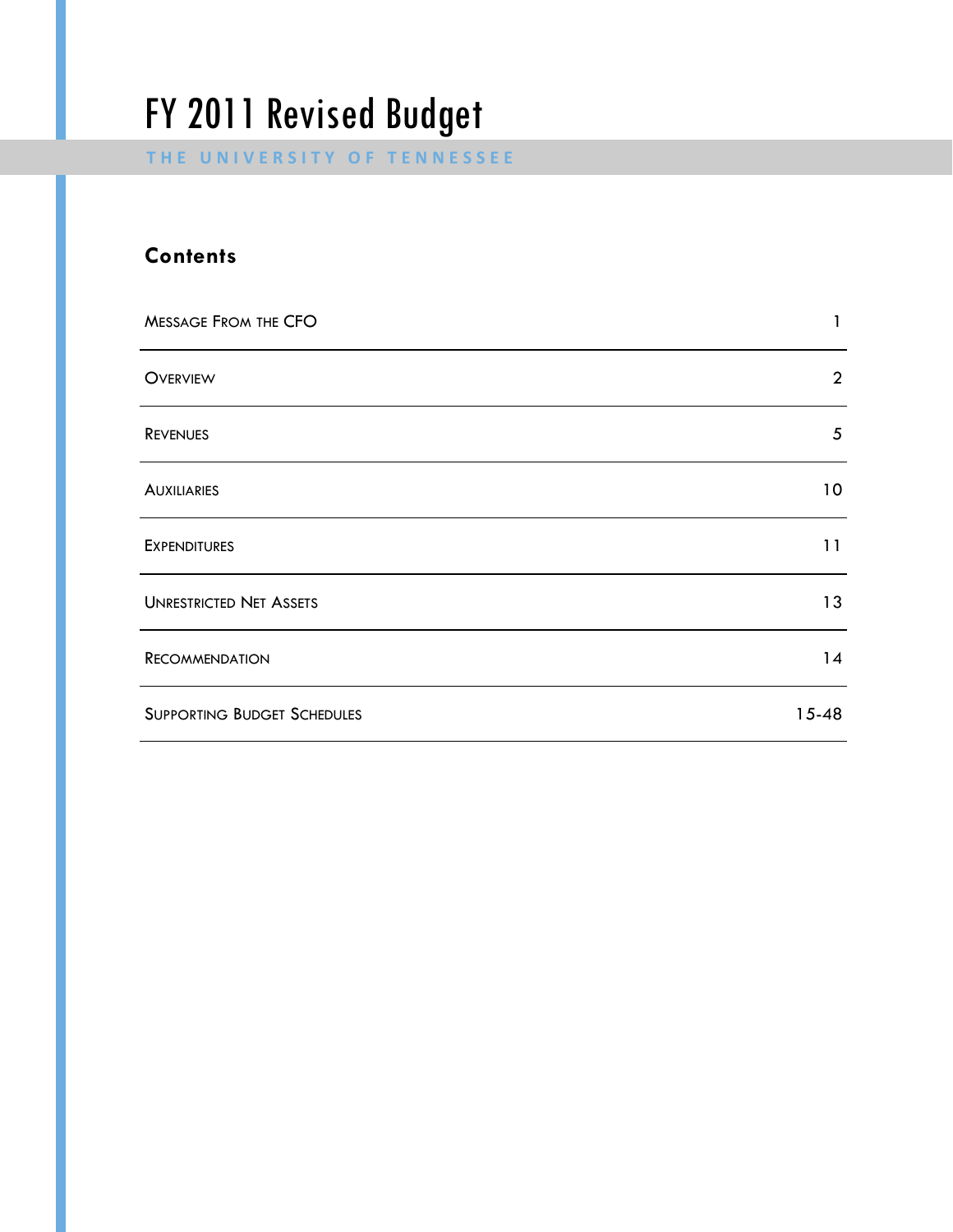**THE UNIVERSITY O F TENNESSEE**

### **Contents**

| <b>MESSAGE FROM THE CFO</b>        | 1               |
|------------------------------------|-----------------|
| <b>OVERVIEW</b>                    | $\overline{2}$  |
| <b>REVENUES</b>                    | $\sqrt{5}$      |
| <b>AUXILIARIES</b>                 | 10 <sup>°</sup> |
| <b>EXPENDITURES</b>                | 11              |
| <b>UNRESTRICTED NET ASSETS</b>     | 13              |
| RECOMMENDATION                     | 14              |
| <b>SUPPORTING BUDGET SCHEDULES</b> | $15 - 48$       |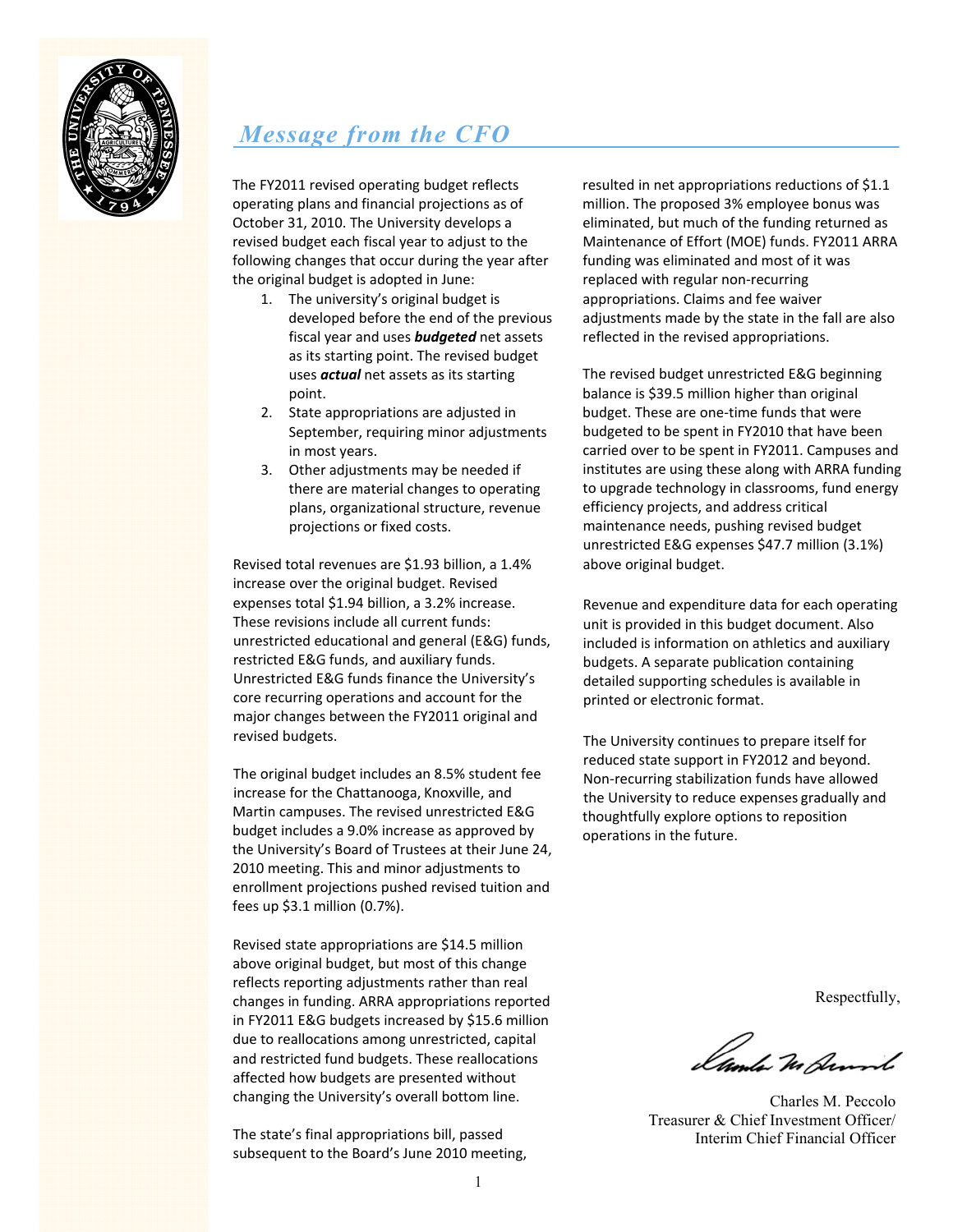

## *Message from the CFO*

The FY2011 revised operating budget reflects operating plans and financial projections as of October 31, 2010. The University develops a revised budget each fiscal year to adjust to the following changes that occur during the year after the original budget is adopted in June:

- 1. The university's original budget is developed before the end of the previous fiscal year and uses *budgeted* net assets as its starting point. The revised budget uses *actual* net assets as its starting point.
- 2. State appropriations are adjusted in September, requiring minor adjustments in most years.
- 3. Other adjustments may be needed if there are material changes to operating plans, organizational structure, revenue projections or fixed costs.

Revised total revenues are \$1.93 billion, a 1.4% increase over the original budget. Revised expenses total \$1.94 billion, a 3.2% increase. These revisions include all current funds: unrestricted educational and general (E&G) funds, restricted E&G funds, and auxiliary funds. Unrestricted E&G funds finance the University's core recurring operations and account for the major changes between the FY2011 original and revised budgets.

The original budget includes an 8.5% student fee increase for the Chattanooga, Knoxville, and Martin campuses. The revised unrestricted E&G budget includes a 9.0% increase as approved by the University's Board of Trustees at their June 24, 2010 meeting. This and minor adjustments to enrollment projections pushed revised tuition and fees up \$3.1 million (0.7%).

Revised state appropriations are \$14.5 million above original budget, but most of this change reflects reporting adjustments rather than real changes in funding. ARRA appropriations reported in FY2011 E&G budgets increased by \$15.6 million due to reallocations among unrestricted, capital and restricted fund budgets. These reallocations affected how budgets are presented without changing the University's overall bottom line.

The state's final appropriations bill, passed subsequent to the Board's June 2010 meeting,

resulted in net appropriations reductions of \$1.1 million. The proposed 3% employee bonus was eliminated, but much of the funding returned as Maintenance of Effort (MOE) funds. FY2011 ARRA funding was eliminated and most of it was replaced with regular non‐recurring appropriations. Claims and fee waiver adjustments made by the state in the fall are also reflected in the revised appropriations.

The revised budget unrestricted E&G beginning balance is \$39.5 million higher than original budget. These are one‐time funds that were budgeted to be spent in FY2010 that have been carried over to be spent in FY2011. Campuses and institutes are using these along with ARRA funding to upgrade technology in classrooms, fund energy efficiency projects, and address critical maintenance needs, pushing revised budget unrestricted E&G expenses \$47.7 million (3.1%) above original budget.

Revenue and expenditure data for each operating unit is provided in this budget document. Also included is information on athletics and auxiliary budgets. A separate publication containing detailed supporting schedules is available in printed or electronic format.

The University continues to prepare itself for reduced state support in FY2012 and beyond. Non‐recurring stabilization funds have allowed the University to reduce expenses gradually and thoughtfully explore options to reposition operations in the future.

Respectfully,

Lamber M Jammel

Charles M. Peccolo Treasurer & Chief Investment Officer/ Interim Chief Financial Officer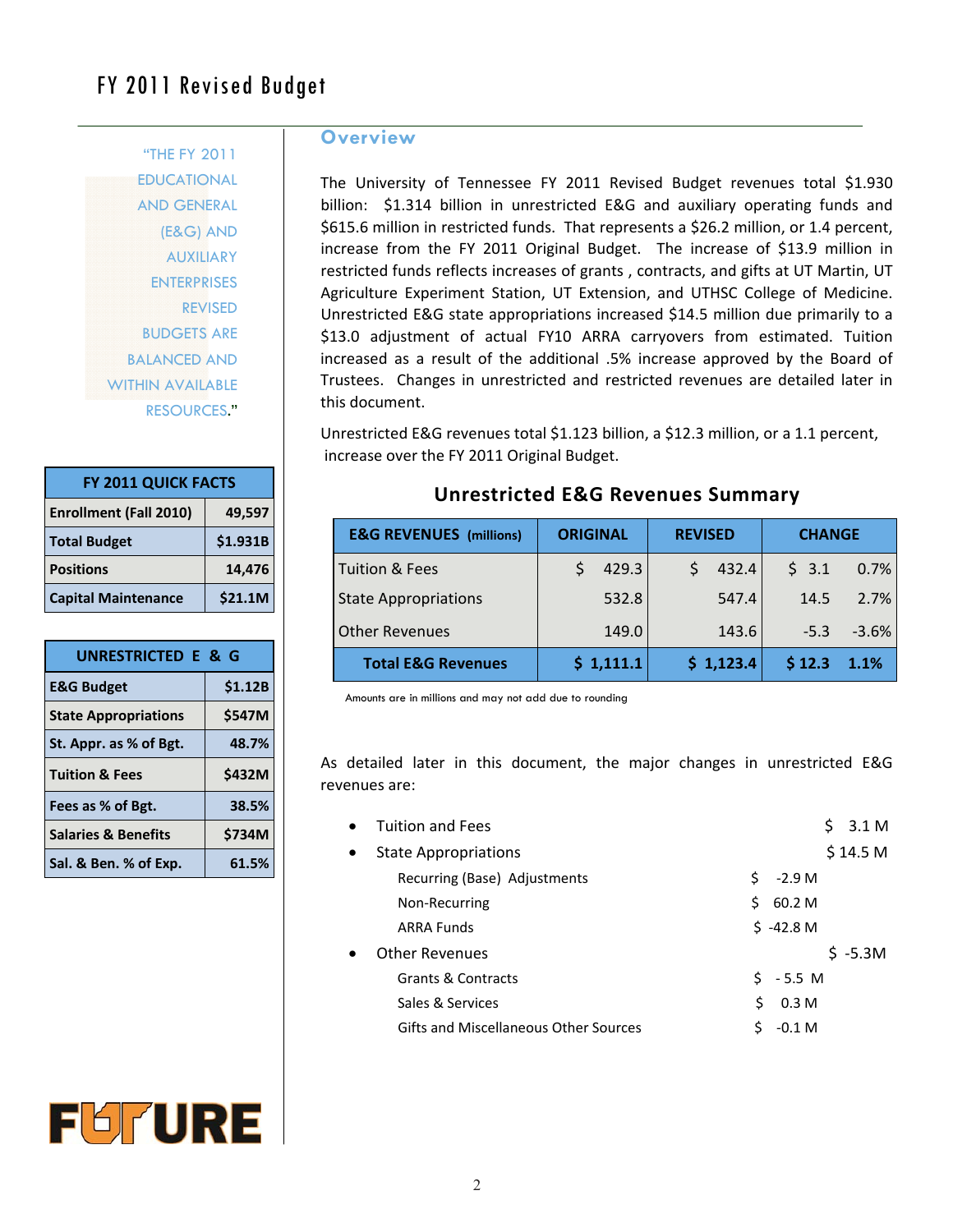"THE FY 2011 EDUCATIONAL AND GENERAL (E&G) AND AUXILIARY ENTERPRISES REVISED BUDGETS ARE BALANCED AND WITHIN AVAILABLE RESOURCES."

| <b>FY 2011 QUICK FACTS</b>    |          |  |
|-------------------------------|----------|--|
| <b>Enrollment (Fall 2010)</b> | 49,597   |  |
| <b>Total Budget</b>           | \$1.931B |  |
| <b>Positions</b>              | 14,476   |  |
| <b>Capital Maintenance</b>    | \$21.1M  |  |

| UNRESTRICTED E & G             |         |  |  |
|--------------------------------|---------|--|--|
| <b>E&amp;G Budget</b>          | \$1.12B |  |  |
| <b>State Appropriations</b>    | \$547M  |  |  |
| St. Appr. as % of Bgt.         | 48.7%   |  |  |
| <b>Tuition &amp; Fees</b>      | \$432M  |  |  |
| Fees as % of Bgt.              | 38.5%   |  |  |
| <b>Salaries &amp; Benefits</b> | \$734M  |  |  |
| Sal. & Ben. % of Exp.          | 61.5%   |  |  |

#### **Overview**

The University of Tennessee FY 2011 Revised Budget revenues total \$1.930 billion: \$1.314 billion in unrestricted E&G and auxiliary operating funds and \$615.6 million in restricted funds. That represents a \$26.2 million, or 1.4 percent, increase from the FY 2011 Original Budget. The increase of \$13.9 million in restricted funds reflects increases of grants , contracts, and gifts at UT Martin, UT Agriculture Experiment Station, UT Extension, and UTHSC College of Medicine. Unrestricted E&G state appropriations increased \$14.5 million due primarily to a \$13.0 adjustment of actual FY10 ARRA carryovers from estimated. Tuition increased as a result of the additional .5% increase approved by the Board of Trustees. Changes in unrestricted and restricted revenues are detailed later in this document.

Unrestricted E&G revenues total \$1.123 billion, a \$12.3 million, or a 1.1 percent, increase over the FY 2011 Original Budget.

| <b>E&amp;G REVENUES</b> (millions) | <b>ORIGINAL</b> |           | <b>REVISED</b> |           | <b>CHANGE</b> |         |
|------------------------------------|-----------------|-----------|----------------|-----------|---------------|---------|
| <b>Tuition &amp; Fees</b>          |                 | 429.3     |                | 432.4     | \$3.1         | 0.7%    |
| <b>State Appropriations</b>        |                 | 532.8     |                | 547.4     | 14.5          | 2.7%    |
| <b>Other Revenues</b>              |                 | 149.0     |                | 143.6     | $-5.3$        | $-3.6%$ |
| <b>Total E&amp;G Revenues</b>      |                 | \$1,111.1 |                | \$1,123.4 | \$12.3        | 1.1%    |

#### **Unrestricted E&G Revenues Summary**

Amounts are in millions and may not add due to rounding

As detailed later in this document, the major changes in unrestricted E&G revenues are:

| $\bullet$ | <b>Tuition and Fees</b>               | 3.1 M                 |
|-----------|---------------------------------------|-----------------------|
| $\bullet$ | <b>State Appropriations</b>           | \$14.5 <sub>M</sub>   |
|           | Recurring (Base) Adjustments          | $-2.9M$<br>Ś.         |
|           | Non-Recurring                         | 60.2 M<br>S.          |
|           | <b>ARRA Funds</b>                     | $$-42.8$ M            |
| $\bullet$ | <b>Other Revenues</b>                 | $$ -5.3M$             |
|           | Grants & Contracts                    | Ś.<br>- 5.5 M         |
|           | Sales & Services                      | Ś<br>0.3 <sub>M</sub> |
|           | Gifts and Miscellaneous Other Sources | $-0.1$ M              |

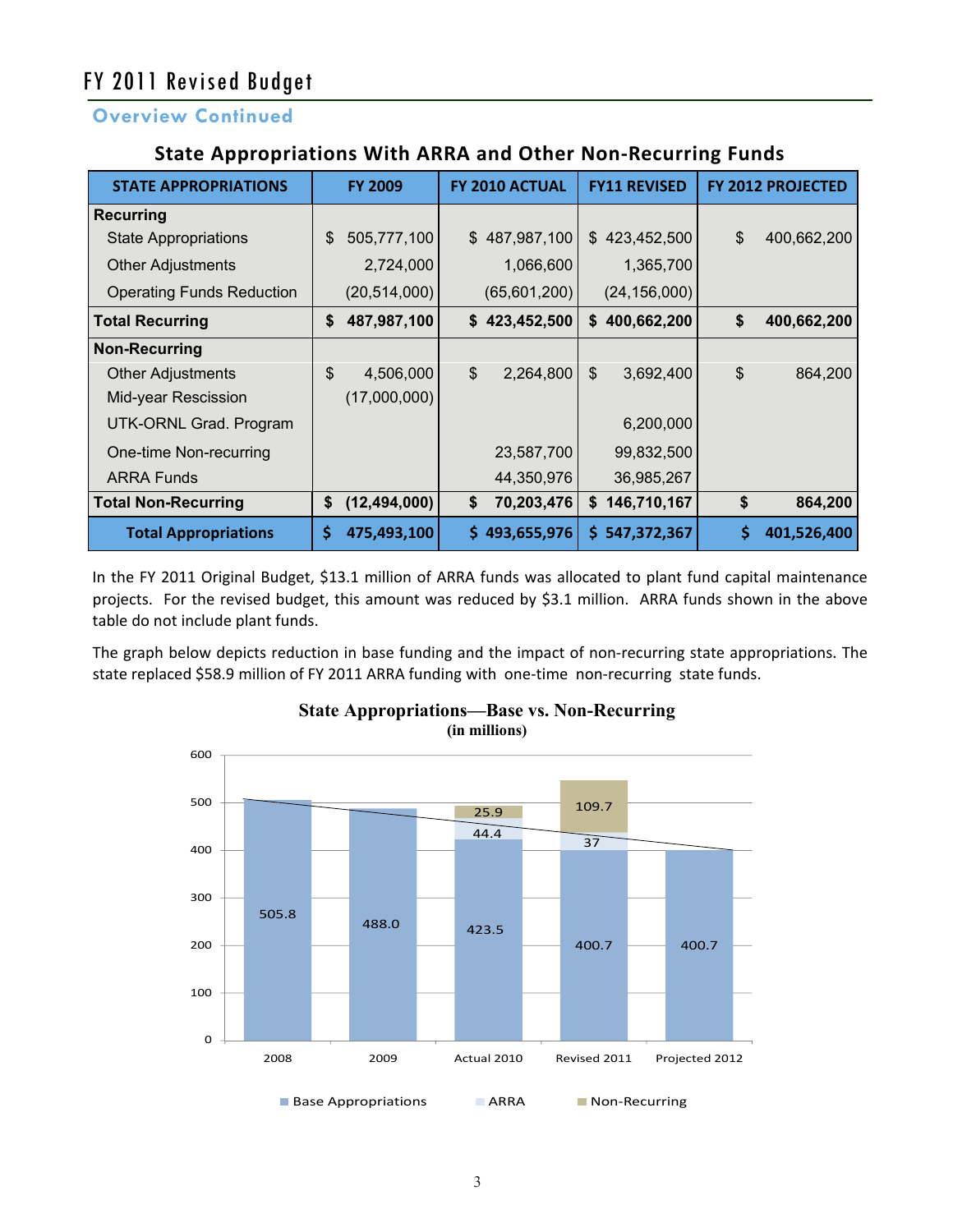### **Overview Continued**

#### **State Appropriations With ARRA and Other Non‐Recurring Funds**

| <b>STATE APPROPRIATIONS</b>      | <b>FY 2009</b>       |               | FY 2010 ACTUAL |    | <b>FY11 REVISED</b> | <b>FY 2012 PROJECTED</b> |
|----------------------------------|----------------------|---------------|----------------|----|---------------------|--------------------------|
| <b>Recurring</b>                 |                      |               |                |    |                     |                          |
| <b>State Appropriations</b>      | \$<br>505,777,100    |               | \$487,987,100  | \$ | 423,452,500         | \$<br>400,662,200        |
| <b>Other Adjustments</b>         | 2,724,000            |               | 1,066,600      |    | 1,365,700           |                          |
| <b>Operating Funds Reduction</b> | (20, 514, 000)       |               | (65,601,200)   |    | (24, 156, 000)      |                          |
| <b>Total Recurring</b>           | \$<br>487,987,100    |               | \$423,452,500  | \$ | 400,662,200         | \$<br>400,662,200        |
| <b>Non-Recurring</b>             |                      |               |                |    |                     |                          |
| <b>Other Adjustments</b>         | \$<br>4,506,000      | $\frac{1}{2}$ | 2,264,800      | \$ | 3,692,400           | \$<br>864,200            |
| Mid-year Rescission              | (17,000,000)         |               |                |    |                     |                          |
| UTK-ORNL Grad. Program           |                      |               |                |    | 6,200,000           |                          |
| One-time Non-recurring           |                      |               | 23,587,700     |    | 99,832,500          |                          |
| <b>ARRA Funds</b>                |                      |               | 44,350,976     |    | 36,985,267          |                          |
| <b>Total Non-Recurring</b>       | \$<br>(12, 494, 000) | \$            | 70,203,476     | \$ | 146,710,167         | \$<br>864,200            |
| <b>Total Appropriations</b>      | \$<br>475,493,100    | \$.           | 493,655,976    | S. | 547,372,367         | 401,526,400              |

In the FY 2011 Original Budget, \$13.1 million of ARRA funds was allocated to plant fund capital maintenance projects. For the revised budget, this amount was reduced by \$3.1 million. ARRA funds shown in the above table do not include plant funds.

The graph below depicts reduction in base funding and the impact of non-recurring state appropriations. The state replaced \$58.9 million of FY 2011 ARRA funding with one‐time non‐recurring state funds.



#### **State Appropriations—Base vs. Non-Recurring (in millions)**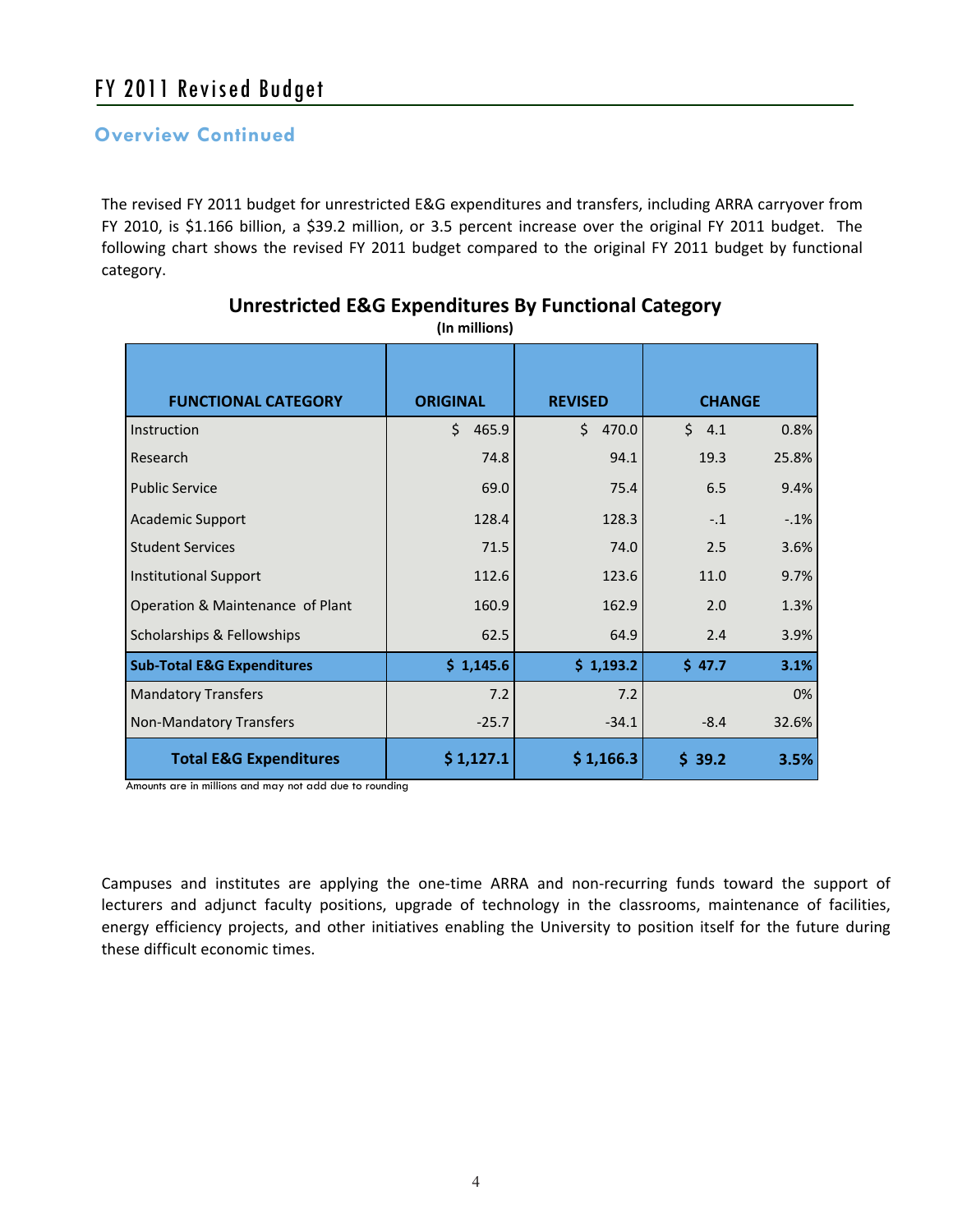#### **Overview Continued**

The revised FY 2011 budget for unrestricted E&G expenditures and transfers, including ARRA carryover from FY 2010, is \$1.166 billion, a \$39.2 million, or 3.5 percent increase over the original FY 2011 budget. The following chart shows the revised FY 2011 budget compared to the original FY 2011 budget by functional category.

| <b>FUNCTIONAL CATEGORY</b>            | <b>ORIGINAL</b> | <b>REVISED</b> | <b>CHANGE</b> |       |
|---------------------------------------|-----------------|----------------|---------------|-------|
| Instruction                           | \$<br>465.9     | \$<br>470.0    | \$<br>4.1     | 0.8%  |
| Research                              | 74.8            | 94.1           | 19.3          | 25.8% |
| <b>Public Service</b>                 | 69.0            | 75.4           | 6.5           | 9.4%  |
| <b>Academic Support</b>               | 128.4           | 128.3          | $-.1$         | $-1%$ |
| <b>Student Services</b>               | 71.5            | 74.0           | 2.5           | 3.6%  |
| <b>Institutional Support</b>          | 112.6           | 123.6          | 11.0          | 9.7%  |
| Operation & Maintenance of Plant      | 160.9           | 162.9          | 2.0           | 1.3%  |
| <b>Scholarships &amp; Fellowships</b> | 62.5            | 64.9           | 2.4           | 3.9%  |
| <b>Sub-Total E&amp;G Expenditures</b> | \$1,145.6       | \$1,193.2      | \$47.7        | 3.1%  |
| <b>Mandatory Transfers</b>            | 7.2             | 7.2            |               | 0%    |
| Non-Mandatory Transfers               | $-25.7$         | $-34.1$        | $-8.4$        | 32.6% |
| <b>Total E&amp;G Expenditures</b>     | \$1,127.1       | \$1,166.3      | \$39.2        | 3.5%  |

#### **Unrestricted E&G Expenditures By Functional Category**

**(In millions)**

Amounts are in millions and may not add due to rounding

Campuses and institutes are applying the one‐time ARRA and non‐recurring funds toward the support of lecturers and adjunct faculty positions, upgrade of technology in the classrooms, maintenance of facilities, energy efficiency projects, and other initiatives enabling the University to position itself for the future during these difficult economic times.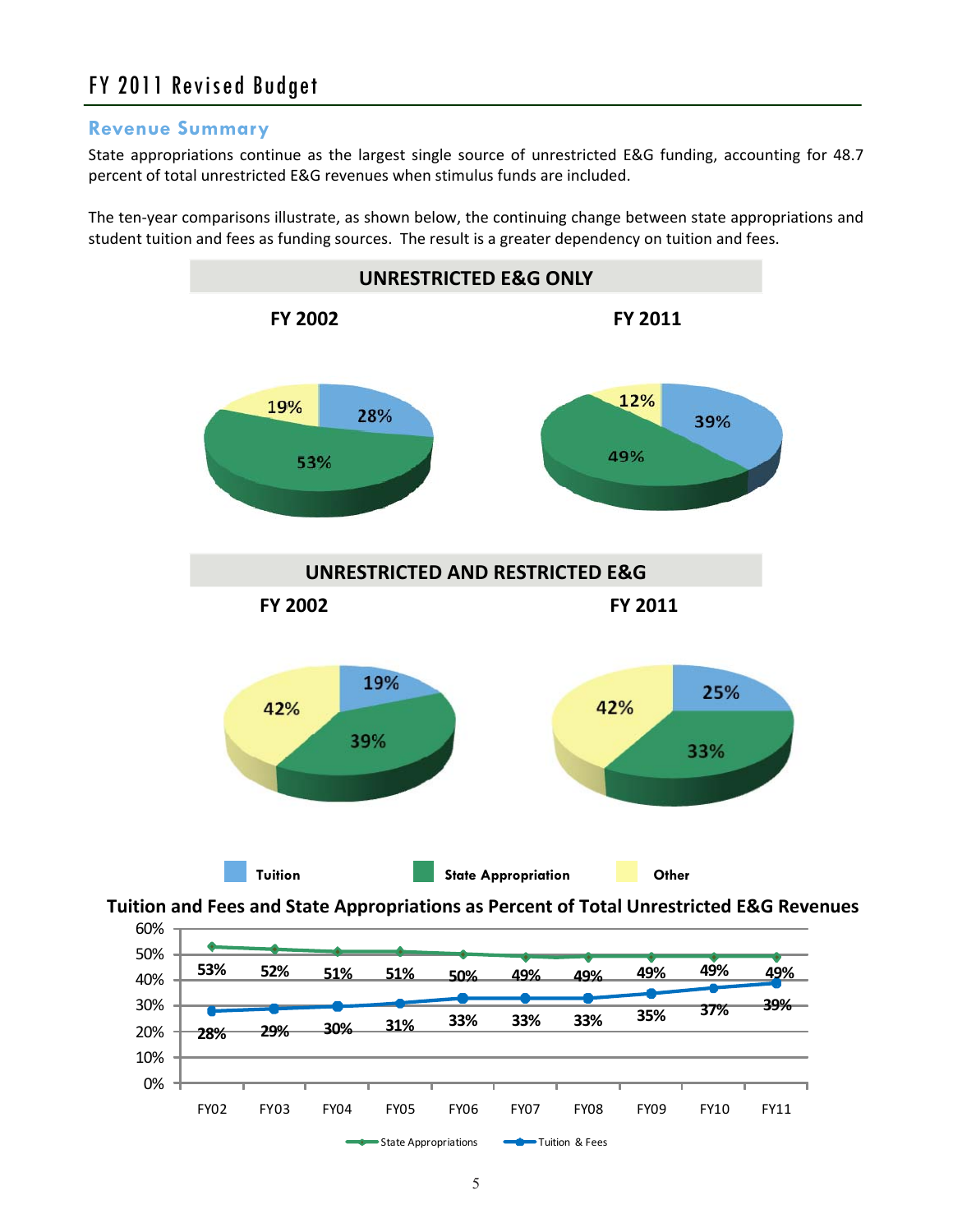#### **Revenue Summary**

State appropriations continue as the largest single source of unrestricted E&G funding, accounting for 48.7 percent of total unrestricted E&G revenues when stimulus funds are included.

The ten-year comparisons illustrate, as shown below, the continuing change between state appropriations and student tuition and fees as funding sources. The result is a greater dependency on tuition and fees.





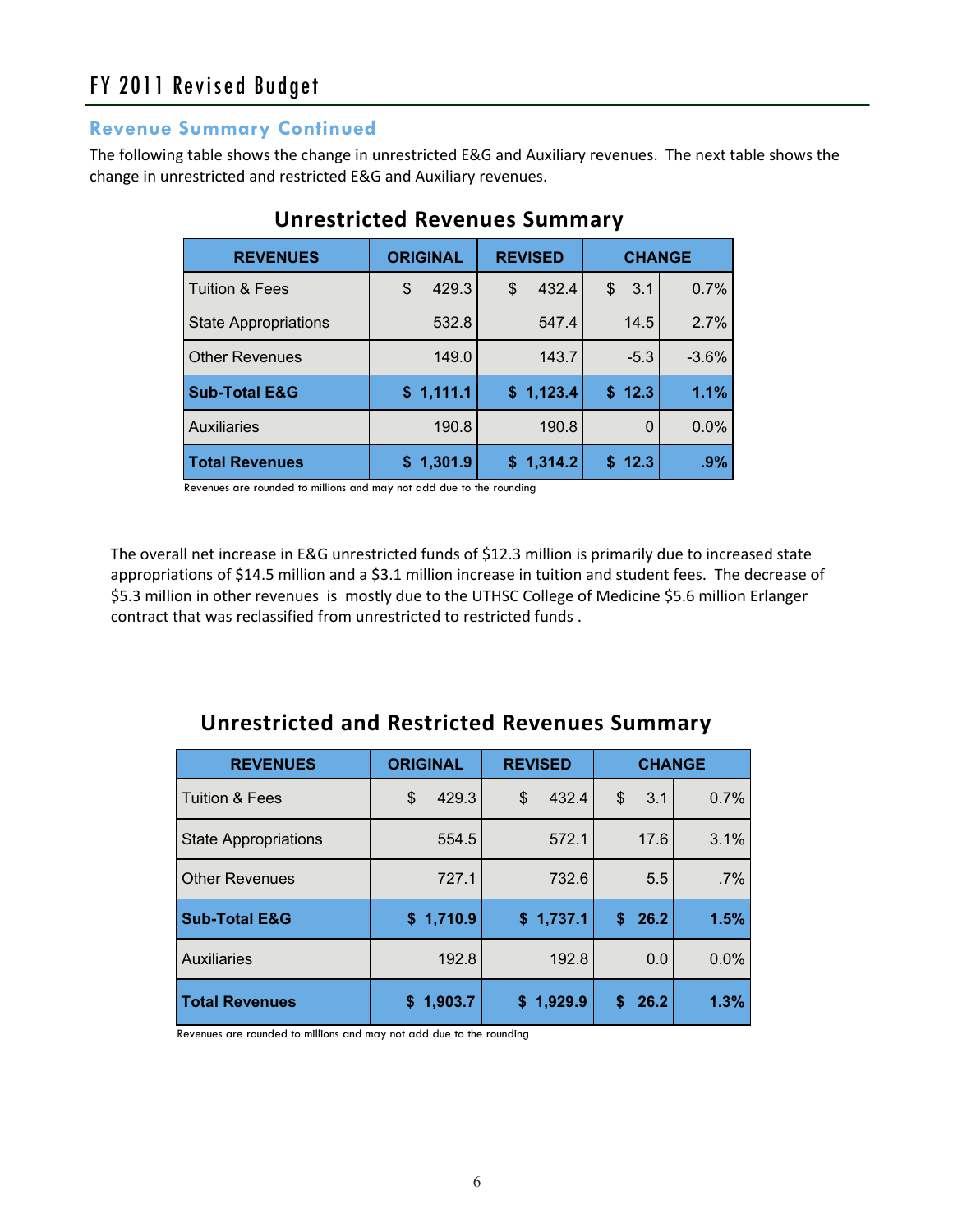#### **Revenue Summary Continued**

The following table shows the change in unrestricted E&G and Auxiliary revenues. The next table shows the change in unrestricted and restricted E&G and Auxiliary revenues.

| <b>REVENUES</b>             | <b>ORIGINAL</b> | <b>REVISED</b> | <b>CHANGE</b>     |
|-----------------------------|-----------------|----------------|-------------------|
| <b>Tuition &amp; Fees</b>   | 429.3<br>\$     | \$<br>432.4    | 0.7%<br>3.1<br>\$ |
| <b>State Appropriations</b> | 532.8           | 547.4          | 2.7%<br>14.5      |
| <b>Other Revenues</b>       | 149.0           | 143.7          | $-3.6%$<br>$-5.3$ |
| <b>Sub-Total E&amp;G</b>    | \$1,111.1       | \$1,123.4      | 1.1%<br>\$12.3    |
| <b>Auxiliaries</b>          | 190.8           | 190.8          | 0.0%<br>$\Omega$  |
| <b>Total Revenues</b>       | 1,301.9         | \$1,314.2      | .9%<br>12.3       |

### **Unrestricted Revenues Summary**

Revenues are rounded to millions and may not add due to the rounding

The overall net increase in E&G unrestricted funds of \$12.3 million is primarily due to increased state appropriations of \$14.5 million and a \$3.1 million increase in tuition and student fees. The decrease of \$5.3 million in other revenues is mostly due to the UTHSC College of Medicine \$5.6 million Erlanger contract that was reclassified from unrestricted to restricted funds .

| <b>REVENUES</b>             | <b>ORIGINAL</b> | <b>REVISED</b> | <b>CHANGE</b> |        |
|-----------------------------|-----------------|----------------|---------------|--------|
| <b>Tuition &amp; Fees</b>   | 429.3<br>\$     | 432.4<br>\$    | \$<br>3.1     | 0.7%   |
| <b>State Appropriations</b> | 554.5           | 572.1          | 17.6          | 3.1%   |
| <b>Other Revenues</b>       | 727.1           | 732.6          | 5.5           | $.7\%$ |
| <b>Sub-Total E&amp;G</b>    | \$1,710.9       | \$1,737.1      | 26.2<br>\$    | 1.5%   |
| <b>Auxiliaries</b>          | 192.8           | 192.8          | 0.0           | 0.0%   |
| <b>Total Revenues</b>       | 1,903.7<br>\$   | \$1,929.9      | 26.2<br>S     | 1.3%   |

### **Unrestricted and Restricted Revenues Summary**

Revenues are rounded to millions and may not add due to the rounding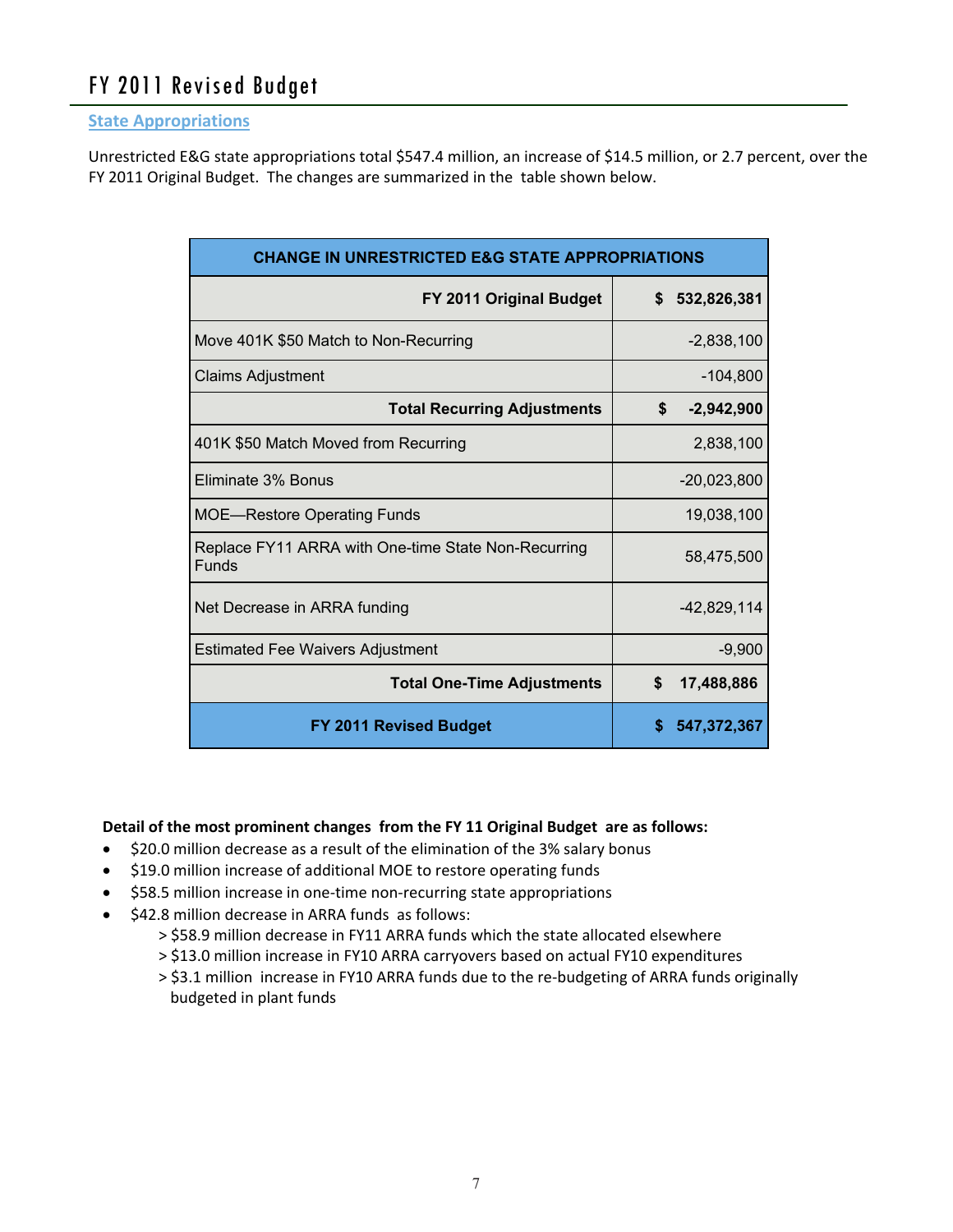#### **State Appropriations**

Unrestricted E&G state appropriations total \$547.4 million, an increase of \$14.5 million, or 2.7 percent, over the FY 2011 Original Budget. The changes are summarized in the table shown below.

| <b>CHANGE IN UNRESTRICTED E&amp;G STATE APPROPRIATIONS</b>   |                    |
|--------------------------------------------------------------|--------------------|
| FY 2011 Original Budget                                      | \$<br>532,826,381  |
| Move 401K \$50 Match to Non-Recurring                        | $-2,838,100$       |
| <b>Claims Adjustment</b>                                     | $-104,800$         |
| <b>Total Recurring Adjustments</b>                           | \$<br>$-2,942,900$ |
| 401K \$50 Match Moved from Recurring                         | 2,838,100          |
| Eliminate 3% Bonus                                           | $-20,023,800$      |
| <b>MOE-Restore Operating Funds</b>                           | 19,038,100         |
| Replace FY11 ARRA with One-time State Non-Recurring<br>Funds | 58,475,500         |
| Net Decrease in ARRA funding                                 | $-42,829,114$      |
| <b>Estimated Fee Waivers Adjustment</b>                      | $-9,900$           |
| <b>Total One-Time Adjustments</b>                            | \$<br>17,488,886   |
| FY 2011 Revised Budget                                       | 547,372,367        |

#### **Detail of the most prominent changes from the FY 11 Original Budget are as follows:**

- $\bullet$  \$20.0 million decrease as a result of the elimination of the 3% salary bonus
- $\bullet$  \$19.0 million increase of additional MOE to restore operating funds
- \$58.5 million increase in one-time non-recurring state appropriations
- $\bullet$  \$42.8 million decrease in ARRA funds as follows:
	- > \$58.9 million decrease in FY11 ARRA funds which the state allocated elsewhere
	- > \$13.0 million increase in FY10 ARRA carryovers based on actual FY10 expenditures
	- > \$3.1 million increase in FY10 ARRA funds due to the re‐budgeting of ARRA funds originally budgeted in plant funds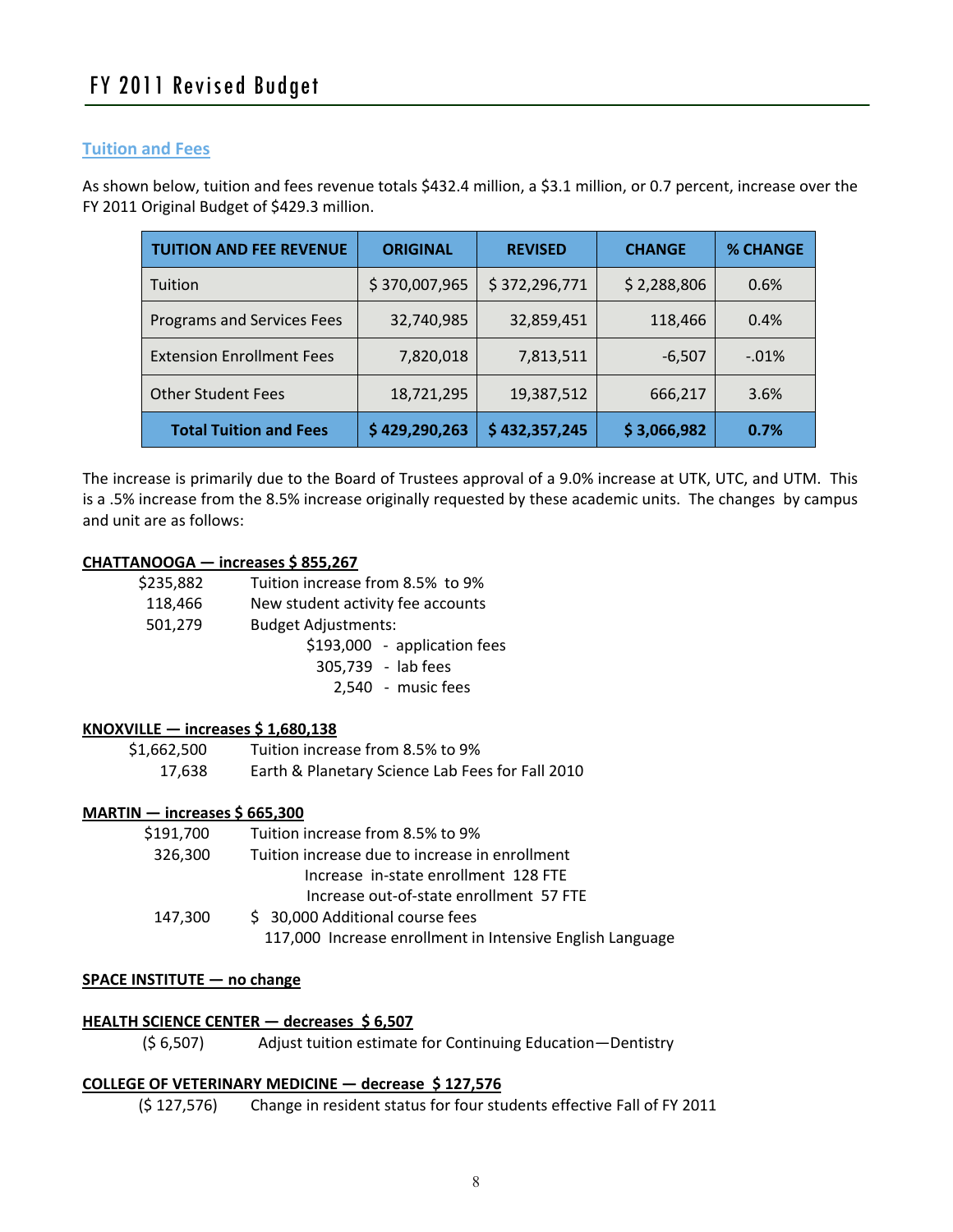#### **Tuition and Fees**

As shown below, tuition and fees revenue totals \$432.4 million, a \$3.1 million, or 0.7 percent, increase over the FY 2011 Original Budget of \$429.3 million.

| <b>TUITION AND FEE REVENUE</b>   | <b>ORIGINAL</b> | <b>REVISED</b> | <b>CHANGE</b> | <b>% CHANGE</b> |
|----------------------------------|-----------------|----------------|---------------|-----------------|
| Tuition                          | \$370,007,965   | \$372,296,771  | \$2,288,806   | 0.6%            |
| Programs and Services Fees       | 32,740,985      | 32,859,451     | 118,466       | 0.4%            |
| <b>Extension Enrollment Fees</b> | 7,820,018       | 7,813,511      | $-6,507$      | $-.01%$         |
| <b>Other Student Fees</b>        | 18,721,295      | 19,387,512     | 666,217       | 3.6%            |
| <b>Total Tuition and Fees</b>    | \$429,290,263   | \$432,357,245  | \$3,066,982   | 0.7%            |

The increase is primarily due to the Board of Trustees approval of a 9.0% increase at UTK, UTC, and UTM. This is a .5% increase from the 8.5% increase originally requested by these academic units. The changes by campus and unit are as follows:

#### **CHATTANOOGA — increases \$ 855,267**

| \$235,882 | Tuition increase from 8.5% to 9%  |  |  |
|-----------|-----------------------------------|--|--|
| 118,466   | New student activity fee accounts |  |  |
| 501,279   | <b>Budget Adjustments:</b>        |  |  |
|           | \$193,000 - application fees      |  |  |
|           | 305,739 - lab fees                |  |  |
|           | 2,540 - music fees                |  |  |

#### **KNOXVILLE — increases \$ 1,680,138**

| \$1,662,500 | Tuition increase from 8.5% to 9%                 |
|-------------|--------------------------------------------------|
| 17,638      | Earth & Planetary Science Lab Fees for Fall 2010 |

#### **MARTIN — increases \$ 665,300**

| \$191,700 | Tuition increase from 8.5% to 9%                          |
|-----------|-----------------------------------------------------------|
| 326,300   | Tuition increase due to increase in enrollment            |
|           | Increase in-state enrollment 128 FTE                      |
|           | Increase out-of-state enrollment 57 FTE                   |
| 147,300   | \$ 30,000 Additional course fees                          |
|           | 117,000 Increase enrollment in Intensive English Language |
|           |                                                           |

#### **SPACE INSTITUTE — no change**

#### **HEALTH SCIENCE CENTER — decreases \$ 6,507**

(\$ 6,507) Adjust tuition estimate for Continuing Education—Dentistry

#### **COLLEGE OF VETERINARY MEDICINE — decrease \$ 127,576**

(\$ 127,576) Change in resident status for four students effective Fall of FY 2011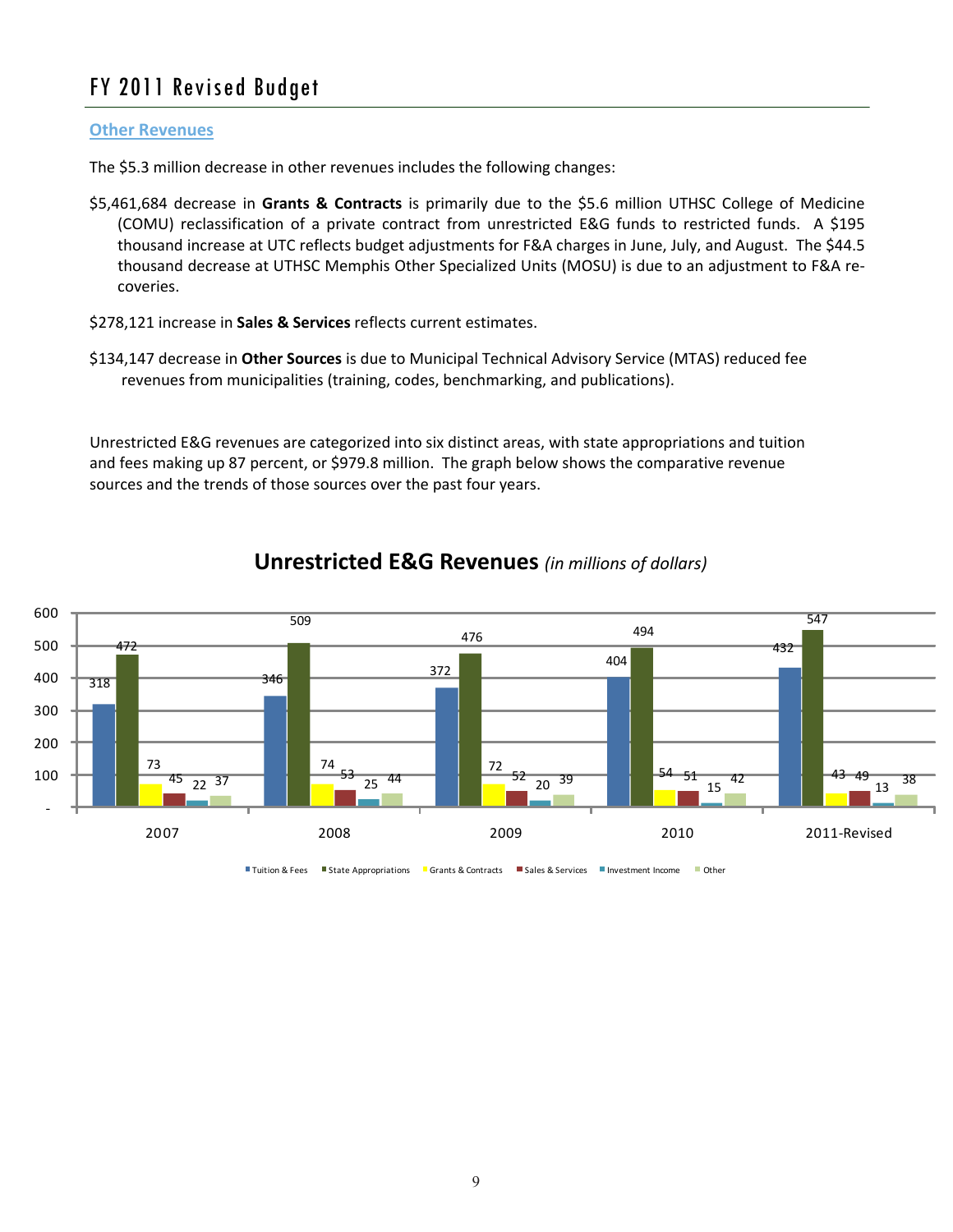#### **Other Revenues**

The \$5.3 million decrease in other revenues includes the following changes:

- \$5,461,684 decrease in **Grants & Contracts** is primarily due to the \$5.6 million UTHSC College of Medicine (COMU) reclassification of a private contract from unrestricted E&G funds to restricted funds. A \$195 thousand increase at UTC reflects budget adjustments for F&A charges in June, July, and August. The \$44.5 thousand decrease at UTHSC Memphis Other Specialized Units (MOSU) is due to an adjustment to F&A re‐ coveries.
- \$278,121 increase in **Sales & Services** reflects current estimates.
- \$134,147 decrease in **Other Sources** is due to Municipal Technical Advisory Service (MTAS) reduced fee revenues from municipalities (training, codes, benchmarking, and publications).

Unrestricted E&G revenues are categorized into six distinct areas, with state appropriations and tuition and fees making up 87 percent, or \$979.8 million. The graph below shows the comparative revenue sources and the trends of those sources over the past four years.



#### **Unrestricted E&G Revenues** *(in millions of dollars)*

■ Tuition & Fees ■ State Appropriations ■ Grants & Contracts ■ Sales & Services ■ Investment Income ■ Other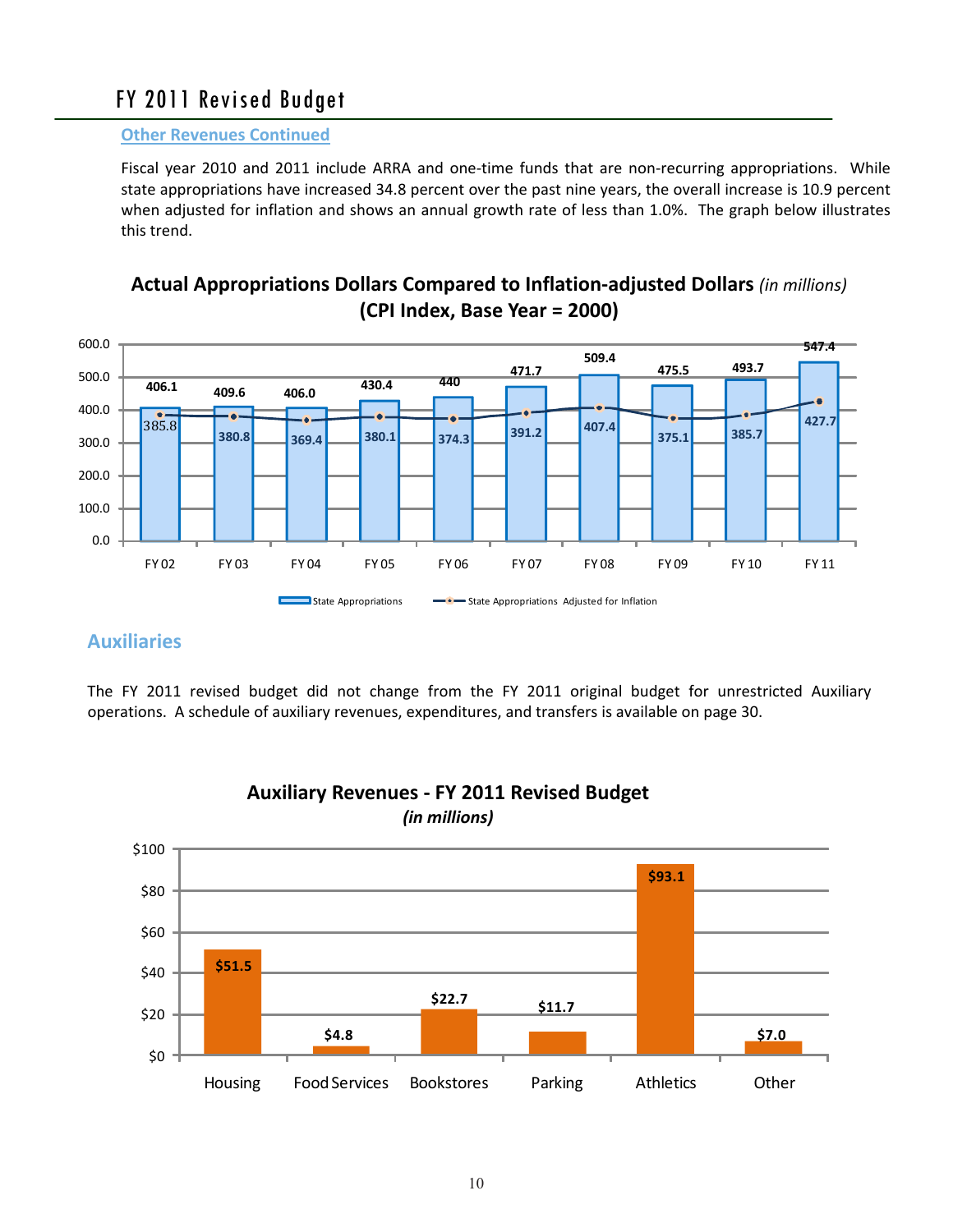#### **Other Revenues Continued**

Fiscal year 2010 and 2011 include ARRA and one-time funds that are non-recurring appropriations. While state appropriations have increased 34.8 percent over the past nine years, the overall increase is 10.9 percent when adjusted for inflation and shows an annual growth rate of less than 1.0%. The graph below illustrates this trend.

#### **Actual Appropriations Dollars Compared to Inflation‐adjusted Dollars** *(in millions)* **(CPI Index, Base Year = 2000)**



#### **Auxiliaries**

The FY 2011 revised budget did not change from the FY 2011 original budget for unrestricted Auxiliary operations. A schedule of auxiliary revenues, expenditures, and transfers is available on page 30.



#### **Auxiliary Revenues ‐ FY 2011 Revised Budget** *(in millions)*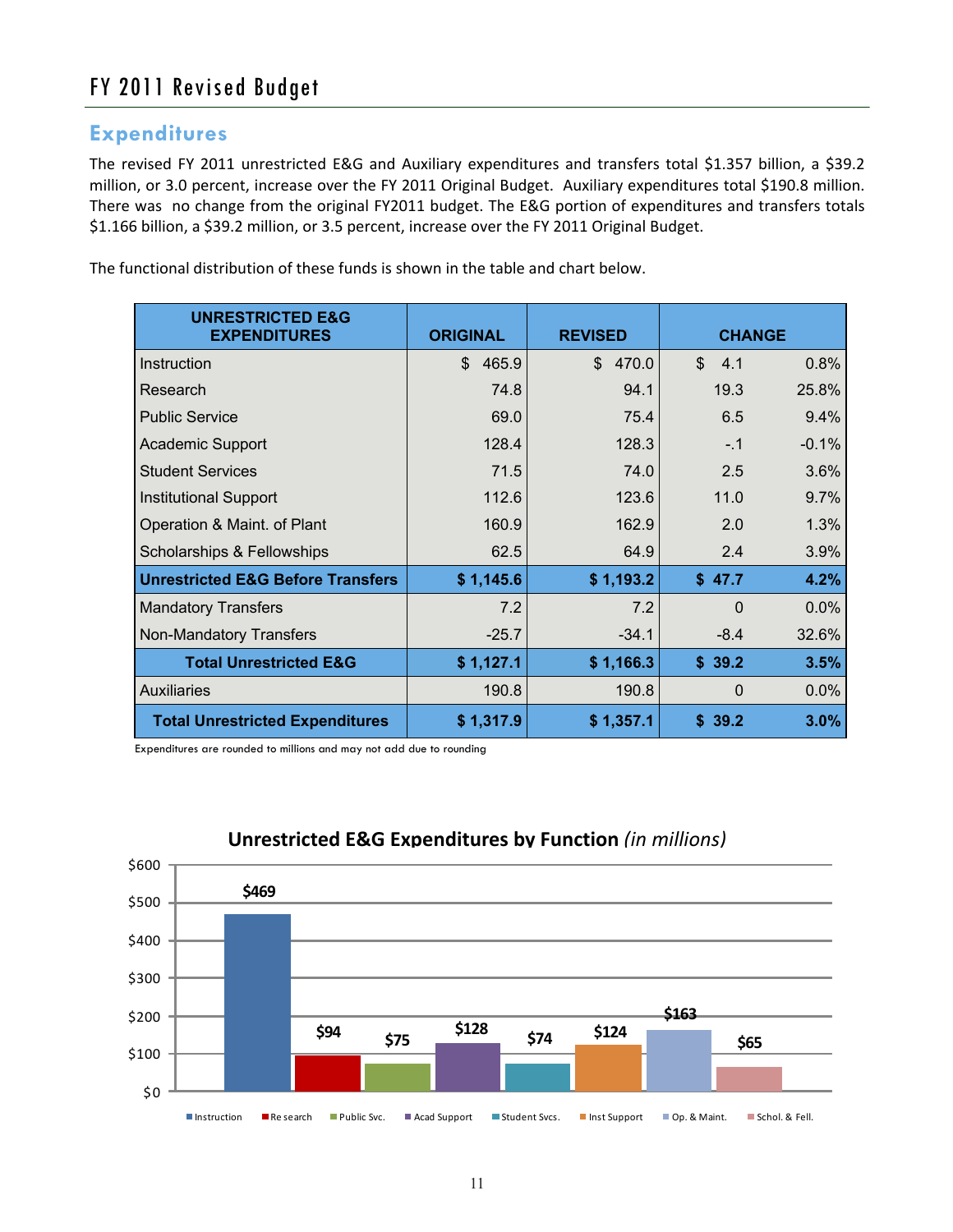### **Expenditures**

The revised FY 2011 unrestricted E&G and Auxiliary expenditures and transfers total \$1.357 billion, a \$39.2 million, or 3.0 percent, increase over the FY 2011 Original Budget. Auxiliary expenditures total \$190.8 million. There was no change from the original FY2011 budget. The E&G portion of expenditures and transfers totals \$1.166 billion, a \$39.2 million, or 3.5 percent, increase over the FY 2011 Original Budget.

| <b>UNRESTRICTED E&amp;G</b><br><b>EXPENDITURES</b> | <b>ORIGINAL</b>       | <b>REVISED</b>        | <b>CHANGE</b>         |         |
|----------------------------------------------------|-----------------------|-----------------------|-----------------------|---------|
| Instruction                                        | $\mathbb{S}$<br>465.9 | $\mathbb{S}$<br>470.0 | $\mathfrak{L}$<br>4.1 | 0.8%    |
| Research                                           | 74.8                  | 94.1                  | 19.3                  | 25.8%   |
| <b>Public Service</b>                              | 69.0                  | 75.4                  | 6.5                   | 9.4%    |
| <b>Academic Support</b>                            | 128.4                 | 128.3                 | $-.1$                 | $-0.1%$ |
| <b>Student Services</b>                            | 71.5                  | 74.0                  | 2.5                   | 3.6%    |
| <b>Institutional Support</b>                       | 112.6                 | 123.6                 | 11.0                  | $9.7\%$ |
| Operation & Maint. of Plant                        | 160.9                 | 162.9                 | 2.0                   | 1.3%    |
| Scholarships & Fellowships                         | 62.5                  | 64.9                  | 2.4                   | 3.9%    |
| <b>Unrestricted E&amp;G Before Transfers</b>       | \$1,145.6             | \$1,193.2             | \$47.7                | 4.2%    |
| <b>Mandatory Transfers</b>                         | 7.2                   | 7.2                   | $\Omega$              | 0.0%    |
| Non-Mandatory Transfers                            | $-25.7$               | $-34.1$               | $-8.4$                | 32.6%   |
| <b>Total Unrestricted E&amp;G</b>                  | \$1,127.1             | \$1,166.3             | \$39.2                | 3.5%    |
| <b>Auxiliaries</b>                                 | 190.8                 | 190.8                 | $\Omega$              | 0.0%    |
| <b>Total Unrestricted Expenditures</b>             | \$1,317.9             | \$1,357.1             | \$39.2                | $3.0\%$ |

The functional distribution of these funds is shown in the table and chart below.

Expenditures are rounded to millions and may not add due to rounding



#### **Unrestricted E&G Expenditures by Function** *(in millions)*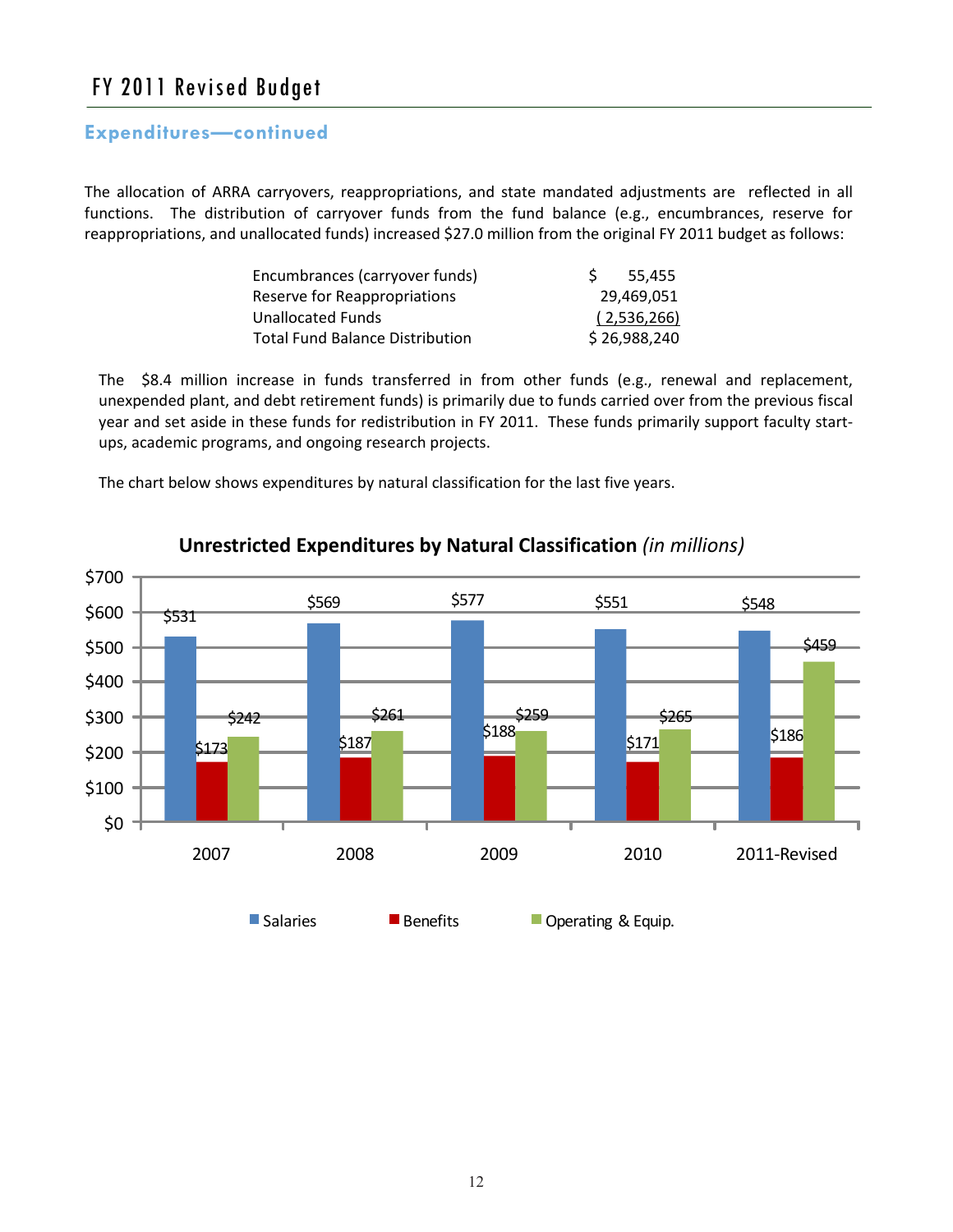#### **Expenditures—continued**

The allocation of ARRA carryovers, reappropriations, and state mandated adjustments are reflected in all functions. The distribution of carryover funds from the fund balance (e.g., encumbrances, reserve for reappropriations, and unallocated funds) increased \$27.0 million from the original FY 2011 budget as follows:

| Encumbrances (carryover funds)         | 55.455       |
|----------------------------------------|--------------|
| Reserve for Reappropriations           | 29,469,051   |
| Unallocated Funds                      | (2,536,266)  |
| <b>Total Fund Balance Distribution</b> | \$26,988,240 |

The \$8.4 million increase in funds transferred in from other funds (e.g., renewal and replacement, unexpended plant, and debt retirement funds) is primarily due to funds carried over from the previous fiscal year and set aside in these funds for redistribution in FY 2011. These funds primarily support faculty startups, academic programs, and ongoing research projects.

The chart below shows expenditures by natural classification for the last five years.



#### **Unrestricted Expenditures by Natural Classification** *(in millions)*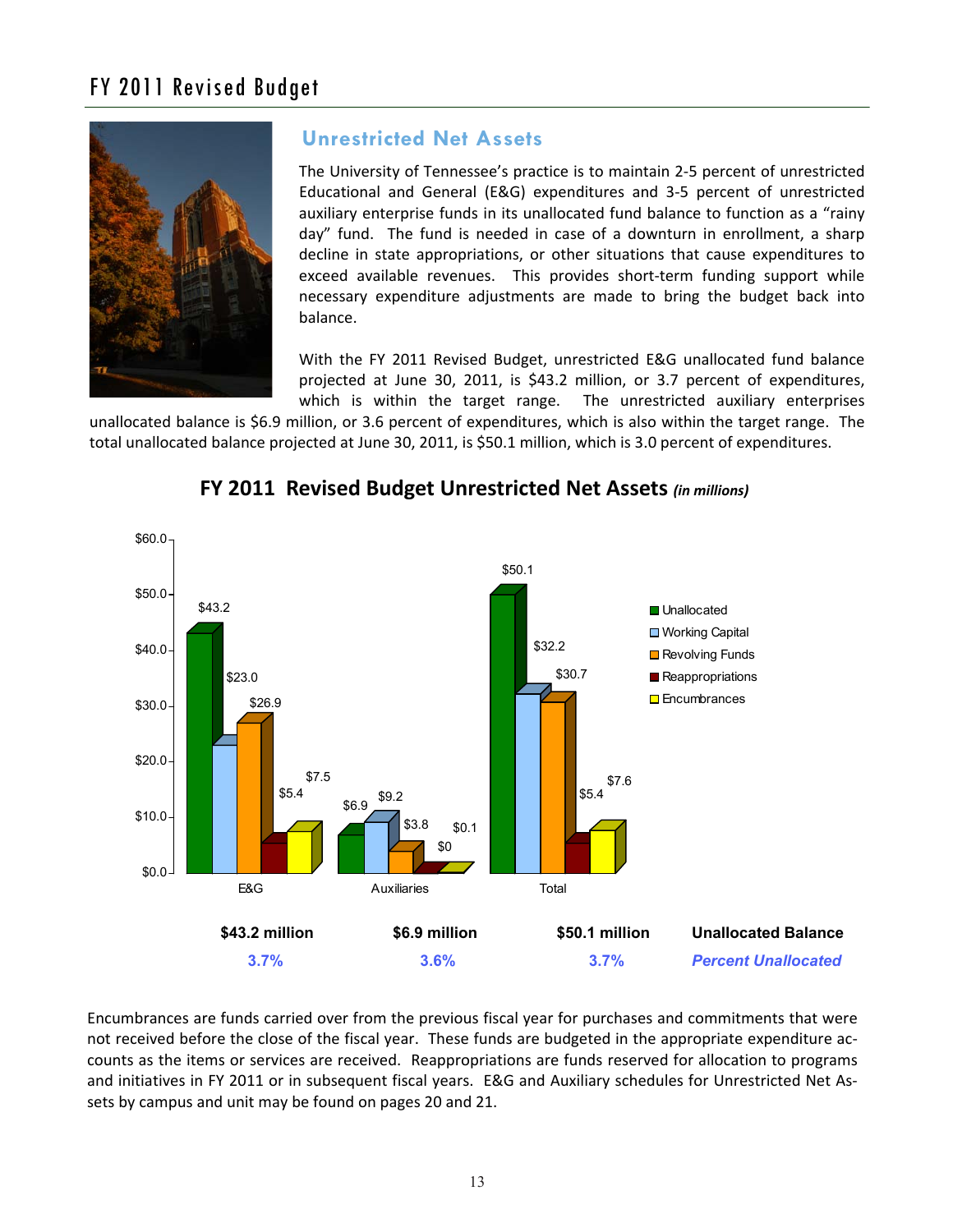

#### **Unrestricted Net Assets**

The University of Tennessee's practice is to maintain 2‐5 percent of unrestricted Educational and General (E&G) expenditures and 3‐5 percent of unrestricted auxiliary enterprise funds in its unallocated fund balance to function as a "rainy day" fund. The fund is needed in case of a downturn in enrollment, a sharp decline in state appropriations, or other situations that cause expenditures to exceed available revenues. This provides short-term funding support while necessary expenditure adjustments are made to bring the budget back into balance.

With the FY 2011 Revised Budget, unrestricted E&G unallocated fund balance projected at June 30, 2011, is \$43.2 million, or 3.7 percent of expenditures, which is within the target range. The unrestricted auxiliary enterprises

unallocated balance is \$6.9 million, or 3.6 percent of expenditures, which is also within the target range. The total unallocated balance projected at June 30, 2011, is \$50.1 million, which is 3.0 percent of expenditures.



#### **FY 2011 Revised Budget Unrestricted Net Assets** *(in millions)*

Encumbrances are funds carried over from the previous fiscal year for purchases and commitments that were not received before the close of the fiscal year. These funds are budgeted in the appropriate expenditure accounts as the items or services are received. Reappropriations are funds reserved for allocation to programs and initiatives in FY 2011 or in subsequent fiscal years. E&G and Auxiliary schedules for Unrestricted Net As‐ sets by campus and unit may be found on pages 20 and 21.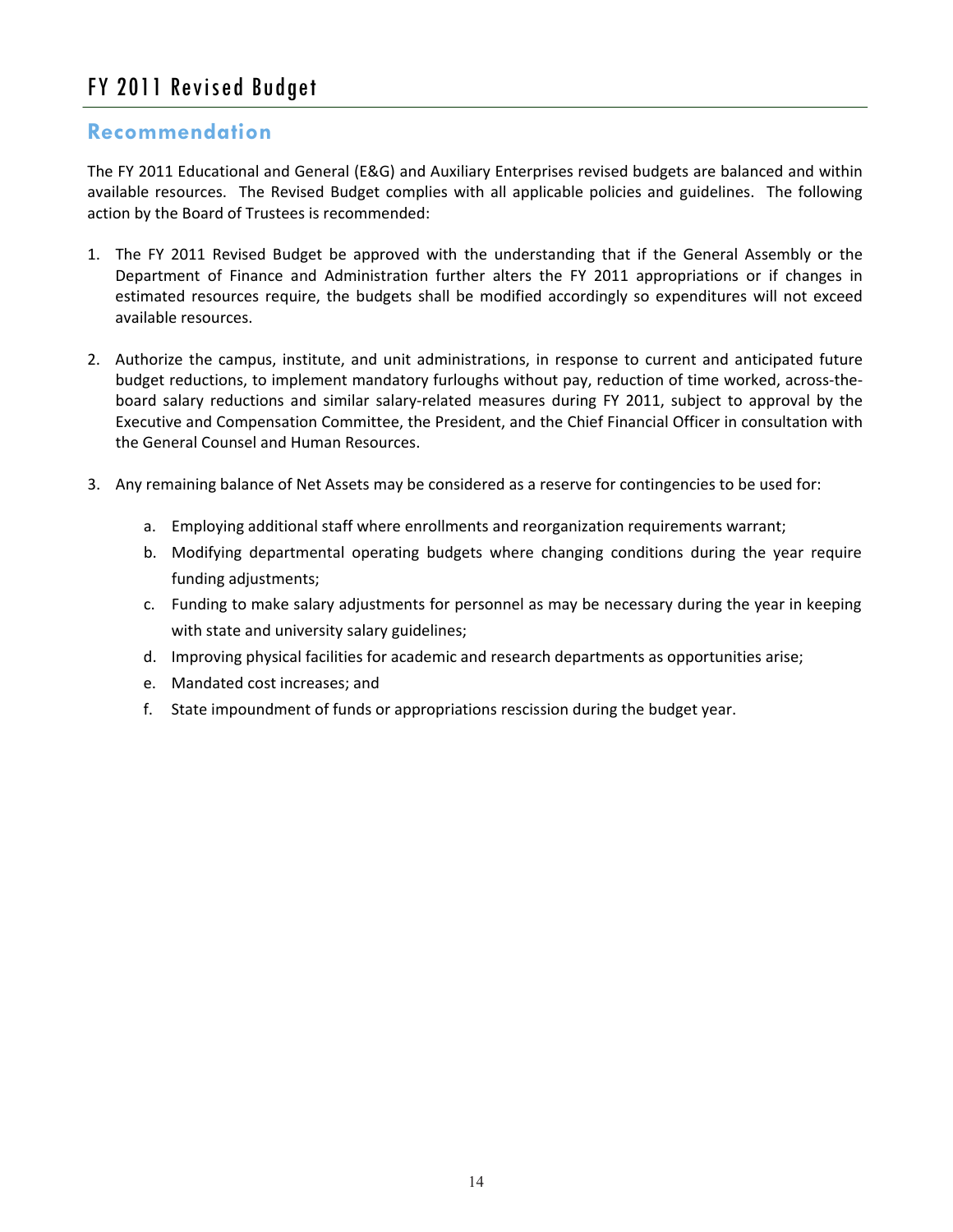#### **Recommendation**

The FY 2011 Educational and General (E&G) and Auxiliary Enterprises revised budgets are balanced and within available resources. The Revised Budget complies with all applicable policies and guidelines. The following action by the Board of Trustees is recommended:

- 1. The FY 2011 Revised Budget be approved with the understanding that if the General Assembly or the Department of Finance and Administration further alters the FY 2011 appropriations or if changes in estimated resources require, the budgets shall be modified accordingly so expenditures will not exceed available resources.
- 2. Authorize the campus, institute, and unit administrations, in response to current and anticipated future budget reductions, to implement mandatory furloughs without pay, reduction of time worked, across‐the‐ board salary reductions and similar salary-related measures during FY 2011, subject to approval by the Executive and Compensation Committee, the President, and the Chief Financial Officer in consultation with the General Counsel and Human Resources.
- 3. Any remaining balance of Net Assets may be considered as a reserve for contingencies to be used for:
	- a. Employing additional staff where enrollments and reorganization requirements warrant;
	- b. Modifying departmental operating budgets where changing conditions during the year require funding adjustments;
	- c. Funding to make salary adjustments for personnel as may be necessary during the year in keeping with state and university salary guidelines;
	- d. Improving physical facilities for academic and research departments as opportunities arise;
	- e. Mandated cost increases; and
	- f. State impoundment of funds or appropriations rescission during the budget year.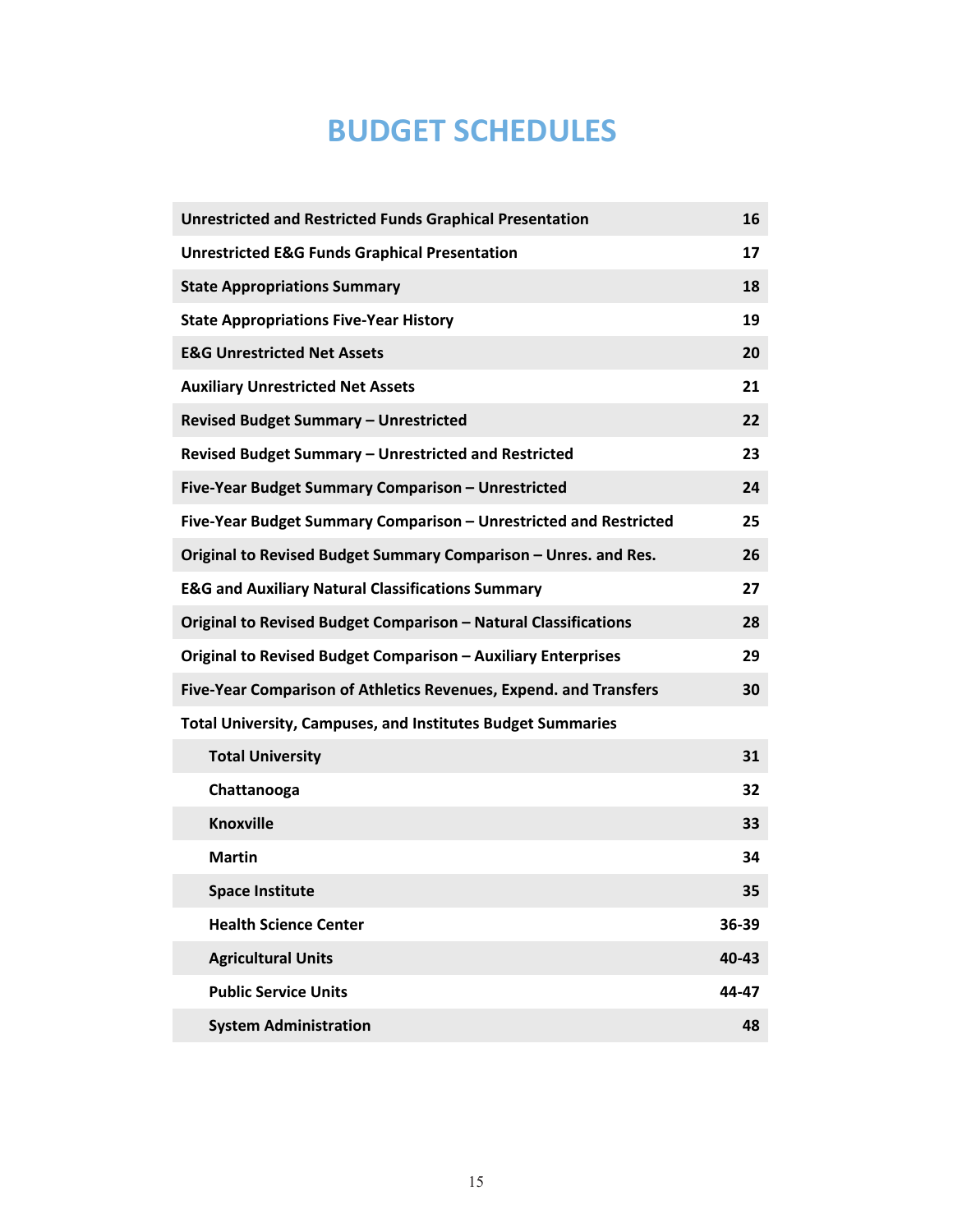## **BUDGET SCHEDULES**

| <b>Unrestricted and Restricted Funds Graphical Presentation</b>    | 16    |
|--------------------------------------------------------------------|-------|
| <b>Unrestricted E&amp;G Funds Graphical Presentation</b>           | 17    |
| <b>State Appropriations Summary</b>                                | 18    |
| <b>State Appropriations Five-Year History</b>                      | 19    |
| <b>E&amp;G Unrestricted Net Assets</b>                             | 20    |
| <b>Auxiliary Unrestricted Net Assets</b>                           | 21    |
| <b>Revised Budget Summary - Unrestricted</b>                       | 22    |
| Revised Budget Summary - Unrestricted and Restricted               | 23    |
| Five-Year Budget Summary Comparison - Unrestricted                 | 24    |
| Five-Year Budget Summary Comparison - Unrestricted and Restricted  | 25    |
| Original to Revised Budget Summary Comparison - Unres. and Res.    | 26    |
| <b>E&amp;G and Auxiliary Natural Classifications Summary</b>       | 27    |
| Original to Revised Budget Comparison - Natural Classifications    | 28    |
| Original to Revised Budget Comparison - Auxiliary Enterprises      | 29    |
| Five-Year Comparison of Athletics Revenues, Expend. and Transfers  | 30    |
| <b>Total University, Campuses, and Institutes Budget Summaries</b> |       |
| <b>Total University</b>                                            | 31    |
| Chattanooga                                                        | 32    |
| <b>Knoxville</b>                                                   | 33    |
| <b>Martin</b>                                                      | 34    |
| <b>Space Institute</b>                                             | 35    |
| <b>Health Science Center</b>                                       | 36-39 |
| <b>Agricultural Units</b>                                          | 40-43 |
| <b>Public Service Units</b>                                        | 44-47 |
| <b>System Administration</b>                                       | 48    |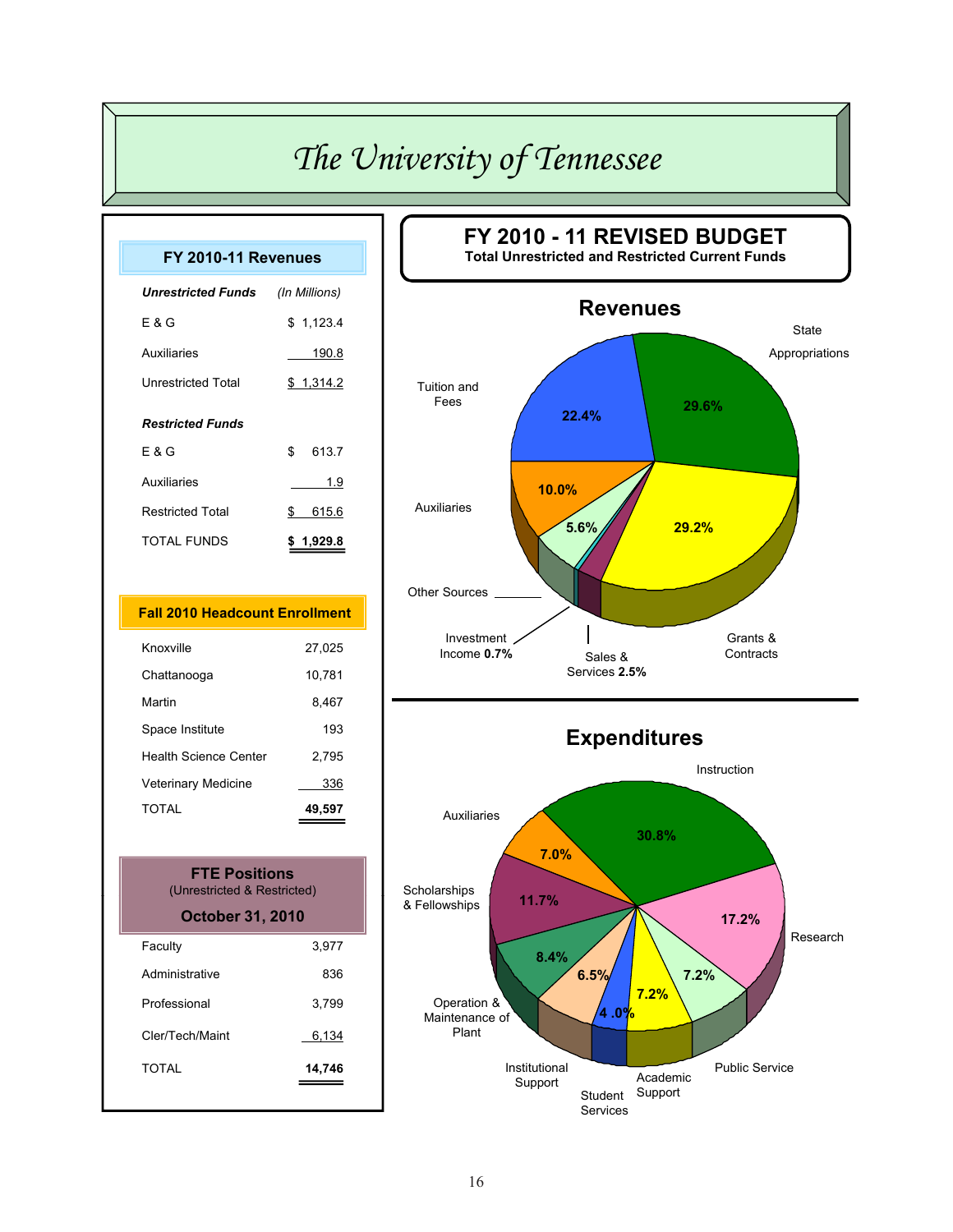| FY 2010-11 Revenues                   |                  |
|---------------------------------------|------------------|
| <b>Unrestricted Funds</b>             | (In Millions)    |
| E & G                                 | \$1,123.4        |
| Auxiliaries                           | <u>190.8</u>     |
| <b>Unrestricted Total</b>             | \$1,314.2        |
| <b>Restricted Funds</b>               |                  |
| E & G                                 | \$613.7          |
| Auxiliaries                           | 1.9              |
| <b>Restricted Total</b>               | \$615.6          |
| <b>TOTAL FUNDS</b>                    | <u>\$1,929.8</u> |
|                                       |                  |
|                                       |                  |
| <b>Fall 2010 Headcount Enrollment</b> |                  |
| Knoxville                             | 27,025           |
| Chattanooga                           | 10,781           |
| Martin                                | 8,467            |
| Space Institute                       | 193              |
| <b>Health Science Center</b>          | 2,795            |
| Veterinary Medicine                   | 336              |
| <b>TOTAL</b>                          | 49,597           |
|                                       |                  |

| <b>October 31, 2010</b> |        |
|-------------------------|--------|
| Faculty                 | 3,977  |
| Administrative          | 836    |
| Professional            | 3,799  |
| Cler/Tech/Maint         | 6,134  |
| TOTAI                   | 14,746 |



**Expenditures**

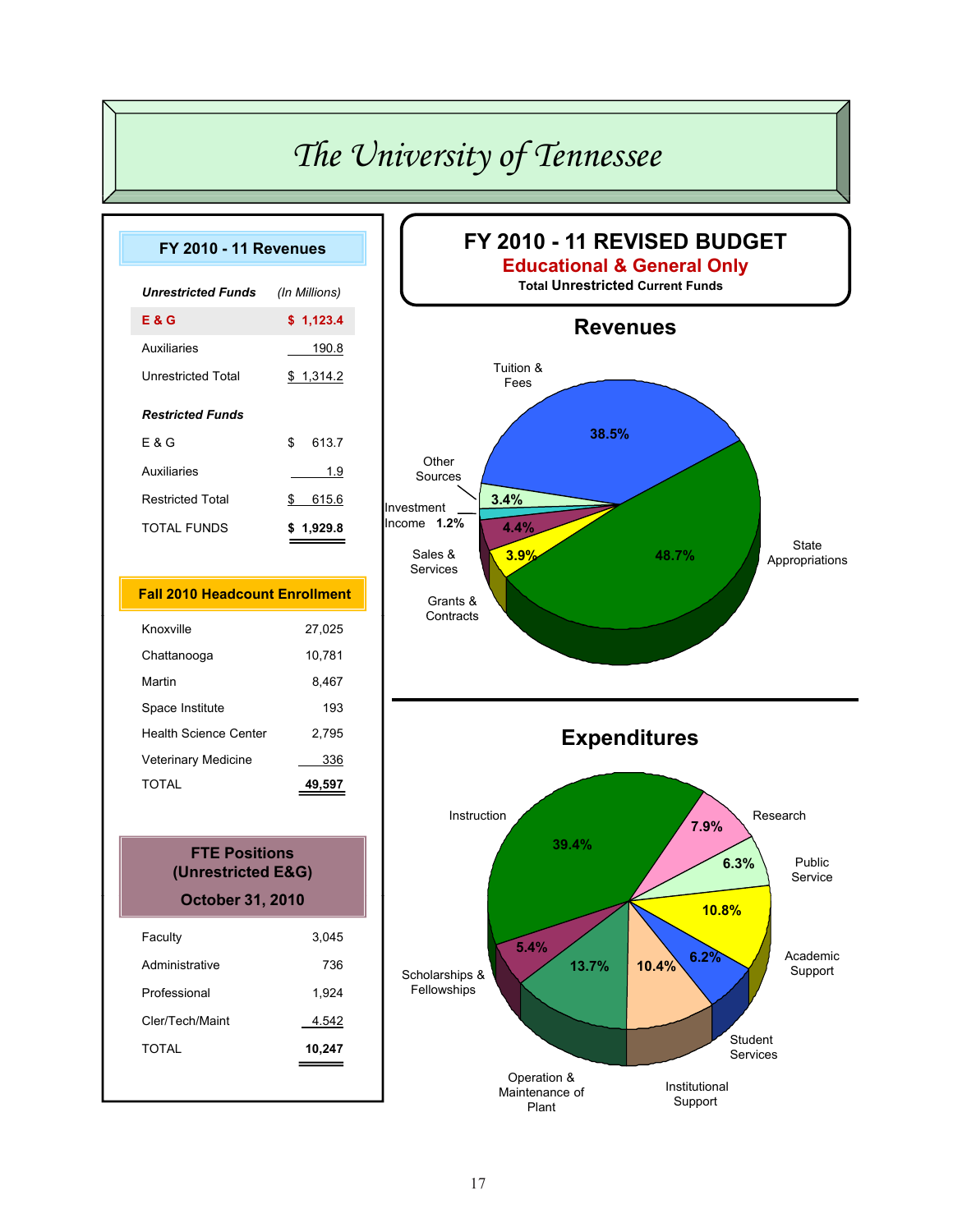| <b>FY 2010 - 11 Revenues</b>                                          |               |
|-----------------------------------------------------------------------|---------------|
|                                                                       |               |
| <b>Unrestricted Funds</b>                                             | (In Millions) |
| <b>E&amp;G</b>                                                        | \$1,123.4     |
| <b>Auxiliaries</b>                                                    | <u> 190.8</u> |
| <b>Unrestricted Total</b>                                             | \$1,314.2     |
| <b>Restricted Funds</b>                                               |               |
| E & G                                                                 | \$ 613.7      |
| Auxiliaries                                                           | 1.9           |
| <b>Restricted Total</b>                                               | \$615.6       |
| <b>TOTAL FUNDS</b>                                                    | \$1,929.8     |
|                                                                       |               |
| <b>Fall 2010 Headcount Enrollment</b>                                 |               |
|                                                                       |               |
| Knoxville                                                             | 27,025        |
| Chattanooga                                                           | 10,781        |
| Martin                                                                | 8,467         |
| Space Institute                                                       | 193           |
| <b>Health Science Center</b>                                          | 2,795         |
| <b>Veterinary Medicine</b>                                            | 336           |
| <b>TOTAL</b>                                                          | 49,597        |
|                                                                       |               |
| <b>FTE Positions</b><br>(Unrestricted E&G)<br><b>October 31, 2010</b> |               |

| Faculty         | 3,045  |
|-----------------|--------|
| Administrative  | 736    |
| Professional    | 1,924  |
| Cler/Tech/Maint | 4.542  |
| <b>TOTAL</b>    | 10,247 |
|                 |        |

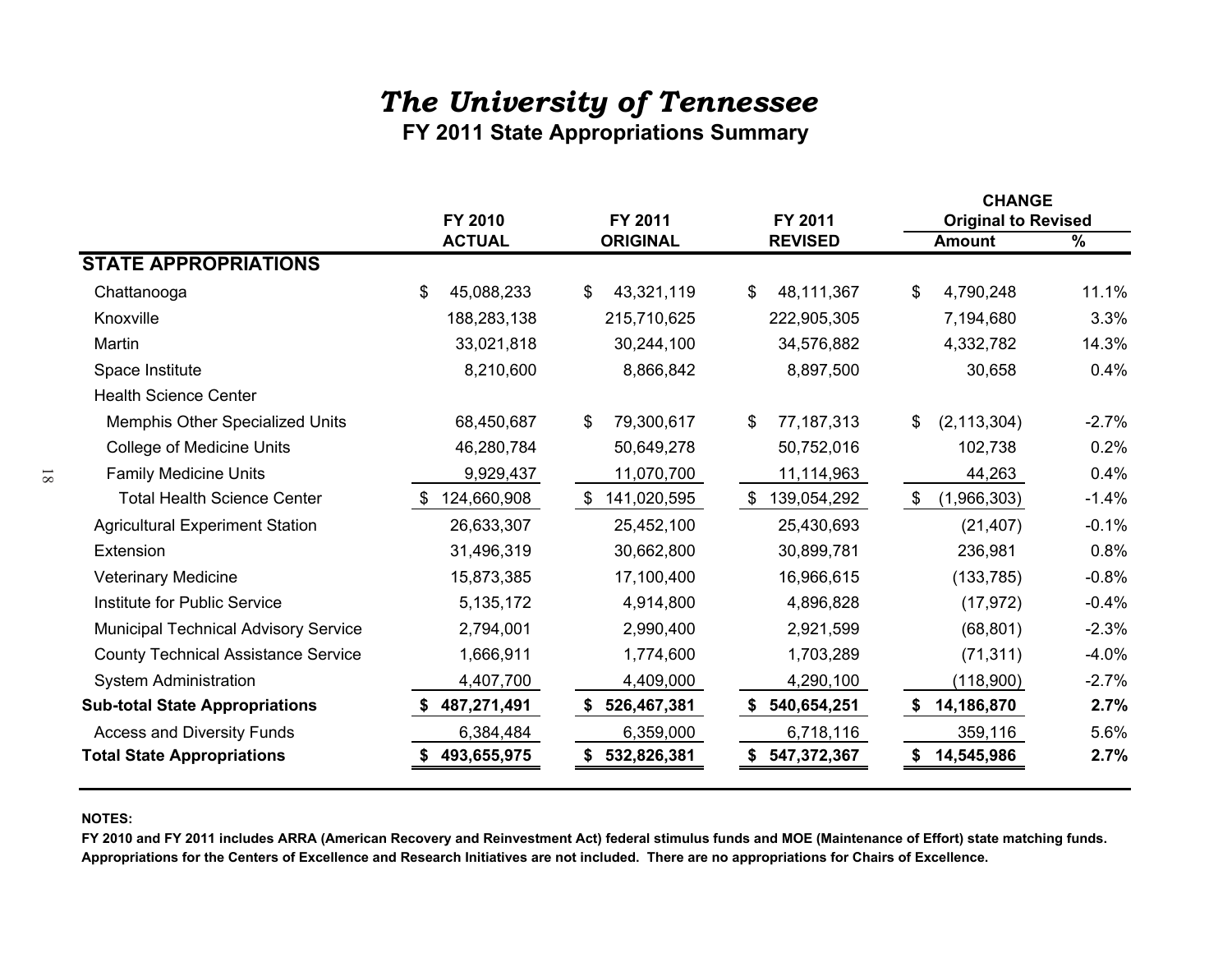## *The University of Tennessee* **FY 2011 State Appropriations Summary**

|                                             |                  |                   |                    | <b>CHANGE</b>              |         |
|---------------------------------------------|------------------|-------------------|--------------------|----------------------------|---------|
|                                             | FY 2010          | FY 2011           | FY 2011            | <b>Original to Revised</b> |         |
|                                             | <b>ACTUAL</b>    | <b>ORIGINAL</b>   | <b>REVISED</b>     | <b>Amount</b>              | %       |
| <b>STATE APPROPRIATIONS</b>                 |                  |                   |                    |                            |         |
| Chattanooga                                 | \$<br>45,088,233 | 43,321,119<br>\$  | \$<br>48,111,367   | \$<br>4,790,248            | 11.1%   |
| Knoxville                                   | 188,283,138      | 215,710,625       | 222,905,305        | 7,194,680                  | 3.3%    |
| Martin                                      | 33,021,818       | 30,244,100        | 34,576,882         | 4,332,782                  | 14.3%   |
| Space Institute                             | 8,210,600        | 8,866,842         | 8,897,500          | 30,658                     | 0.4%    |
| <b>Health Science Center</b>                |                  |                   |                    |                            |         |
| Memphis Other Specialized Units             | 68,450,687       | 79,300,617<br>\$  | \$<br>77, 187, 313 | \$<br>(2, 113, 304)        | $-2.7%$ |
| College of Medicine Units                   | 46,280,784       | 50,649,278        | 50,752,016         | 102,738                    | 0.2%    |
| <b>Family Medicine Units</b>                | 9,929,437        | 11,070,700        | 11,114,963         | 44,263                     | 0.4%    |
| <b>Total Health Science Center</b>          | 124,660,908      | 141,020,595<br>\$ | 139,054,292<br>\$  | \$<br>(1,966,303)          | $-1.4%$ |
| <b>Agricultural Experiment Station</b>      | 26,633,307       | 25,452,100        | 25,430,693         | (21, 407)                  | $-0.1%$ |
| Extension                                   | 31,496,319       | 30,662,800        | 30,899,781         | 236,981                    | 0.8%    |
| <b>Veterinary Medicine</b>                  | 15,873,385       | 17,100,400        | 16,966,615         | (133, 785)                 | $-0.8%$ |
| Institute for Public Service                | 5, 135, 172      | 4,914,800         | 4,896,828          | (17, 972)                  | $-0.4%$ |
| <b>Municipal Technical Advisory Service</b> | 2,794,001        | 2,990,400         | 2,921,599          | (68, 801)                  | $-2.3%$ |
| <b>County Technical Assistance Service</b>  | 1,666,911        | 1,774,600         | 1,703,289          | (71, 311)                  | $-4.0%$ |
| <b>System Administration</b>                | 4,407,700        | 4,409,000         | 4,290,100          | (118,900)                  | $-2.7%$ |
| <b>Sub-total State Appropriations</b>       | 487,271,491      | 526,467,381       | 540,654,251<br>S   | 14,186,870<br>\$           | 2.7%    |
| <b>Access and Diversity Funds</b>           | 6,384,484        | 6,359,000         | 6,718,116          | 359,116                    | 5.6%    |
| <b>Total State Appropriations</b>           | 493,655,975      | 532,826,381       | 547,372,367        | 14,545,986                 | 2.7%    |
|                                             |                  |                   |                    |                            |         |

#### **NOTES:**

**FY 2010 and FY 2011 includes ARRA (American Recovery and Reinvestment Act) federal stimulus funds and MOE (Maintenance of Effort) state matching funds. Appropriations for the Centers of Excellence and Research Initiatives are not included. There are no appropriations for Chairs of Excellence.**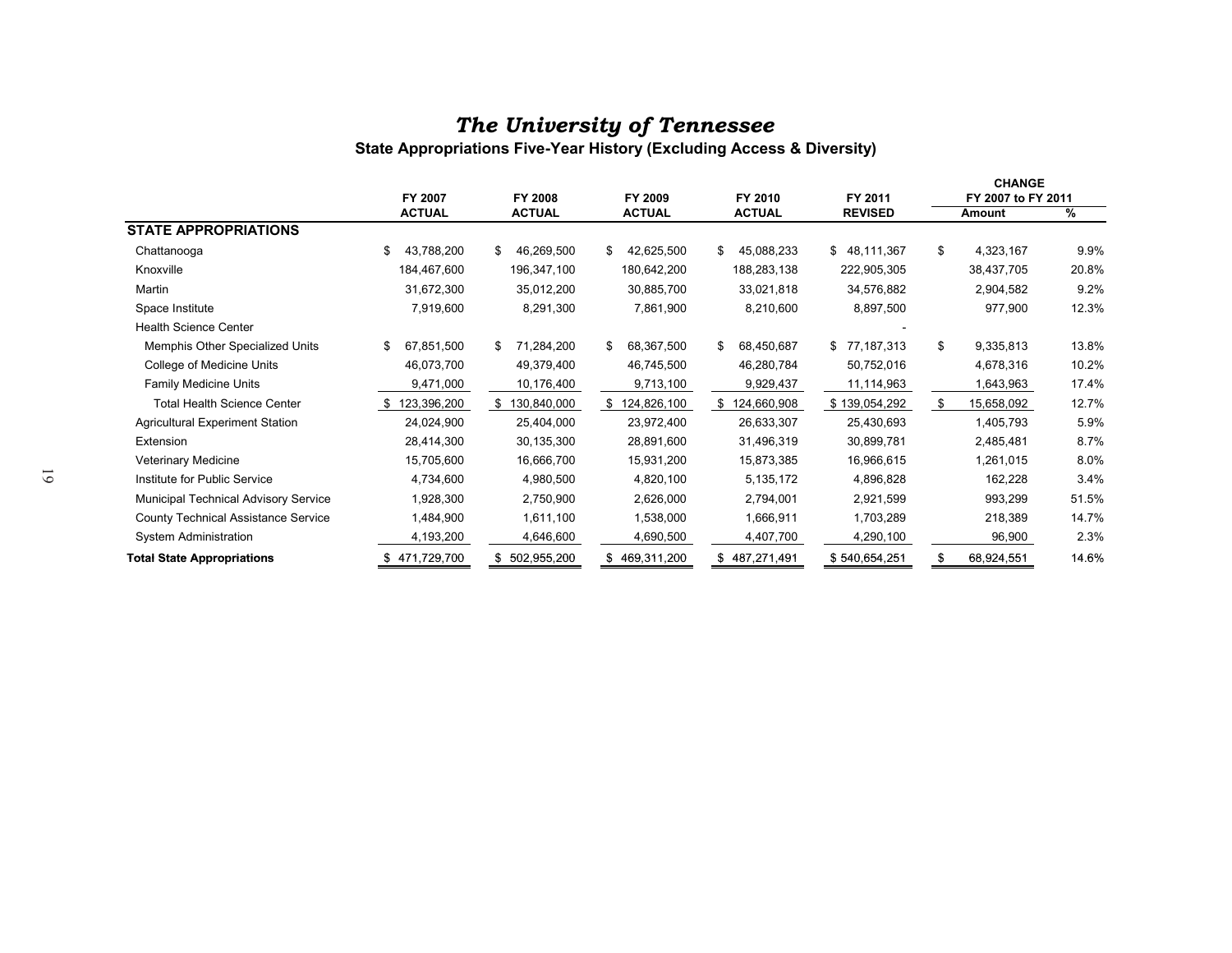**State Appropriations Five-Year History (Excluding Access & Diversity)**

|                |                                            | FY 2007          | FY 2008           | FY 2009          | FY 2010          | FY 2011          | <b>CHANGE</b><br>FY 2007 to FY 2011 |       |
|----------------|--------------------------------------------|------------------|-------------------|------------------|------------------|------------------|-------------------------------------|-------|
|                |                                            | <b>ACTUAL</b>    | <b>ACTUAL</b>     | <b>ACTUAL</b>    | <b>ACTUAL</b>    | <b>REVISED</b>   | Amount                              | ℅     |
|                | <b>STATE APPROPRIATIONS</b>                |                  |                   |                  |                  |                  |                                     |       |
|                | Chattanooga                                | 43,788,200<br>\$ | 46,269,500<br>\$. | 42,625,500       | 45,088,233       | \$48,111,367     | \$<br>4,323,167                     | 9.9%  |
|                | Knoxville                                  | 184,467,600      | 196,347,100       | 180,642,200      | 188,283,138      | 222,905,305      | 38,437,705                          | 20.8% |
|                | Martin                                     | 31,672,300       | 35,012,200        | 30,885,700       | 33,021,818       | 34,576,882       | 2,904,582                           | 9.2%  |
|                | Space Institute                            | 7,919,600        | 8,291,300         | 7,861,900        | 8,210,600        | 8,897,500        | 977,900                             | 12.3% |
|                | <b>Health Science Center</b>               |                  |                   |                  |                  |                  |                                     |       |
|                | Memphis Other Specialized Units            | 67,851,500<br>\$ | 71,284,200<br>\$  | 68,367,500<br>\$ | 68,450,687<br>\$ | 77,187,313<br>\$ | 9,335,813<br>\$                     | 13.8% |
|                | College of Medicine Units                  | 46,073,700       | 49,379,400        | 46,745,500       | 46,280,784       | 50,752,016       | 4,678,316                           | 10.2% |
|                | Family Medicine Units                      | 9,471,000        | 10,176,400        | 9,713,100        | 9,929,437        | 11,114,963       | 1,643,963                           | 17.4% |
|                | <b>Total Health Science Center</b>         | 123,396,200      | 130,840,000       | \$124,826,100    | 124,660,908      | \$139,054,292    | 15,658,092<br>£.                    | 12.7% |
|                | Agricultural Experiment Station            | 24,024,900       | 25,404,000        | 23,972,400       | 26,633,307       | 25,430,693       | 1,405,793                           | 5.9%  |
|                | Extension                                  | 28,414,300       | 30,135,300        | 28,891,600       | 31,496,319       | 30,899,781       | 2,485,481                           | 8.7%  |
|                | Veterinary Medicine                        | 15,705,600       | 16,666,700        | 15,931,200       | 15,873,385       | 16,966,615       | 1,261,015                           | 8.0%  |
| $\overline{6}$ | Institute for Public Service               | 4,734,600        | 4,980,500         | 4,820,100        | 5,135,172        | 4,896,828        | 162,228                             | 3.4%  |
|                | Municipal Technical Advisory Service       | 1,928,300        | 2,750,900         | 2,626,000        | 2,794,001        | 2,921,599        | 993,299                             | 51.5% |
|                | <b>County Technical Assistance Service</b> | 1,484,900        | 1,611,100         | 1,538,000        | 1,666,911        | 1,703,289        | 218,389                             | 14.7% |
|                | System Administration                      | 4,193,200        | 4,646,600         | 4,690,500        | 4,407,700        | 4,290,100        | 96,900                              | 2.3%  |
|                | <b>Total State Appropriations</b>          | \$471,729,700    | 502,955,200<br>S. | \$469,311,200    | 487,271,491      | \$540,654,251    | 68,924,551                          | 14.6% |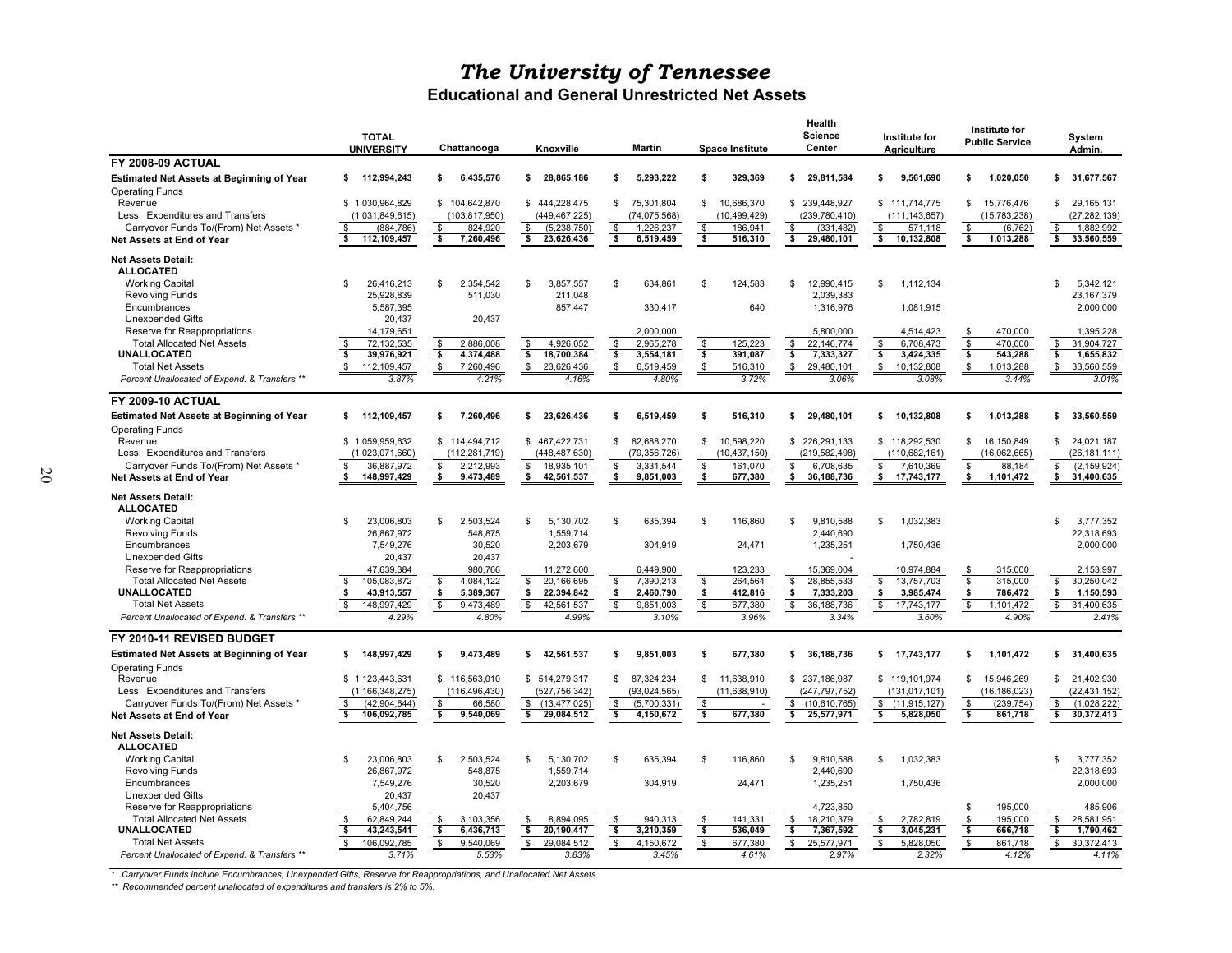**Educational and General Unrestricted Net Assets**

|                                                                     | <b>TOTAL</b><br><b>UNIVERSITY</b>     | Chattanooga                                           | Knoxville                                               | Martin                                                  | <b>Space Institute</b>             | Health<br><b>Science</b><br>Center   | Institute for<br><b>Agriculture</b> | Institute for<br><b>Public Service</b>                 | System<br>Admin.                    |
|---------------------------------------------------------------------|---------------------------------------|-------------------------------------------------------|---------------------------------------------------------|---------------------------------------------------------|------------------------------------|--------------------------------------|-------------------------------------|--------------------------------------------------------|-------------------------------------|
| <b>FY 2008-09 ACTUAL</b>                                            |                                       |                                                       |                                                         |                                                         |                                    |                                      |                                     |                                                        |                                     |
| <b>Estimated Net Assets at Beginning of Year</b>                    | 112.994.243<br>\$                     | 6,435,576<br>\$                                       | \$28.865.186                                            | \$<br>5.293.222                                         | 329.369<br>\$                      | 29.811.584<br>\$                     | \$<br>9.561.690                     | 1.020.050<br>\$                                        | \$ 31.677.567                       |
| <b>Operating Funds</b>                                              |                                       |                                                       |                                                         |                                                         |                                    |                                      |                                     |                                                        |                                     |
| Revenue                                                             | \$1,030,964,829                       | \$104,642,870                                         | \$444,228,475                                           | 75,301,804<br>\$                                        | 10,686,370<br>\$                   | \$239,448,927                        | \$111,714,775                       | \$<br>15,776,476                                       | 29, 165, 131<br>\$                  |
| Less: Expenditures and Transfers                                    | (1,031,849,615)                       | (103, 817, 950)                                       | (449, 467, 225)                                         | (74, 075, 568)                                          | (10, 499, 429)                     | (239, 780, 410)                      | (111, 143, 657)                     | (15, 783, 238)                                         | (27, 282, 139)                      |
| Carryover Funds To/(From) Net Assets *<br>Net Assets at End of Year | (884, 786)<br>112,109,457<br>s.       | \$<br>824,920<br>$\overline{\mathbf{s}}$<br>7,260,496 | \$<br>(5,238,750)<br>$\overline{\bullet}$<br>23,626,436 | 1,226,237<br>\$<br>$\overline{\mathbf{s}}$<br>6,519,459 | \$<br>186,941<br>\$<br>516,310     | \$<br>(331, 482)<br>\$<br>29,480,101 | \$<br>571,118<br>\$<br>10,132,808   | \$<br>(6, 762)<br>$\overline{\mathbf{s}}$<br>1,013,288 | \$<br>1,882,992<br>\$<br>33,560,559 |
| Net Assets Detail:                                                  |                                       |                                                       |                                                         |                                                         |                                    |                                      |                                     |                                                        |                                     |
| <b>ALLOCATED</b>                                                    |                                       |                                                       |                                                         |                                                         |                                    |                                      |                                     |                                                        |                                     |
| <b>Working Capital</b>                                              | 26.416.213<br>\$                      | 2.354.542<br>\$                                       | 3,857,557<br>\$.                                        | 634.861<br>\$.                                          | 124.583<br>\$.                     | 12,990,415<br>S                      | S<br>1,112,134                      |                                                        | 5.342.121<br>\$                     |
| <b>Revolving Funds</b>                                              | 25,928,839                            | 511,030                                               | 211,048                                                 |                                                         |                                    | 2,039,383                            |                                     |                                                        | 23, 167, 379                        |
| Encumbrances                                                        | 5,587,395                             |                                                       | 857,447                                                 | 330,417                                                 | 640                                | 1,316,976                            | 1,081,915                           |                                                        | 2,000,000                           |
| <b>Unexpended Gifts</b>                                             | 20,437                                | 20,437                                                |                                                         |                                                         |                                    |                                      |                                     |                                                        |                                     |
| Reserve for Reappropriations                                        | 14,179,651                            |                                                       |                                                         | 2.000.000                                               |                                    | 5.800.000                            | 4.514.423                           | 470.000<br>\$                                          | 1,395,228                           |
| <b>Total Allocated Net Assets</b><br><b>UNALLOCATED</b>             | 72,132,535<br>\$<br>39,976,921        | 2,886,008<br>\$                                       | 4,926,052<br>\$<br>\$<br>18,700,384                     | 2,965,278<br>3,554,181                                  | 125,223<br>\$<br>\$<br>391.087     | 22,146,774<br>\$<br>7,333,327        | 6,708,473<br>\$<br>3,424,335        | 470,000<br>\$<br>\$<br>543.288                         | 31,904,727<br>\$<br>\$<br>1,655,832 |
| <b>Total Net Assets</b>                                             | 112,109,457<br>\$                     | 4,374,488<br>\$<br>7,260,496                          | S.<br>23,626,436                                        | \$<br>\$<br>6,519,459                                   | \$<br>516,310                      | \$<br>29,480,101                     | \$<br>10,132,808                    | \$<br>1,013,288                                        | \$<br>33,560,559                    |
| Percent Unallocated of Expend. & Transfers **                       | 3.87%                                 | 4.21%                                                 | 4.16%                                                   | 4.80%                                                   | 3.72%                              | 3.06%                                | 3.08%                               | 3.44%                                                  | 3.01%                               |
| <b>FY 2009-10 ACTUAL</b>                                            |                                       |                                                       |                                                         |                                                         |                                    |                                      |                                     |                                                        |                                     |
| <b>Estimated Net Assets at Beginning of Year</b>                    | 112,109,457<br>S                      | 7,260,496<br>\$                                       | 23,626,436<br>s.                                        | 6,519,459<br>s                                          | \$<br>516,310                      | 29,480,101<br>\$                     | \$<br>10,132,808                    | \$<br>1,013,288                                        | 33,560,559<br>\$                    |
| <b>Operating Funds</b>                                              |                                       |                                                       |                                                         |                                                         |                                    |                                      |                                     |                                                        |                                     |
| Revenue                                                             | \$1,059,959,632                       | \$114,494,712                                         | \$467,422,731                                           | $\mathbb{S}$<br>82,688,270                              | \$<br>10,598,220                   | \$226,291,133                        | \$118,292,530                       | 16,150,849<br>\$                                       | \$24,021,187                        |
| Less: Expenditures and Transfers                                    | (1,023,071,660)                       | (112, 281, 719)                                       | (448, 487, 630)                                         | (79, 356, 726)                                          | (10, 437, 150)                     | (219, 582, 498)                      | (110, 682, 161)                     | (16,062,665)                                           | (26, 181, 111)                      |
| Carryover Funds To/(From) Net Assets *                              | 36,887,972                            | 2,212,993<br>\$                                       | 18,935,101<br>\$                                        | 3,331,544<br>\$.                                        | 161,070<br>\$                      | \$<br>6,708,635                      | 7,610,369<br>\$.                    | 88,184<br>\$.                                          | (2, 159, 924)<br>\$                 |
| Net Assets at End of Year                                           | 148,997,429<br>\$                     | \$<br>9,473,489                                       | \$<br>42,561,537                                        | $\overline{\mathbf{s}}$<br>9,851,003                    | $\overline{\mathbf{s}}$<br>677,380 | \$<br>36,188,736                     | \$<br>17,743,177                    | \$<br>1,101,472                                        | \$<br>31,400,635                    |
| <b>Net Assets Detail:</b>                                           |                                       |                                                       |                                                         |                                                         |                                    |                                      |                                     |                                                        |                                     |
| <b>ALLOCATED</b>                                                    |                                       |                                                       |                                                         |                                                         |                                    |                                      |                                     |                                                        |                                     |
| <b>Working Capital</b>                                              | 23,006,803<br>\$                      | 2,503,524<br>\$                                       | 5,130,702<br>\$.                                        | 635,394<br>\$                                           | 116,860<br>\$.                     | \$<br>9,810,588                      | 1,032,383<br>\$                     |                                                        | 3,777,352<br>£.                     |
| <b>Revolving Funds</b>                                              | 26,867,972                            | 548,875                                               | 1,559,714                                               |                                                         |                                    | 2,440,690                            |                                     |                                                        | 22,318,693                          |
| Encumbrances                                                        | 7,549,276                             | 30,520                                                | 2,203,679                                               | 304,919                                                 | 24,471                             | 1,235,251                            | 1,750,436                           |                                                        | 2,000,000                           |
| <b>Unexpended Gifts</b>                                             | 20,437                                | 20,437                                                |                                                         |                                                         |                                    |                                      |                                     |                                                        |                                     |
| Reserve for Reappropriations                                        | 47,639,384                            | 980,766                                               | 11,272,600                                              | 6,449,900                                               | 123,233                            | 15,369,004                           | 10,974,884                          | 315,000<br>\$                                          | 2,153,997                           |
| <b>Total Allocated Net Assets</b>                                   | 105.083.872                           | 4.084.122<br>\$                                       | \$<br>20.166.695                                        | 7.390.213<br>\$                                         | 264.564<br>\$                      | s.<br>28.855.533                     | \$<br>13.757.703                    | \$<br>315,000                                          | \$<br>30.250.042                    |
| UNALLOCATED                                                         | 43,913,557                            | \$<br>5,389,367                                       | s.<br>22,394,842                                        | \$<br>2,460,790                                         | \$<br>412,816                      | s<br>7,333,203                       | s<br>3,985,474                      | \$<br>786,472                                          | s.<br>1,150,593                     |
| <b>Total Net Assets</b>                                             | 148,997,429                           | 9,473,489<br>\$                                       | 42,561,537<br>\$                                        | 9,851,003<br>$\mathcal{S}$                              | 677,380<br>$\mathcal{S}$           | 36, 188, 736<br>\$                   | 17,743,177<br>\$                    | 1,101,472<br>\$                                        | 31,400,635<br>\$                    |
| Percent Unallocated of Expend. & Transfers **                       | 4.29%                                 | 4.80%                                                 | 4.99%                                                   | 3.10%                                                   | 3.96%                              | 3.34%                                | 3.60%                               | 4.90%                                                  | 2.41%                               |
| FY 2010-11 REVISED BUDGET                                           |                                       |                                                       |                                                         |                                                         |                                    |                                      |                                     |                                                        |                                     |
| <b>Estimated Net Assets at Beginning of Year</b>                    | \$<br>148,997,429                     | \$<br>9,473,489                                       | \$<br>42,561,537                                        | 9.851.003<br>\$                                         | 677.380<br>S                       | 36,188,736<br>\$                     | \$ 17,743,177                       | \$<br>1,101,472                                        | \$ 31.400.635                       |
| <b>Operating Funds</b>                                              |                                       |                                                       |                                                         |                                                         |                                    |                                      |                                     |                                                        |                                     |
| Revenue<br>Less: Expenditures and Transfers                         | \$1,123,443,631<br>(1, 166, 348, 275) | \$116,563,010                                         | \$ 514,279,317<br>(527, 756, 342)                       | \$<br>87,324,234<br>(93, 024, 565)                      | \$<br>11,638,910<br>(11, 638, 910) | \$237,186,987<br>(247, 797, 752)     | \$119,101,974                       | \$<br>15,946,269<br>(16, 186, 023)                     | \$<br>21,402,930<br>(22, 431, 152)  |
| Carryover Funds To/(From) Net Assets *                              | (42, 904, 644)                        | (116, 496, 430)<br>66,580<br>\$.                      | \$(13, 477, 025)                                        | (5,700,331)                                             | \$                                 | (10,610,765)                         | (131, 017, 101)<br>(11, 915, 127)   | (239, 754)                                             | (1,028,222)<br>\$                   |
| Net Assets at End of Year                                           | \$<br>106,092,785                     | \$<br>9,540,069                                       | 29,084,512<br>\$                                        | \$<br>\$<br>4,150,672                                   | 677,380<br>\$                      | \$<br>\$<br>25,577,971               | \$<br>\$<br>5,828,050               | \$<br>\$<br>861,718                                    | \$<br>30,372,413                    |
| <b>Net Assets Detail:</b>                                           |                                       |                                                       |                                                         |                                                         |                                    |                                      |                                     |                                                        |                                     |
| <b>ALLOCATED</b>                                                    |                                       |                                                       |                                                         |                                                         |                                    |                                      |                                     |                                                        |                                     |
|                                                                     | 23,006,803<br>\$.                     | 2,503,524<br>\$                                       | \$                                                      | \$<br>635,394                                           | 116,860<br>\$                      | \$                                   | \$<br>1,032,383                     |                                                        | \$.<br>3,777,352                    |
| <b>Working Capital</b><br><b>Revolving Funds</b>                    | 26,867,972                            | 548,875                                               | 5,130,702<br>1,559,714                                  |                                                         |                                    | 9,810,588<br>2,440,690               |                                     |                                                        | 22,318,693                          |
| Encumbrances                                                        | 7,549,276                             | 30.520                                                | 2,203,679                                               | 304,919                                                 | 24,471                             | 1,235,251                            | 1,750,436                           |                                                        | 2,000,000                           |
| <b>Unexpended Gifts</b>                                             | 20,437                                | 20,437                                                |                                                         |                                                         |                                    |                                      |                                     |                                                        |                                     |
| Reserve for Reappropriations                                        | 5,404,756                             |                                                       |                                                         |                                                         |                                    | 4,723,850                            |                                     | 195,000                                                | 485,906                             |
| <b>Total Allocated Net Assets</b>                                   | 62,849,244                            | 3,103,356<br>\$                                       | 8,894,095<br>\$                                         | 940,313<br>\$                                           | 141,331<br>\$                      | 18,210,379<br>\$                     | 2,782,819<br>\$                     | 195,000<br>\$                                          | 28,581,951<br>\$                    |
| <b>UNALLOCATED</b>                                                  | \$<br>43,243,541                      | \$<br>6,436,713                                       | 20,190,417<br>\$                                        | 3,210,359<br>\$                                         | 536,049<br>\$                      | \$<br>7,367,592                      | \$<br>3,045,231                     | \$<br>666,718                                          | \$<br>1,790,462                     |
| <b>Total Net Assets</b>                                             | 106,092,785                           | \$<br>9,540,069                                       | \$<br>29,084,512                                        | \$<br>4,150,672                                         | 677,380<br>\$                      | \$<br>25,577,971                     | 5,828,050                           | \$<br>861,718                                          | \$<br>30,372,413                    |
| Percent Unallocated of Expend. & Transfers **                       | 3.71%                                 | 5.53%                                                 | 3.83%                                                   | 3.45%                                                   | 4.61%                              | 2.97%                                | 2.32%                               | 4.12%                                                  | 4.11%                               |
|                                                                     |                                       |                                                       |                                                         |                                                         |                                    |                                      |                                     |                                                        |                                     |

*\* Carryover Funds include Encumbrances, Unexpended Gifts, Reserve for Reappropriations, and Unallocated Net Assets.*

*\*\* Recommended percent unallocated of expenditures and transfers is 2% to 5%.*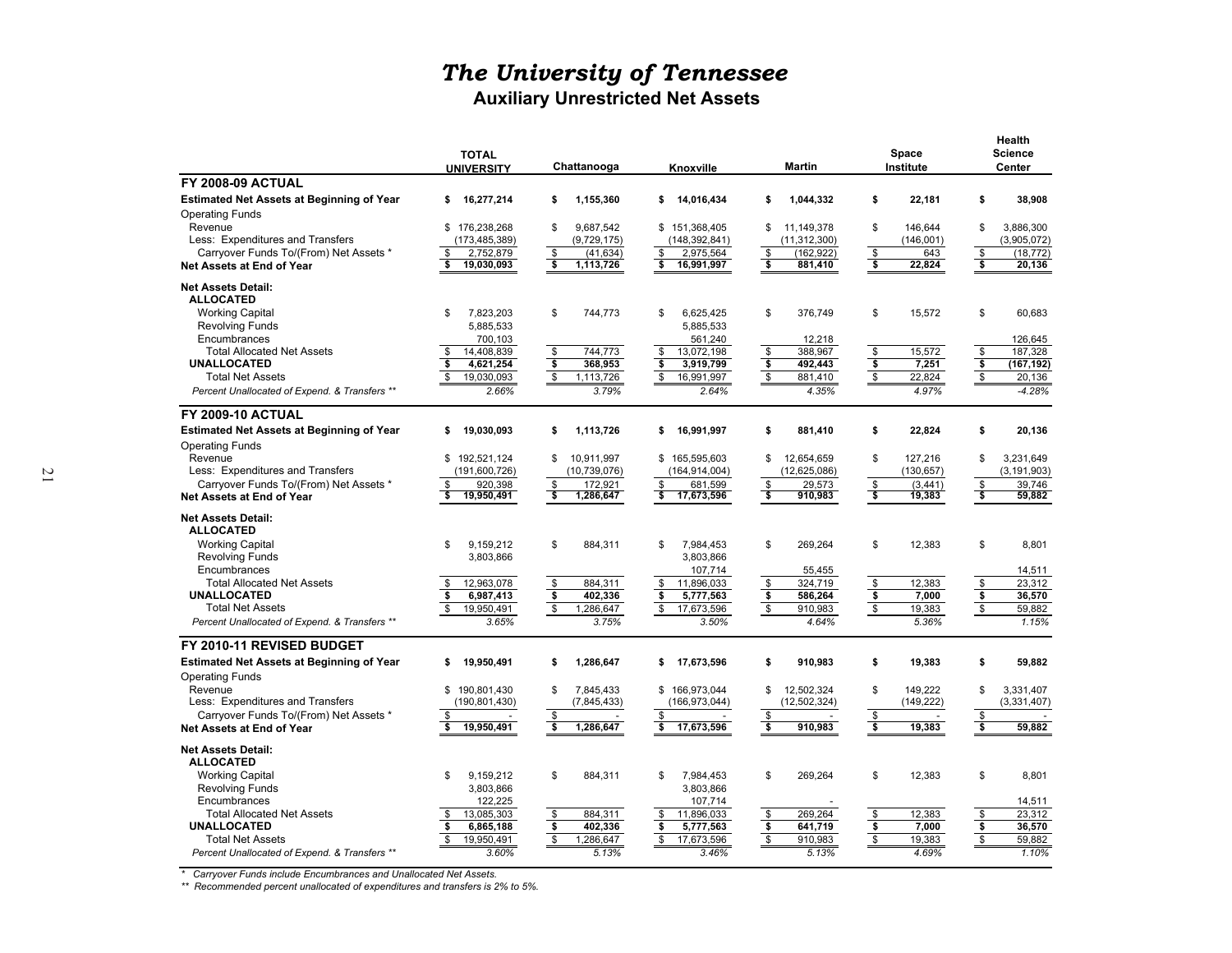**Auxiliary Unrestricted Net Assets**

|                                                                            | <b>TOTAL</b><br><b>UNIVERSITY</b>     | Chattanooga                               | Knoxville                            | <b>Martin</b>                                | Space<br>Institute                            | Health<br><b>Science</b><br>Center                             |
|----------------------------------------------------------------------------|---------------------------------------|-------------------------------------------|--------------------------------------|----------------------------------------------|-----------------------------------------------|----------------------------------------------------------------|
| <b>FY 2008-09 ACTUAL</b>                                                   |                                       |                                           |                                      |                                              |                                               |                                                                |
| <b>Estimated Net Assets at Beginning of Year</b><br><b>Operating Funds</b> | 16,277,214<br>\$                      | 1,155,360<br>\$                           | 14,016,434<br>\$                     | \$<br>1,044,332                              | \$<br>22,181                                  | \$<br>38,908                                                   |
| Revenue                                                                    | \$176.238.268                         | \$<br>9.687.542                           | \$151,368,405                        | \$<br>11.149.378                             | \$<br>146.644                                 | \$<br>3.886.300                                                |
| Less: Expenditures and Transfers                                           | (173,485,389)                         | (9,729,175)                               | (148, 392, 841)                      | (11, 312, 300)                               | (146,001)                                     | (3,905,072)                                                    |
| Carryover Funds To/(From) Net Assets *                                     | 2,752,879<br>\$                       | \$<br>(41, 634)                           | 2,975,564<br>\$                      | (162, 922)<br>\$                             | \$<br>643                                     | \$<br>(18, 772)                                                |
| Net Assets at End of Year                                                  | \$<br>19,030,093                      | \$<br>1,113,726                           | $\ddot{\bullet}$<br>16,991,997       | \$<br>881,410                                | \$<br>22,824                                  | \$<br>20,136                                                   |
| <b>Net Assets Detail:</b><br><b>ALLOCATED</b>                              |                                       |                                           |                                      |                                              |                                               |                                                                |
| <b>Working Capital</b>                                                     | 7,823,203<br>\$                       | \$<br>744,773                             | 6,625,425<br>\$                      | \$<br>376,749                                | \$<br>15,572                                  | \$<br>60,683                                                   |
| <b>Revolving Funds</b>                                                     | 5,885,533                             |                                           | 5,885,533                            |                                              |                                               |                                                                |
| Encumbrances                                                               | 700,103                               |                                           | 561,240                              | 12,218                                       |                                               | 126,645                                                        |
| <b>Total Allocated Net Assets</b>                                          | 14,408,839<br>\$                      | \$<br>744,773                             | 13,072,198<br>\$                     | \$<br>388,967                                | \$<br>15,572                                  | \$<br>187,328                                                  |
| UNALLOCATED                                                                | \$<br>4.621.254                       | $\overline{\cdot}$<br>368.953             | $\overline{\mathbf{s}}$<br>3.919.799 | \$<br>492.443                                | $\overline{\boldsymbol{\mathsf{s}}}$<br>7.251 | $\overline{\bullet}$<br>(167, 192)                             |
| <b>Total Net Assets</b>                                                    | \$<br>19,030,093                      | \$<br>1,113,726                           | \$<br>16,991,997                     | $\pmb{\mathfrak{s}}$<br>881,410              | $\$\$<br>22,824                               | $\pmb{\mathbb{S}}$<br>20,136                                   |
| Percent Unallocated of Expend. & Transfers **                              | 2.66%                                 | 3.79%                                     | 2.64%                                | 4.35%                                        | 4.97%                                         | $-4.28%$                                                       |
| <b>FY 2009-10 ACTUAL</b>                                                   |                                       |                                           |                                      |                                              |                                               |                                                                |
| <b>Estimated Net Assets at Beginning of Year</b><br><b>Operating Funds</b> | 19,030,093<br>\$                      | 1,113,726<br>\$                           | 16,991,997<br>\$                     | \$<br>881,410                                | \$<br>22,824                                  | 20,136<br>S                                                    |
| Revenue                                                                    | \$192,521,124                         | 10,911,997<br>\$                          | \$165,595,603                        | \$<br>12,654,659                             | \$<br>127,216                                 | \$<br>3.231.649                                                |
| Less: Expenditures and Transfers                                           | (191,600,726)                         | (10, 739, 076)                            | (164,914,004)                        | (12, 625, 086)                               | (130, 657)                                    | (3.191, 903)                                                   |
| Carryover Funds To/(From) Net Assets *                                     | 920,398<br>\$                         | $\frac{1}{2}$<br>172,921                  | \$<br>681,599                        | \$<br>29,573                                 | \$<br>(3, 441)                                | \$<br>39,746                                                   |
| <b>Net Assets at End of Year</b>                                           | $\overline{\mathbf{3}}$<br>19,950,491 | \$<br>1,286,647                           | $\ddot{\bullet}$<br>17,673,596       | $\overline{\bullet}$<br>910,983              | \$<br>19,383                                  | \$<br>59,882                                                   |
| <b>Net Assets Detail:</b>                                                  |                                       |                                           |                                      |                                              |                                               |                                                                |
| <b>ALLOCATED</b>                                                           |                                       |                                           |                                      |                                              |                                               |                                                                |
| <b>Working Capital</b>                                                     | 9,159,212<br>\$                       | \$<br>884,311                             | 7,984,453<br>\$                      | \$<br>269,264                                | \$<br>12,383                                  | \$<br>8,801                                                    |
| <b>Revolving Funds</b><br>Encumbrances                                     | 3,803,866                             |                                           | 3,803,866<br>107,714                 | 55,455                                       |                                               | 14,511                                                         |
| <b>Total Allocated Net Assets</b>                                          | 12,963,078<br>\$                      | \$<br>884,311                             | \$<br>11,896,033                     | 324,719<br>\$                                | \$<br>12,383                                  | 23,312<br>\$                                                   |
| <b>UNALLOCATED</b>                                                         | \$<br>6,987,413                       | $\overline{\bullet}$<br>402,336           | \$<br>5,777,563                      | \$<br>586,264                                | \$<br>7,000                                   | \$<br>36,570                                                   |
| <b>Total Net Assets</b>                                                    | \$<br>19,950,491                      | \$<br>1,286,647                           | \$<br>17,673,596                     | \$<br>910,983                                | \$<br>19,383                                  | \$<br>59,882                                                   |
| Percent Unallocated of Expend. & Transfers **                              | 3.65%                                 | 3.75%                                     | 3.50%                                | 4.64%                                        | 5.36%                                         | 1.15%                                                          |
| FY 2010-11 REVISED BUDGET                                                  |                                       |                                           |                                      |                                              |                                               |                                                                |
| <b>Estimated Net Assets at Beginning of Year</b>                           | 19,950,491<br>\$                      | 1,286,647<br>\$                           | \$<br>17,673,596                     | \$<br>910,983                                | \$<br>19,383                                  | \$<br>59,882                                                   |
| <b>Operating Funds</b>                                                     |                                       |                                           |                                      |                                              |                                               |                                                                |
| Revenue                                                                    | \$190,801,430                         | 7.845.433<br>\$                           | 166,973,044<br>\$                    | \$<br>12,502,324                             | \$<br>149,222                                 | \$<br>3,331,407                                                |
| Less: Expenditures and Transfers<br>Carryover Funds To/(From) Net Assets * | (190,801,430)                         | (7, 845, 433)                             | (166, 973, 044)                      | (12, 502, 324)                               | (149, 222)                                    | (3,331,407)                                                    |
| Net Assets at End of Year                                                  | \$<br>19,950,491<br>\$                | $\frac{1}{2}$<br>\$<br>1,286,647          | \$<br>\$<br>17,673,596               | \$<br>s<br>910,983                           | $\frac{\$}{\$}$<br>19,383                     | $\boldsymbol{\mathsf{S}}$<br>$\overline{\mathbf{s}}$<br>59,882 |
| <b>Net Assets Detail:</b>                                                  |                                       |                                           |                                      |                                              |                                               |                                                                |
| <b>ALLOCATED</b>                                                           |                                       |                                           |                                      |                                              |                                               |                                                                |
| <b>Working Capital</b>                                                     | 9,159,212<br>\$                       | \$<br>884,311                             | \$<br>7,984,453                      | \$<br>269,264                                | \$<br>12,383                                  | \$<br>8,801                                                    |
| <b>Revolving Funds</b>                                                     | 3,803,866                             |                                           | 3,803,866                            |                                              |                                               |                                                                |
| Encumbrances                                                               | 122,225                               |                                           | 107.714                              |                                              |                                               | 14,511                                                         |
| <b>Total Allocated Net Assets</b>                                          | 13,085,303<br>\$                      | \$<br>884,311                             | 11,896,033<br>\$                     | \$<br>269,264                                | \$<br>12,383                                  | \$<br>23,312                                                   |
| <b>UNALLOCATED</b>                                                         | \$<br>6,865,188                       | \$<br>402,336<br>$\overline{\mathcal{S}}$ | \$<br>5,777,563                      | \$<br>641,719                                | \$<br>7,000                                   | \$<br>36,570                                                   |
| <b>Total Net Assets</b>                                                    | \$<br>19,950,491<br>3.60%             | 1,286,647<br>5.13%                        | \$<br>17,673,596<br>3.46%            | $\overline{\mathcal{S}}$<br>910,983<br>5.13% | $$\mathfrak{s}$$<br>19,383<br>4.69%           | $\overline{\mathcal{S}}$<br>59,882<br>1.10%                    |
| Percent Unallocated of Expend. & Transfers **                              |                                       |                                           |                                      |                                              |                                               |                                                                |

*\* Carryover Funds include Encumbrances and Unallocated Net Assets.*

*\*\* Recommended percent unallocated of expenditures and transfers is 2% to 5%.*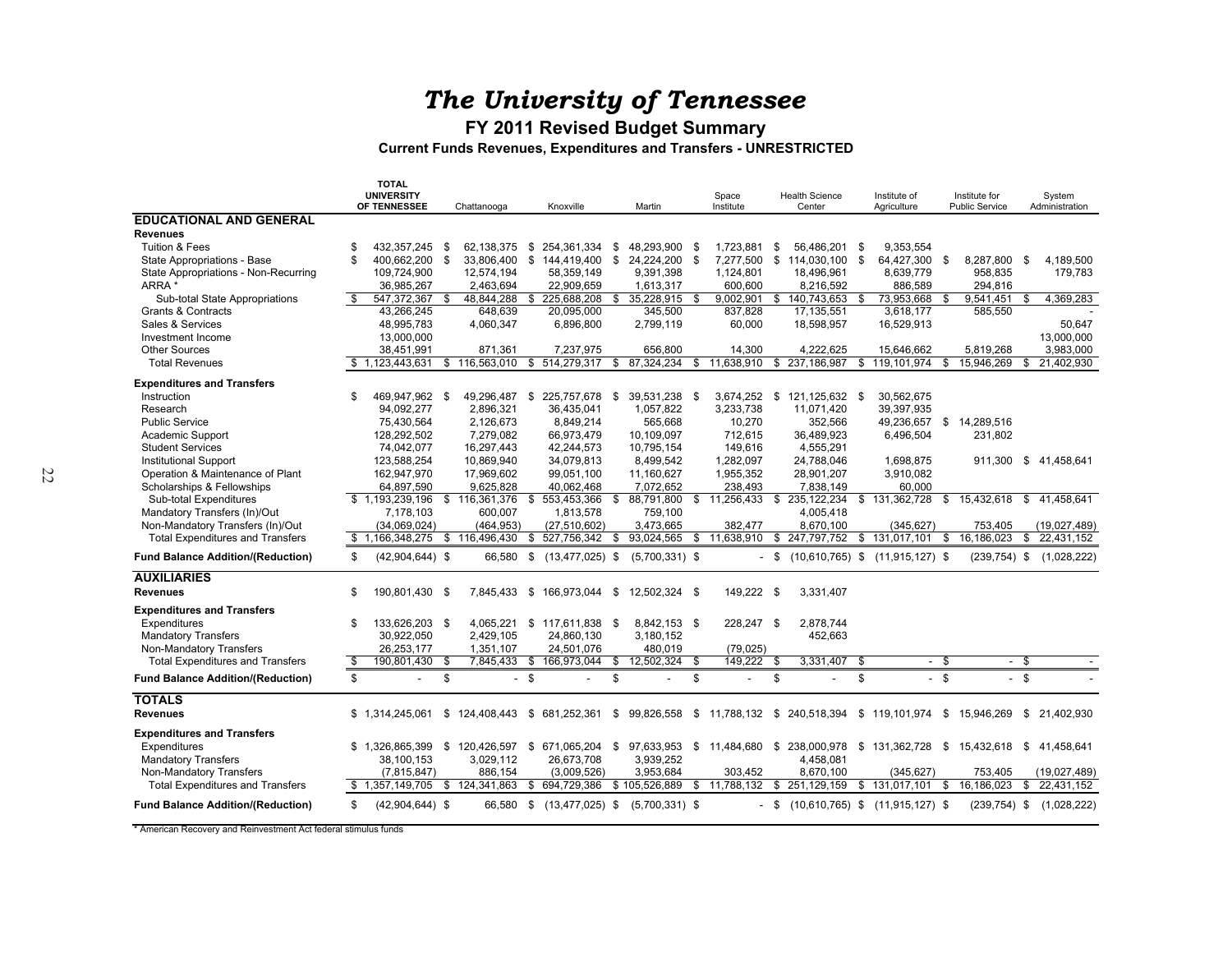#### **FY 2011 Revised Budget Summary**

**Current Funds Revenues, Expenditures and Transfers - UNRESTRICTED**

|                                          |      | TOTAL<br><b>UNIVERSITY</b><br>OF TENNESSEE |      | Chattanooga   |             | Knoxville            |                    | Martin                      |              | Space<br>Institute       |      | <b>Health Science</b><br>Center                           | Institute of<br>Agriculture |                         | Institute for<br><b>Public Service</b> |        | System<br>Administration     |
|------------------------------------------|------|--------------------------------------------|------|---------------|-------------|----------------------|--------------------|-----------------------------|--------------|--------------------------|------|-----------------------------------------------------------|-----------------------------|-------------------------|----------------------------------------|--------|------------------------------|
| <b>EDUCATIONAL AND GENERAL</b>           |      |                                            |      |               |             |                      |                    |                             |              |                          |      |                                                           |                             |                         |                                        |        |                              |
| <b>Revenues</b>                          |      |                                            |      |               |             |                      |                    |                             |              |                          |      |                                                           |                             |                         |                                        |        |                              |
| <b>Tuition &amp; Fees</b>                | \$   | 432,357,245                                | - \$ | 62,138,375    | \$          | 254,361,334          | \$                 | 48,293,900                  | \$           | 1,723,881                | - \$ | 56,486,201                                                | \$<br>9,353,554             |                         |                                        |        |                              |
| State Appropriations - Base              | \$   | 400,662,200                                | \$   | 33,806,400    |             | \$144,419,400        | \$                 | 24,224,200                  | - \$         | 7,277,500                |      | \$114,030,100                                             | \$<br>64,427,300            | \$                      | 8,287,800                              | \$     | 4,189,500                    |
| State Appropriations - Non-Recurring     |      | 109,724,900                                |      | 12,574,194    |             | 58,359,149           |                    | 9,391,398                   |              | 1,124,801                |      | 18,496,961                                                | 8,639,779                   |                         | 958,835                                |        | 179,783                      |
| ARRA *                                   |      | 36,985,267                                 |      | 2,463,694     |             | 22,909,659           |                    | 1,613,317                   |              | 600,600                  |      | 8,216,592                                                 | 886,589                     |                         | 294,816                                |        |                              |
| Sub-total State Appropriations           | - \$ | 547,372,367                                | \$   | 48,844,288    | \$          | 225,688,208          | \$                 | 35,228,915                  | S            | 9,002,901                | \$   | 140,743,653                                               | \$<br>73,953,668            | \$                      | 9,541,451                              | \$     | 4,369,283                    |
| Grants & Contracts                       |      | 43,266,245                                 |      | 648,639       |             | 20,095,000           |                    | 345,500                     |              | 837,828                  |      | 17,135,551                                                | 3,618,177                   |                         | 585,550                                |        |                              |
| Sales & Services                         |      | 48.995.783                                 |      | 4.060.347     |             | 6.896.800            |                    | 2.799.119                   |              | 60.000                   |      | 18.598.957                                                | 16,529,913                  |                         |                                        |        | 50.647                       |
| Investment Income                        |      | 13,000,000                                 |      |               |             |                      |                    |                             |              |                          |      |                                                           |                             |                         |                                        |        | 13.000.000                   |
| <b>Other Sources</b>                     |      | 38.451.991                                 |      | 871,361       |             | 7,237,975            |                    | 656.800                     |              | 14,300                   |      | 4.222.625                                                 | 15,646,662                  |                         | 5.819.268                              |        | 3.983.000                    |
| <b>Total Revenues</b>                    |      | \$1,123,443,631                            |      | \$116,563,010 |             | \$514,279,317        | \$                 | 87,324,234                  | $\mathbf{s}$ | 11.638.910               |      | \$237.186.987                                             | \$<br>119,101,974           | $\overline{\mathbf{s}}$ | 15,946,269                             | \$     | 21,402,930                   |
| <b>Expenditures and Transfers</b>        |      |                                            |      |               |             |                      |                    |                             |              |                          |      |                                                           |                             |                         |                                        |        |                              |
| Instruction                              | \$   | 469.947.962 \$                             |      | 49.296.487    |             | \$225,757,678        | \$                 | 39,531,238 \$               |              |                          |      | 3,674,252 \$ 121,125,632 \$                               | 30.562.675                  |                         |                                        |        |                              |
| Research                                 |      | 94.092.277                                 |      | 2.896.321     |             | 36.435.041           |                    | 1.057.822                   |              | 3.233.738                |      | 11.071.420                                                | 39.397.935                  |                         |                                        |        |                              |
| <b>Public Service</b>                    |      | 75,430,564                                 |      | 2,126,673     |             | 8,849,214            |                    | 565.668                     |              | 10,270                   |      | 352,566                                                   | 49,236,657                  |                         | \$14,289,516                           |        |                              |
| Academic Support                         |      | 128.292.502                                |      | 7.279.082     |             | 66.973.479           |                    | 10.109.097                  |              | 712.615                  |      | 36.489.923                                                | 6,496,504                   |                         | 231.802                                |        |                              |
| <b>Student Services</b>                  |      | 74,042,077                                 |      | 16,297,443    |             | 42,244,573           |                    | 10,795,154                  |              | 149.616                  |      | 4,555,291                                                 |                             |                         |                                        |        |                              |
| <b>Institutional Support</b>             |      | 123.588.254                                |      | 10,869,940    |             | 34,079,813           |                    | 8.499.542                   |              | 1,282,097                |      | 24,788,046                                                | 1,698,875                   |                         | 911.300                                |        | \$41,458,641                 |
| Operation & Maintenance of Plant         |      | 162,947,970                                |      | 17,969,602    |             | 99,051,100           |                    | 11,160,627                  |              | 1,955,352                |      | 28,901,207                                                | 3,910,082                   |                         |                                        |        |                              |
| Scholarships & Fellowships               |      | 64,897,590                                 |      | 9,625,828     |             | 40,062,468           |                    | 7,072,652                   |              | 238,493                  |      | 7,838,149                                                 | 60.000                      |                         |                                        |        |                              |
| Sub-total Expenditures                   |      | \$1,193,239,196                            |      | \$116,361,376 | \$          | 553,453,366          | \$                 | 88,791,800 \$ 11,256,433 \$ |              |                          |      | 235,122,234                                               | \$131,362,728               | \$                      | 15,432,618                             | \$     | 41.458.641                   |
| Mandatory Transfers (In)/Out             |      | 7.178.103                                  |      | 600.007       |             | 1,813,578            |                    | 759,100                     |              |                          |      | 4,005,418                                                 |                             |                         |                                        |        |                              |
| Non-Mandatory Transfers (In)/Out         |      | (34,069,024)                               |      | (464, 953)    |             | (27, 510, 602)       |                    | 3,473,665                   |              | 382,477                  |      | 8,670,100                                                 | (345, 627)                  |                         | 753,405                                |        | (19,027,489)                 |
| <b>Total Expenditures and Transfers</b>  |      | \$1,166,348,275                            |      | \$116,496,430 | \$          | 527,756,342          | \$                 | 93,024,565                  | \$           | 11,638,910               |      | \$247,797,752                                             | \$131,017,101               | S.                      | 16,186,023                             | \$     | 22,431,152                   |
| <b>Fund Balance Addition/(Reduction)</b> | \$   | $(42,904,644)$ \$                          |      | 66.580        | \$          | $(13, 477, 025)$ \$  |                    | $(5,700,331)$ \$            |              | $\overline{\phantom{a}}$ |      | \$(10,610,765) \$(11,915,127) \$                          |                             |                         |                                        |        | $(239,754)$ \$ $(1,028,222)$ |
| <b>AUXILIARIES</b>                       |      |                                            |      |               |             |                      |                    |                             |              |                          |      |                                                           |                             |                         |                                        |        |                              |
| <b>Revenues</b>                          | \$   | 190,801,430 \$                             |      | 7,845,433     |             | \$166,973,044        | \$                 | 12,502,324 \$               |              | 149.222 \$               |      | 3,331,407                                                 |                             |                         |                                        |        |                              |
| <b>Expenditures and Transfers</b>        |      |                                            |      |               |             |                      |                    |                             |              |                          |      |                                                           |                             |                         |                                        |        |                              |
| Expenditures                             | \$   | 133.626.203 \$                             |      | 4.065.221     |             | \$117,611,838        | - \$               | 8.842.153 \$                |              | 228.247 \$               |      | 2.878.744                                                 |                             |                         |                                        |        |                              |
| <b>Mandatory Transfers</b>               |      | 30,922,050                                 |      | 2,429,105     |             | 24,860,130           |                    | 3,180,152                   |              |                          |      | 452,663                                                   |                             |                         |                                        |        |                              |
| Non-Mandatory Transfers                  |      | 26,253,177                                 |      | 1,351,107     |             | 24,501,076           |                    | 480,019                     |              | (79, 025)                |      |                                                           |                             |                         |                                        |        |                              |
| <b>Total Expenditures and Transfers</b>  | \$   | 190,801,430                                | \$   | 7,845,433     | \$          | 166,973,044          | $\mathbf{\hat{s}}$ | 12,502,324                  | \$           | 149,222                  | \$   | 3,331,407                                                 | \$<br>$\sim$                | - \$                    |                                        | - \$   |                              |
| <b>Fund Balance Addition/(Reduction)</b> | \$   |                                            | \$   |               | $\mathbf s$ |                      | \$                 |                             | \$           |                          | \$   |                                                           | \$                          | $\mathbf{s}$            |                                        | $-$ \$ |                              |
| <b>TOTALS</b>                            |      |                                            |      |               |             |                      |                    |                             |              |                          |      |                                                           |                             |                         |                                        |        |                              |
| <b>Revenues</b>                          |      | \$1,314,245,061                            |      | \$124,408,443 |             | $$681,252,361$ \$    |                    |                             |              |                          |      | 99,826,558 \$ 11,788,132 \$ 240,518,394 \$ 119,101,974 \$ |                             |                         | 15,946,269                             |        | \$ 21,402,930                |
| <b>Expenditures and Transfers</b>        |      |                                            |      |               |             |                      |                    |                             |              |                          |      |                                                           |                             |                         |                                        |        |                              |
| Expenditures                             |      | \$1,326,865,399                            |      | \$120,426,597 |             | \$ 671,065,204       |                    | \$97,633,953                |              |                          |      | \$11,484,680 \$238,000,978                                | \$131,362,728               | \$                      | 15,432,618                             | - \$   | 41,458,641                   |
| <b>Mandatory Transfers</b>               |      | 38,100,153                                 |      | 3,029,112     |             | 26,673,708           |                    | 3,939,252                   |              |                          |      | 4,458,081                                                 |                             |                         |                                        |        |                              |
| Non-Mandatory Transfers                  |      | (7, 815, 847)                              |      | 886,154       |             | (3,009,526)          |                    | 3,953,684                   |              | 303,452                  |      | 8,670,100                                                 | (345, 627)                  |                         | 753,405                                |        | (19,027,489)                 |
| <b>Total Expenditures and Transfers</b>  |      | \$1,357,149,705                            |      | \$124,341,863 | \$          | 694,729,386          |                    | \$105,526,889               | \$           | 11,788,132               |      | \$251,129,159                                             | \$131,017,101               | \$                      | 16,186,023                             | \$     | 22,431,152                   |
|                                          |      |                                            |      |               |             |                      |                    |                             |              |                          |      |                                                           |                             |                         |                                        |        |                              |
| <b>Fund Balance Addition/(Reduction)</b> | \$   | $(42,904,644)$ \$                          |      | 66,580        |             | $$(13, 477, 025)$ \$ |                    | $(5,700,331)$ \$            |              |                          |      | $-$ \$ (10,610,765) \$ (11,915,127) \$                    |                             |                         | $(239,754)$ \$                         |        | (1,028,222)                  |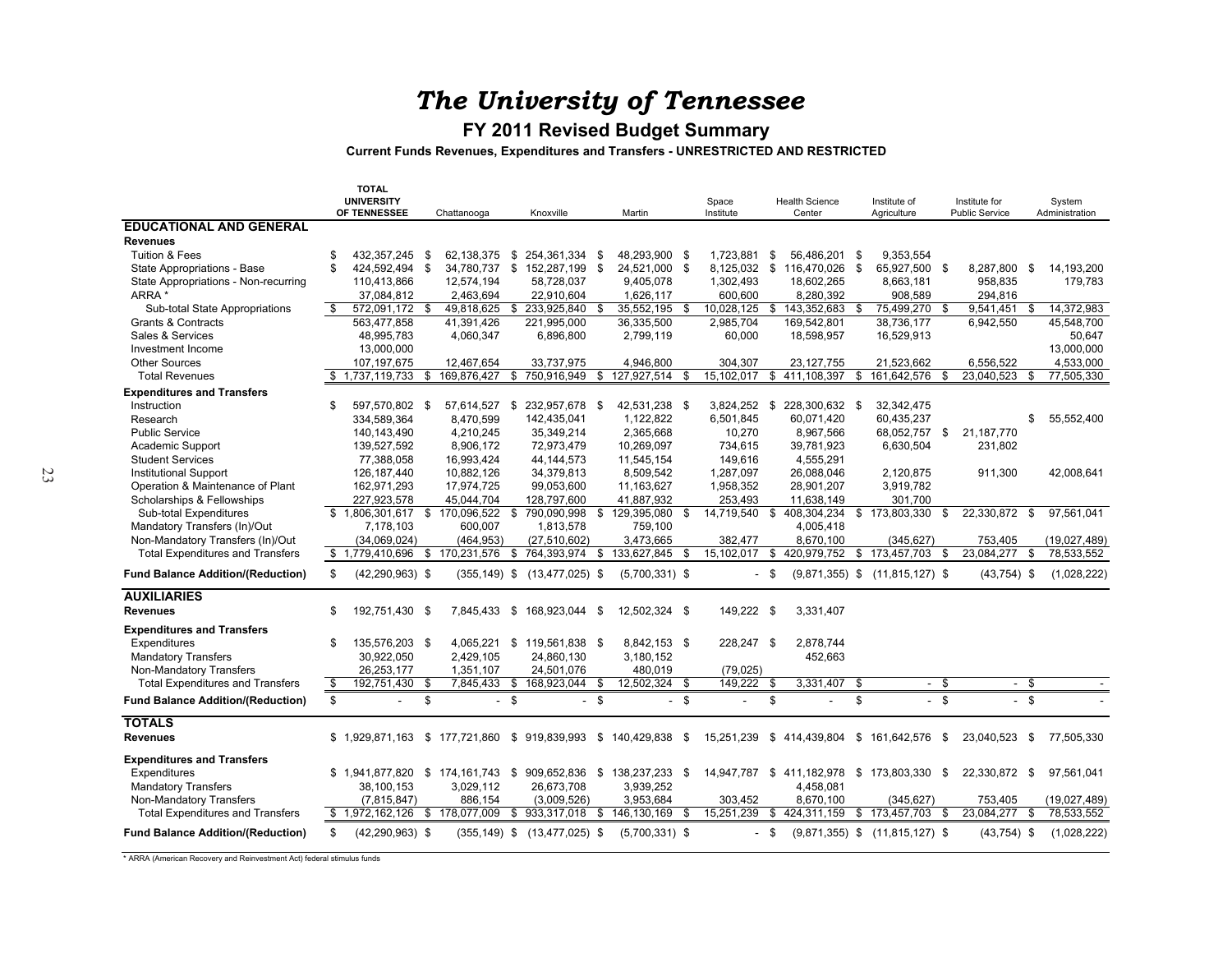#### **FY 2011 Revised Budget Summary**

**Current Funds Revenues, Expenditures and Transfers - UNRESTRICTED AND RESTRICTED**

|                                                                             | TOTAL<br><b>UNIVERSITY</b><br>OF TENNESSEE |      | Chattanooga                 |      | Knoxville                           |          | Martin                       |          | Space<br>Institute    |      | <b>Health Science</b><br>Center |          | Institute of<br>Agriculture        |        | Institute for<br><b>Public Service</b> |      | System<br>Administration   |
|-----------------------------------------------------------------------------|--------------------------------------------|------|-----------------------------|------|-------------------------------------|----------|------------------------------|----------|-----------------------|------|---------------------------------|----------|------------------------------------|--------|----------------------------------------|------|----------------------------|
| <b>EDUCATIONAL AND GENERAL</b>                                              |                                            |      |                             |      |                                     |          |                              |          |                       |      |                                 |          |                                    |        |                                        |      |                            |
| <b>Revenues</b>                                                             |                                            |      |                             |      |                                     |          |                              |          |                       |      |                                 |          |                                    |        |                                        |      |                            |
| <b>Tuition &amp; Fees</b>                                                   | \$<br>432,357,245                          | -\$  | 62,138,375                  | - \$ | 254,361,334                         | - \$     | 48,293,900 \$                |          | 1,723,881             | \$   | 56,486,201 \$                   |          | 9,353,554                          |        |                                        |      |                            |
| State Appropriations - Base                                                 | \$<br>424.592.494                          | - \$ | 34,780,737 \$               |      | 152,287,199                         | - \$     | 24,521,000 \$                |          | 8,125,032             |      | \$116,470,026                   | <b>S</b> | 65,927,500 \$                      |        | 8.287.800                              | - \$ | 14.193.200                 |
| State Appropriations - Non-recurring                                        | 110,413,866                                |      | 12,574,194                  |      | 58,728,037                          |          | 9,405,078                    |          | 1,302,493             |      | 18,602,265                      |          | 8,663,181                          |        | 958,835                                |      | 179,783                    |
| ARRA *                                                                      | 37,084,812                                 |      | 2,463,694                   |      | 22,910,604                          |          | 1,626,117                    |          | 600,600               |      | 8,280,392                       |          | 908,589                            |        | 294,816                                |      |                            |
| Sub-total State Appropriations                                              | \$<br>572,091,172                          | \$   | 49.818.625                  | s.   | 233,925,840                         | S        | 35,552,195                   | - \$     | 10.028.125            |      | \$143,352,683                   | \$       | 75.499.270                         | \$     | 9.541.451                              | \$   | 14,372,983                 |
| <b>Grants &amp; Contracts</b>                                               | 563,477,858                                |      | 41,391,426                  |      | 221,995,000                         |          | 36,335,500                   |          | 2,985,704             |      | 169,542,801                     |          | 38,736,177                         |        | 6,942,550                              |      | 45,548,700                 |
| Sales & Services                                                            | 48,995,783                                 |      | 4,060,347                   |      | 6,896,800                           |          | 2,799,119                    |          | 60,000                |      | 18,598,957                      |          | 16,529,913                         |        |                                        |      | 50,647                     |
| Investment Income                                                           | 13,000,000                                 |      |                             |      |                                     |          |                              |          |                       |      |                                 |          |                                    |        |                                        |      | 13,000,000                 |
| <b>Other Sources</b>                                                        | 107, 197, 675                              |      | 12,467,654                  |      | 33,737,975                          |          | 4,946,800                    |          | 304,307               |      | 23,127,755                      |          | 21,523,662                         |        | 6,556,522                              |      | 4,533,000                  |
| <b>Total Revenues</b>                                                       | \$<br>1,737,119,733                        | \$   | 169,876,427                 | \$   | 750,916,949                         | \$       | 127,927,514                  | <b>S</b> | 15,102,017            |      | \$411,108,397                   | \$       | 161,642,576                        | \$     | 23,040,523                             | - \$ | 77,505,330                 |
|                                                                             |                                            |      |                             |      |                                     |          |                              |          |                       |      |                                 |          |                                    |        |                                        |      |                            |
| <b>Expenditures and Transfers</b>                                           | \$<br>597.570.802                          |      |                             |      |                                     |          |                              |          |                       |      |                                 |          | 32,342,475                         |        |                                        |      |                            |
| Instruction                                                                 |                                            | - \$ | 57,614,527                  |      | \$232,957,678                       | - \$     | 42,531,238 \$                |          | 3,824,252             | \$   | 228,300,632 \$                  |          |                                    |        |                                        |      |                            |
| Research<br><b>Public Service</b>                                           | 334,589,364                                |      | 8,470,599                   |      | 142,435,041                         |          | 1,122,822<br>2,365,668       |          | 6,501,845             |      | 60,071,420                      |          | 60,435,237                         |        |                                        | \$   | 55,552,400                 |
|                                                                             | 140, 143, 490<br>139,527,592               |      | 4,210,245<br>8,906,172      |      | 35,349,214<br>72,973,479            |          |                              |          | 10,270                |      | 8,967,566                       |          | 68,052,757<br>6,630,504            | \$     | 21, 187, 770                           |      |                            |
| Academic Support<br><b>Student Services</b>                                 | 77,388,058                                 |      | 16,993,424                  |      | 44,144,573                          |          | 10,269,097<br>11,545,154     |          | 734,615<br>149,616    |      | 39,781,923<br>4,555,291         |          |                                    |        | 231,802                                |      |                            |
|                                                                             |                                            |      | 10,882,126                  |      | 34,379,813                          |          |                              |          | 1,287,097             |      | 26,088,046                      |          |                                    |        |                                        |      | 42,008,641                 |
| <b>Institutional Support</b>                                                | 126, 187, 440                              |      |                             |      |                                     |          | 8,509,542                    |          |                       |      |                                 |          | 2,120,875                          |        | 911,300                                |      |                            |
| Operation & Maintenance of Plant                                            | 162,971,293                                |      | 17,974,725                  |      | 99,053,600                          |          | 11,163,627                   |          | 1,958,352<br>253.493  |      | 28,901,207                      |          | 3,919,782                          |        |                                        |      |                            |
| Scholarships & Fellowships<br>Sub-total Expenditures                        | 227,923,578<br>\$1,806,301,617             |      | 45,044,704<br>\$170,096,522 | \$   | 128,797,600<br>790,090,998          | -S       | 41,887,932<br>129,395,080 \$ |          | 14,719,540            | \$   | 11,638,149<br>408,304,234       |          | 301,700<br>\$173,803,330           | \$     | 22,330,872 \$                          |      | 97,561,041                 |
| Mandatory Transfers (In)/Out                                                | 7.178.103                                  |      | 600.007                     |      | 1,813,578                           |          | 759.100                      |          |                       |      | 4,005,418                       |          |                                    |        |                                        |      |                            |
|                                                                             |                                            |      |                             |      |                                     |          |                              |          |                       |      |                                 |          |                                    |        |                                        |      |                            |
| Non-Mandatory Transfers (In)/Out<br><b>Total Expenditures and Transfers</b> | (34,069,024)<br>\$1,779,410,696            |      | (464, 953)<br>\$170,231,576 | \$   | (27,510,602)                        | \$       | 3,473,665<br>133,627,845     | \$       | 382,477<br>15,102,017 | \$   | 8,670,100<br>420,979,752        | \$       | (345, 627)<br>173,457,703          | \$     | 753,405<br>23,084,277                  | \$   | (19,027,489)<br>78,533,552 |
|                                                                             |                                            |      |                             |      | 764,393,974                         |          |                              |          |                       |      |                                 |          |                                    |        |                                        |      |                            |
| <b>Fund Balance Addition/(Reduction)</b>                                    | \$<br>$(42, 290, 963)$ \$                  |      |                             |      | $(355, 149)$ \$ $(13, 477, 025)$ \$ |          | $(5,700,331)$ \$             |          |                       | - \$ |                                 |          | $(9,871,355)$ \$ $(11,815,127)$ \$ |        | $(43,754)$ \$                          |      | (1,028,222)                |
| <b>AUXILIARIES</b>                                                          |                                            |      |                             |      |                                     |          |                              |          |                       |      |                                 |          |                                    |        |                                        |      |                            |
| <b>Revenues</b>                                                             | \$<br>192,751,430                          | - \$ | 7,845,433                   | \$   | 168,923,044                         | - \$     | 12,502,324 \$                |          | 149,222 \$            |      | 3,331,407                       |          |                                    |        |                                        |      |                            |
| <b>Expenditures and Transfers</b>                                           |                                            |      |                             |      |                                     |          |                              |          |                       |      |                                 |          |                                    |        |                                        |      |                            |
| Expenditures                                                                | \$<br>135,576,203                          | - \$ | 4,065,221                   |      | \$119,561,838 \$                    |          | 8,842,153 \$                 |          | 228,247 \$            |      | 2,878,744                       |          |                                    |        |                                        |      |                            |
| <b>Mandatory Transfers</b>                                                  | 30,922,050                                 |      | 2,429,105                   |      | 24,860,130                          |          | 3,180,152                    |          |                       |      | 452,663                         |          |                                    |        |                                        |      |                            |
| Non-Mandatory Transfers                                                     | 26,253,177                                 |      | 1,351,107                   |      | 24,501,076                          |          | 480,019                      |          | (79, 025)             |      |                                 |          |                                    |        |                                        |      |                            |
| <b>Total Expenditures and Transfers</b>                                     | \$<br>192,751,430                          | \$   | 7,845,433                   | - \$ | 168,923,044                         | \$       | 12,502,324 \$                |          | 149,222               | \$   | 3,331,407 \$                    |          |                                    | - \$   | $-$ \$                                 |      |                            |
| <b>Fund Balance Addition/(Reduction)</b>                                    | \$                                         | \$   |                             | - \$ |                                     | $-$ \$   |                              | - \$     |                       | \$   |                                 | \$       |                                    | $-$ \$ | - \$                                   |      |                            |
| <b>TOTALS</b>                                                               |                                            |      |                             |      |                                     |          |                              |          |                       |      |                                 |          |                                    |        |                                        |      |                            |
| <b>Revenues</b>                                                             | \$1.929.871.163                            |      | \$177.721.860               |      | \$919.839.993                       | <b>S</b> | 140.429.838                  | - \$     | 15.251.239            |      | \$414.439.804                   |          | \$161.642.576                      | -\$    | 23.040.523                             | \$   | 77.505.330                 |
|                                                                             |                                            |      |                             |      |                                     |          |                              |          |                       |      |                                 |          |                                    |        |                                        |      |                            |
| <b>Expenditures and Transfers</b>                                           |                                            |      |                             |      |                                     |          |                              |          |                       |      |                                 |          |                                    |        |                                        |      |                            |
| Expenditures                                                                | \$1,941,877,820                            |      | \$174,161,743 \$909,652,836 |      |                                     |          | $$138,237,233$ \$            |          | 14,947,787            |      | \$411,182,978                   |          | \$173,803,330                      | \$     | 22,330,872<br>- \$                     |      | 97,561,041                 |
| <b>Mandatory Transfers</b>                                                  | 38,100,153                                 |      | 3,029,112                   |      | 26,673,708                          |          | 3,939,252                    |          |                       |      | 4,458,081                       |          |                                    |        |                                        |      |                            |
| Non-Mandatory Transfers                                                     | (7, 815, 847)                              |      | 886,154                     |      | (3,009,526)                         |          | 3,953,684                    |          | 303,452               |      | 8,670,100                       |          | (345, 627)                         |        | 753,405                                |      | (19,027,489)               |
| <b>Total Expenditures and Transfers</b>                                     | \$1,972,162,126                            |      | \$178,077,009               |      | \$933,317,018                       |          | $$146,130,169$ \$            |          | 15,251,239            | \$   | 424,311,159                     |          | \$173,457,703                      | \$     | 23,084,277<br>- \$                     |      | 78,533,552                 |
| <b>Fund Balance Addition/(Reduction)</b>                                    | \$<br>$(42, 290, 963)$ \$                  |      |                             |      | $(355, 149)$ \$ $(13, 477, 025)$ \$ |          | $(5,700,331)$ \$             |          |                       | - \$ |                                 |          | $(9,871,355)$ \$ $(11,815,127)$ \$ |        | $(43,754)$ \$                          |      | (1,028,222)                |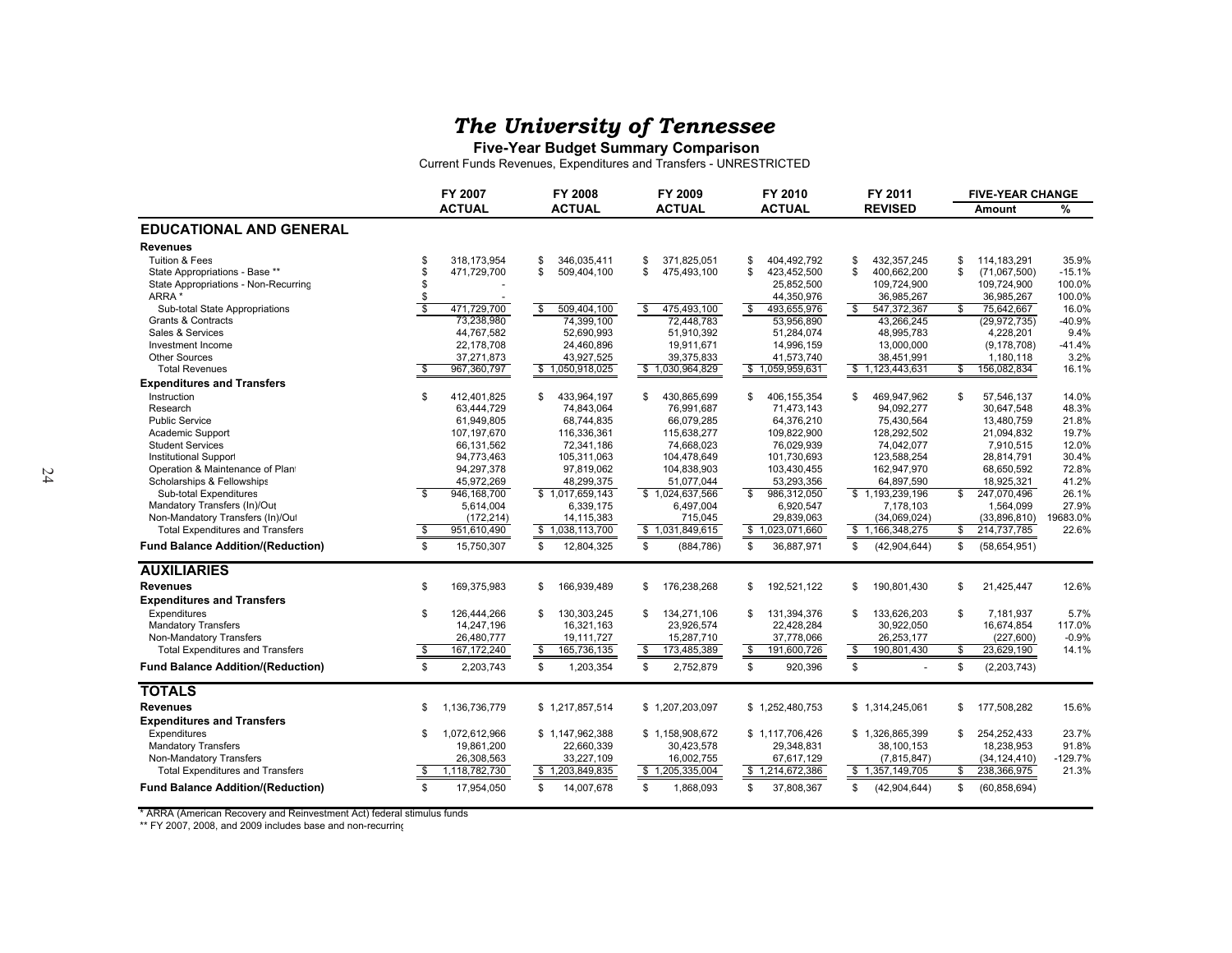**Five-Year Budget Summary Comparison**

Current Funds Revenues, Expenditures and Transfers - UNRESTRICTED

|                                          |                         | FY 2007       | FY 2008                                  | FY 2009                                | FY 2010                                  | FY 2011              | <b>FIVE-YEAR CHANGE</b> |           |
|------------------------------------------|-------------------------|---------------|------------------------------------------|----------------------------------------|------------------------------------------|----------------------|-------------------------|-----------|
|                                          |                         | <b>ACTUAL</b> | <b>ACTUAL</b>                            | <b>ACTUAL</b>                          | <b>ACTUAL</b>                            | <b>REVISED</b>       | <b>Amount</b>           | %         |
| <b>EDUCATIONAL AND GENERAL</b>           |                         |               |                                          |                                        |                                          |                      |                         |           |
| <b>Revenues</b>                          |                         |               |                                          |                                        |                                          |                      |                         |           |
| Tuition & Fees                           | \$                      | 318,173,954   | \$<br>346,035,411                        | \$<br>371,825,051                      | 404,492,792<br>\$                        | \$<br>432, 357, 245  | \$<br>114,183,291       | 35.9%     |
| State Appropriations - Base **           | \$                      | 471,729,700   | \$<br>509,404,100                        | 475,493,100<br>\$                      | 423,452,500<br>\$                        | \$<br>400,662,200    | \$<br>(71,067,500)      | $-15.1%$  |
| State Appropriations - Non-Recurring     | \$                      |               |                                          |                                        | 25,852,500                               | 109,724,900          | 109,724,900             | 100.0%    |
| ARRA <sup>*</sup>                        |                         |               |                                          |                                        | 44,350,976                               | 36,985,267           | 36,985,267              | 100.0%    |
| Sub-total State Appropriations           | $\frac{1}{3}$           | 471,729,700   | 509,404,100<br>$\boldsymbol{\mathsf{s}}$ | $\overline{\mathbf{s}}$<br>475,493,100 | 493,655,976<br>$\boldsymbol{\mathsf{s}}$ | 547,372,367<br>\$    | \$<br>75,642,667        | 16.0%     |
| <b>Grants &amp; Contracts</b>            |                         | 73,238,980    | 74,399,100                               | 72.448.783                             | 53,956,890                               | 43,266,245           | (29, 972, 735)          | -40.9%    |
| Sales & Services                         |                         | 44,767,582    | 52,690,993                               | 51,910,392                             | 51,284,074                               | 48,995,783           | 4,228,201               | 9.4%      |
| Investment Income                        |                         | 22,178,708    | 24,460,896                               | 19,911,671                             | 14,996,159                               | 13,000,000           | (9, 178, 708)           | $-41.4%$  |
| <b>Other Sources</b>                     |                         | 37,271,873    | 43,927,525                               | 39,375,833                             | 41,573,740                               | 38,451,991           | 1,180,118               | 3.2%      |
| <b>Total Revenues</b>                    | \$                      | 967,360,797   | \$1,050,918,025                          | \$1,030,964,829                        | \$1,059,959,631                          | \$1,123,443,631      | \$<br>156,082,834       | 16.1%     |
| <b>Expenditures and Transfers</b>        |                         |               |                                          |                                        |                                          |                      |                         |           |
| Instruction                              | \$                      | 412,401,825   | \$<br>433,964,197                        | 430,865,699<br>\$                      | 406,155,354<br>\$                        | \$<br>469,947,962    | \$<br>57,546,137        | 14.0%     |
| Research                                 |                         | 63,444,729    | 74,843,064                               | 76,991,687                             | 71,473,143                               | 94,092,277           | 30,647,548              | 48.3%     |
| <b>Public Service</b>                    |                         | 61,949,805    | 68,744,835                               | 66,079,285                             | 64,376,210                               | 75,430,564           | 13,480,759              | 21.8%     |
| Academic Support                         |                         | 107, 197, 670 | 116,336,361                              | 115,638,277                            | 109,822,900                              | 128,292,502          | 21,094,832              | 19.7%     |
| <b>Student Services</b>                  |                         | 66,131,562    | 72,341,186                               | 74,668,023                             | 76,029,939                               | 74,042,077           | 7,910,515               | 12.0%     |
| <b>Institutional Support</b>             |                         | 94,773,463    | 105,311,063                              | 104,478,649                            | 101,730,693                              | 123,588,254          | 28,814,791              | 30.4%     |
| Operation & Maintenance of Plan          |                         | 94,297,378    | 97,819,062                               | 104,838,903                            | 103,430,455                              | 162,947,970          | 68,650,592              | 72.8%     |
| Scholarships & Fellowships               |                         | 45,972,269    | 48,299,375                               | 51,077,044                             | 53,293,356                               | 64,897,590           | 18,925,321              | 41.2%     |
| Sub-total Expenditures                   | -S                      | 946.168.700   | \$1,017,659,143                          | \$1.024.637.566                        | $\overline{\mathbb{S}}$<br>986.312.050   | \$1,193,239,196      | \$<br>247.070.496       | 26.1%     |
| Mandatory Transfers (In)/Out             |                         | 5,614,004     | 6,339,175                                | 6,497,004                              | 6.920.547                                | 7,178,103            | 1,564,099               | 27.9%     |
| Non-Mandatory Transfers (In)/Out         |                         | (172, 214)    | 14,115,383                               | 715,045                                | 29,839,063                               | (34,069,024)         | (33,896,810)            | 19683.0%  |
| <b>Total Expenditures and Transfers</b>  | $\overline{\mathbf{s}}$ | 951,610,490   | \$1,038,113,700                          | \$1,031,849,615                        | \$1,023,071,660                          | \$1,166,348,275      | \$<br>214,737,785       | 22.6%     |
| <b>Fund Balance Addition/(Reduction)</b> | \$                      | 15,750,307    | \$<br>12,804,325                         | \$<br>(884, 786)                       | \$<br>36,887,971                         | \$<br>(42,904,644)   | \$<br>(58, 654, 951)    |           |
| <b>AUXILIARIES</b>                       |                         |               |                                          |                                        |                                          |                      |                         |           |
| <b>Revenues</b>                          | \$                      | 169,375,983   | 166,939,489<br>\$                        | 176,238,268<br>\$                      | 192,521,122<br>\$                        | 190,801,430<br>\$    | \$<br>21,425,447        | 12.6%     |
| <b>Expenditures and Transfers</b>        |                         |               |                                          |                                        |                                          |                      |                         |           |
| Expenditures                             | \$                      | 126,444,266   | \$<br>130,303,245                        | 134,271,106<br>S                       | 131,394,376<br>\$.                       | 133,626,203<br>\$    | \$<br>7,181,937         | 5.7%      |
| <b>Mandatory Transfers</b>               |                         | 14.247.196    | 16,321,163                               | 23,926,574                             | 22.428.284                               | 30,922,050           | 16.674.854              | 117.0%    |
| Non-Mandatory Transfers                  |                         | 26,480,777    | 19,111,727                               | 15,287,710                             | 37,778,066                               | 26,253,177           | (227, 600)              | $-0.9%$   |
| <b>Total Expenditures and Transfers</b>  | \$                      | 167, 172, 240 | \$<br>165,736,135                        | \$<br>173,485,389                      | \$<br>191,600,726                        | \$<br>190,801,430    | \$<br>23,629,190        | 14.1%     |
| <b>Fund Balance Addition/(Reduction)</b> | S.                      | 2,203,743     | \$<br>1,203,354                          | S.<br>2,752,879                        | \$<br>920,396                            | \$                   | \$<br>(2,203,743)       |           |
| <b>TOTALS</b>                            |                         |               |                                          |                                        |                                          |                      |                         |           |
| <b>Revenues</b>                          | \$                      | 1,136,736,779 | \$1,217,857,514                          | \$1,207,203,097                        | \$1,252,480,753                          | \$1,314,245,061      | \$<br>177,508,282       | 15.6%     |
| <b>Expenditures and Transfers</b>        |                         |               |                                          |                                        |                                          |                      |                         |           |
| Expenditures                             | \$                      | 1.072.612.966 | \$1,147,962,388                          | \$1,158,908,672                        | \$1,117,706,426                          | \$1,326,865,399      | \$<br>254,252,433       | 23.7%     |
| <b>Mandatory Transfers</b>               |                         | 19,861,200    | 22,660,339                               | 30,423,578                             | 29,348,831                               | 38,100,153           | 18,238,953              | 91.8%     |
| Non-Mandatory Transfers                  |                         | 26,308,563    | 33,227,109                               | 16,002,755                             | 67,617,129                               | (7, 815, 847)        | (34, 124, 410)          | $-129.7%$ |
| <b>Total Expenditures and Transfers</b>  | \$                      | 1,118,782,730 | \$1,203,849,835                          | \$1,205,335,004                        | \$1,214,672,386                          | \$1,357,149,705      | \$<br>238,366,975       | 21.3%     |
| <b>Fund Balance Addition/(Reduction)</b> | \$                      | 17,954,050    | \$<br>14,007,678                         | \$<br>1,868,093                        | 37,808,367<br>\$                         | \$<br>(42, 904, 644) | \$<br>(60, 858, 694)    |           |
|                                          |                         |               |                                          |                                        |                                          |                      |                         |           |

\* ARRA (American Recovery and Reinvestment Act) federal stimulus funds

\*\* FY 2007, 2008, and 2009 includes base and non-recurring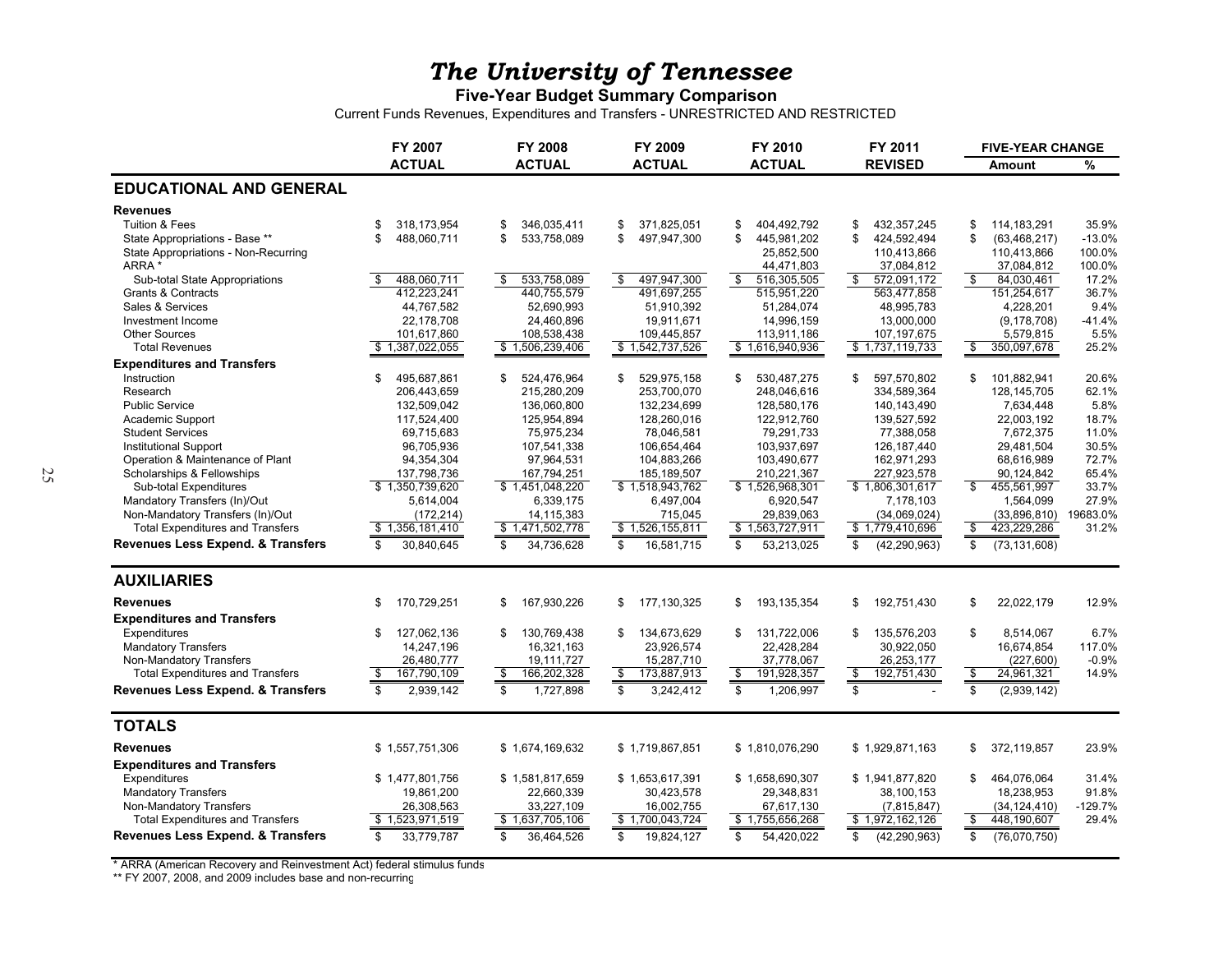#### **Five-Year Budget Summary Comparison**

Current Funds Revenues, Expenditures and Transfers - UNRESTRICTED AND RESTRICTED

|                                                                    | FY 2007                                 | <b>FY 2008</b>                | FY 2009                                 | FY 2010                                 | FY 2011                        |                          | <b>FIVE-YEAR CHANGE</b>       |                    |
|--------------------------------------------------------------------|-----------------------------------------|-------------------------------|-----------------------------------------|-----------------------------------------|--------------------------------|--------------------------|-------------------------------|--------------------|
|                                                                    | <b>ACTUAL</b>                           | <b>ACTUAL</b>                 | <b>ACTUAL</b>                           | <b>ACTUAL</b>                           | <b>REVISED</b>                 |                          | Amount                        | %                  |
| <b>EDUCATIONAL AND GENERAL</b>                                     |                                         |                               |                                         |                                         |                                |                          |                               |                    |
| <b>Revenues</b>                                                    |                                         |                               |                                         |                                         |                                |                          |                               |                    |
| <b>Tuition &amp; Fees</b>                                          | \$<br>318,173,954                       | \$<br>346,035,411             | \$<br>371,825,051                       | 404,492,792<br>\$                       | \$<br>432, 357, 245            | \$                       | 114,183,291                   | 35.9%              |
| State Appropriations - Base **                                     | 488.060.711<br>\$                       | \$<br>533,758,089             | \$<br>497,947,300                       | 445,981,202<br>\$                       | \$<br>424,592,494              | \$                       | (63, 468, 217)                | $-13.0%$           |
| State Appropriations - Non-Recurring                               |                                         |                               |                                         | 25,852,500                              | 110,413,866                    |                          | 110,413,866                   | 100.0%             |
| ARRA *                                                             |                                         |                               |                                         | 44,471,803                              | 37,084,812                     |                          | 37,084,812                    | 100.0%             |
| Sub-total State Appropriations                                     | 488,060,711<br>\$                       | 533,758,089<br>\$             | 497,947,300<br>\$                       | \$<br>516,305,505                       | $\bullet$<br>572,091,172       | \$                       | 84,030,461                    | 17.2%              |
| <b>Grants &amp; Contracts</b>                                      | 412,223,241                             | 440,755,579                   | 491,697,255                             | 515,951,220                             | 563,477,858                    |                          | 151,254,617                   | 36.7%              |
| Sales & Services                                                   | 44,767,582                              | 52.690.993                    | 51.910.392                              | 51.284.074                              | 48.995.783                     |                          | 4.228.201                     | 9.4%               |
| Investment Income                                                  | 22,178,708                              | 24,460,896                    | 19,911,671                              | 14,996,159                              | 13,000,000                     |                          | (9, 178, 708)                 | $-41.4%$           |
| <b>Other Sources</b>                                               | 101,617,860                             | 108,538,438                   | 109,445,857                             | 113,911,186                             | 107, 197, 675                  |                          | 5,579,815                     | 5.5%               |
| <b>Total Revenues</b>                                              | \$1,387,022,055                         | \$1,506,239,406               | \$1,542,737,526                         | \$1,616,940,936                         | \$1,737,119,733                | \$                       | 350,097,678                   | 25.2%              |
| <b>Expenditures and Transfers</b>                                  |                                         |                               |                                         |                                         |                                |                          |                               |                    |
| Instruction                                                        | \$<br>495.687.861                       | 524.476.964<br>\$             | \$<br>529.975.158                       | 530.487.275<br>\$                       | \$<br>597.570.802              | \$                       | 101.882.941                   | 20.6%              |
| Research                                                           | 206,443,659                             | 215,280,209                   | 253,700,070                             | 248,046,616                             | 334,589,364                    |                          | 128,145,705                   | 62.1%              |
| <b>Public Service</b>                                              | 132,509,042                             | 136,060,800                   | 132,234,699                             | 128,580,176                             | 140,143,490                    |                          | 7,634,448                     | 5.8%               |
| Academic Support                                                   | 117,524,400                             | 125,954,894                   | 128,260,016                             | 122,912,760                             | 139,527,592                    |                          | 22,003,192                    | 18.7%              |
| <b>Student Services</b>                                            | 69,715,683                              | 75,975,234                    | 78,046,581                              | 79,291,733                              | 77,388,058                     |                          | 7,672,375                     | 11.0%              |
| <b>Institutional Support</b>                                       | 96,705,936                              | 107.541.338                   | 106,654,464                             | 103,937,697                             | 126, 187, 440                  |                          | 29.481.504                    | 30.5%              |
| Operation & Maintenance of Plant                                   | 94,354,304                              | 97,964,531                    | 104,883,266                             | 103,490,677                             | 162,971,293                    |                          | 68,616,989                    | 72.7%              |
| Scholarships & Fellowships                                         | 137,798,736                             | 167,794,251                   | 185,189,507                             | 210,221,367                             | 227,923,578                    |                          | 90,124,842                    | 65.4%              |
| Sub-total Expenditures                                             | \$1.350.739.620                         | \$1,451,048,220               | \$1.518.943.762                         | \$1,526,968,301                         | \$1,806,301,617                | \$                       | 455.561.997                   | 33.7%              |
| Mandatory Transfers (In)/Out                                       | 5,614,004                               | 6,339,175                     | 6,497,004                               | 6,920,547                               | 7,178,103                      |                          | 1,564,099                     | 27.9%              |
| Non-Mandatory Transfers (In)/Out                                   | (172, 214)                              | 14,115,383                    | 715,045                                 | 29,839,063                              | (34,069,024)                   |                          | (33,896,810)                  | 19683.0%           |
| <b>Total Expenditures and Transfers</b>                            | \$1,356,181,410                         | \$1,471,502,778               | \$1,526,155,811                         | \$1,563,727,911                         | \$1,779,410,696                | $\overline{\mathbf{s}}$  | 423,229,286                   | 31.2%              |
| <b>Revenues Less Expend. &amp; Transfers</b>                       | \$<br>30,840,645                        | \$<br>34,736,628              | \$<br>16,581,715                        | 53,213,025<br>\$                        | \$<br>(42, 290, 963)           | \$                       | (73, 131, 608)                |                    |
| <b>AUXILIARIES</b>                                                 |                                         |                               |                                         |                                         |                                |                          |                               |                    |
| <b>Revenues</b>                                                    | \$<br>170,729,251                       | \$<br>167,930,226             | \$<br>177,130,325                       | \$<br>193,135,354                       | 192,751,430<br>\$              | \$                       | 22,022,179                    | 12.9%              |
| <b>Expenditures and Transfers</b>                                  |                                         |                               |                                         |                                         |                                |                          |                               |                    |
| Expenditures                                                       | \$<br>127,062,136                       | \$<br>130,769,438             | \$<br>134,673,629                       | 131,722,006<br>\$                       | \$<br>135,576,203              | \$                       | 8,514,067                     | 6.7%               |
| <b>Mandatory Transfers</b>                                         | 14,247,196                              | 16,321,163                    | 23,926,574                              | 22,428,284                              | 30,922,050                     |                          | 16,674,854                    | 117.0%             |
| Non-Mandatory Transfers                                            | 26,480,777                              | 19,111,727                    | 15,287,710                              | 37,778,067                              | 26,253,177                     |                          | (227, 600)                    | $-0.9%$            |
| <b>Total Expenditures and Transfers</b>                            | $\overline{\mathcal{S}}$<br>167,790,109 | $\sqrt[6]{3}$<br>166,202,328  | $\overline{\mathcal{S}}$<br>173,887,913 | $\overline{\mathcal{E}}$<br>191,928,357 | $\overline{\$}$<br>192,751,430 | $\overline{\mathcal{S}}$ | 24,961,321                    | 14.9%              |
| <b>Revenues Less Expend. &amp; Transfers</b>                       | $\mathfrak{s}$<br>2,939,142             | \$<br>1,727,898               | \$<br>3,242,412                         | \$<br>1,206,997                         | \$                             | \$                       | (2,939,142)                   |                    |
| <b>TOTALS</b>                                                      |                                         |                               |                                         |                                         |                                |                          |                               |                    |
| <b>Revenues</b>                                                    | \$1,557,751,306                         | \$1,674,169,632               | \$1,719,867,851                         | \$1,810,076,290                         | \$1,929,871,163                | \$                       | 372,119,857                   | 23.9%              |
|                                                                    |                                         |                               |                                         |                                         |                                |                          |                               |                    |
| <b>Expenditures and Transfers</b>                                  |                                         |                               |                                         |                                         |                                |                          |                               |                    |
| Expenditures                                                       | \$1,477,801,756                         | \$1,581,817,659               | \$1,653,617,391                         | \$1,658,690,307                         | \$1,941,877,820                | \$                       | 464,076,064                   | 31.4%              |
| <b>Mandatory Transfers</b>                                         | 19,861,200                              | 22,660,339                    | 30,423,578                              | 29,348,831                              | 38,100,153                     |                          | 18,238,953                    | 91.8%              |
| Non-Mandatory Transfers<br><b>Total Expenditures and Transfers</b> | 26,308,563<br>\$1,523,971,519           | 33,227,109<br>\$1,637,705,106 | 16,002,755<br>\$1,700,043,724           | 67,617,130<br>\$1,755,656,268           | (7, 815, 847)                  | S.                       | (34, 124, 410)<br>448,190,607 | $-129.7%$<br>29.4% |
|                                                                    |                                         |                               |                                         |                                         | \$1,972,162,126                |                          |                               |                    |
| <b>Revenues Less Expend. &amp; Transfers</b>                       | \$<br>33,779,787                        | \$<br>36,464,526              | \$<br>19,824,127                        | 54,420,022<br>\$                        | \$<br>(42, 290, 963)           | $\mathbb{S}$             | (76,070,750)                  |                    |

\* ARRA (American Recovery and Reinvestment Act) federal stimulus funds

\*\* FY 2007, 2008, and 2009 includes base and non-recurring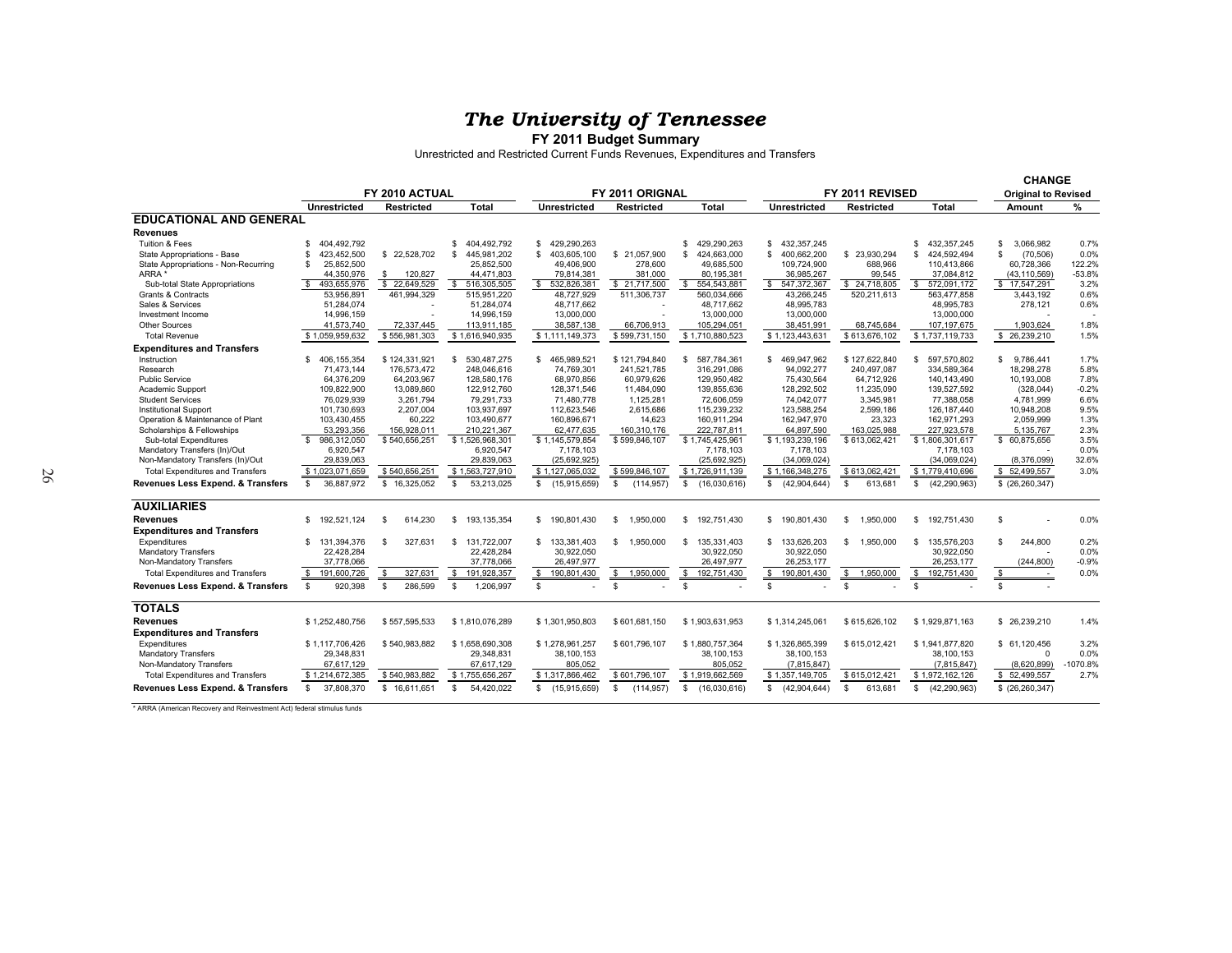## *Th e University of Tennesse e* **FY 2011 Budget Summary**

Unrestricted and Restricted Current Funds Revenues, Expenditures and Transfers

|                                         |                     |                     |                    |                             |                   |                             |                      |                 |                            | <b>CHANGE</b>                  |            |
|-----------------------------------------|---------------------|---------------------|--------------------|-----------------------------|-------------------|-----------------------------|----------------------|-----------------|----------------------------|--------------------------------|------------|
|                                         |                     | FY 2010 ACTUAL      |                    |                             | FY 2011 ORIGNAL   |                             |                      | FY 2011 REVISED |                            | <b>Original to Revised</b>     |            |
|                                         | <b>Unrestricted</b> | <b>Restricted</b>   | Total              | <b>Unrestricted</b>         | <b>Restricted</b> | <b>Total</b>                | <b>Unrestricted</b>  | Restricted      | <b>Total</b>               | Amount                         | %          |
| <b>EDUCATIONAL AND GENERAL</b>          |                     |                     |                    |                             |                   |                             |                      |                 |                            |                                |            |
| Revenues                                |                     |                     |                    |                             |                   |                             |                      |                 |                            |                                |            |
| Tuition & Fees                          | 404.492.792<br>\$.  |                     | \$.<br>404,492,792 | \$.<br>429.290.263          |                   | 429,290,263<br>-S           | 432, 357, 245<br>s.  |                 | S.<br>432, 357, 245        | \$<br>3.066.982                | 0.7%       |
| State Appropriations - Base             | 423,452,500<br>\$   | \$ 22,528,702       | S.<br>445,981,202  | \$<br>403,605,100           | \$ 21,057,900     | S<br>424,663,000            | S<br>400,662,200     | \$23,930,294    | s.<br>424,592,494          | s.<br>(70, 506)                | 0.0%       |
| State Appropriations - Non-Recurring    | 25.852.500<br>S     |                     | 25,852,500         | 49,406,900                  | 278,600           | 49,685,500                  | 109,724,900          | 688,966         | 110,413,866                | 60,728,366                     | 122.2%     |
| ARRA <sup>*</sup>                       | 44.350.976          | 120,827<br>- \$     | 44,471,803         | 79.814.381                  | 381,000           | 80,195,381                  | 36,985,267           | 99,545          | 37,084,812                 | (43, 110, 569)                 | $-53.8%$   |
| Sub-total State Appropriations          | S.<br>493,655,976   | \$22,649,529        | \$<br>516,305,505  | \$<br>532,826,381           | \$ 21,717,500     | $\mathbb{S}$<br>554,543,881 | \$ 547,372,367       | \$ 24,718,805   | $\mathbf s$<br>572,091,172 | \$17,547,291                   | 3.2%       |
| Grants & Contracts                      | 53.956.891          | 461,994,329         | 515.951.220        | 48.727.929                  | 511,306,737       | 560.034.666                 | 43,266,245           | 520.211.613     | 563.477.858                | 3.443.192                      | 0.6%       |
| Sales & Services                        | 51,284,074          |                     | 51,284,074         | 48,717,662                  |                   | 48,717,662                  | 48,995,783           |                 | 48,995,783                 | 278,121                        | 0.6%       |
| Investment Income                       | 14,996,159          |                     | 14,996,159         | 13,000,000                  |                   | 13,000,000                  | 13,000,000           |                 | 13,000,000                 |                                |            |
| <b>Other Sources</b>                    | 41,573,740          | 72,337,445          | 113,911,185        | 38,587,138                  | 66,706,913        | 105,294,051                 | 38,451,991           | 68.745.684      | 107, 197, 675              | 1,903,624                      | 1.8%       |
| <b>Total Revenue</b>                    | \$1,059,959,632     | \$556,981,303       | \$1,616,940,935    | \$1,111,149,373             | \$599,731,150     | \$1,710,880,523             | \$1,123,443,631      | \$613,676,102   | \$1,737,119,733            | \$ 26,239,210                  | 1.5%       |
| <b>Expenditures and Transfers</b>       |                     |                     |                    |                             |                   |                             |                      |                 |                            |                                |            |
| Instruction                             | 406,155,354<br>S.   | \$124,331,921       | 530,487,275<br>S   | 465,989,521<br>\$           | \$121,794,840     | 587,784,361<br>-S           | \$469,947,962        | \$127,622,840   | s.<br>597,570,802          | 9,786,441<br>\$                | 1.7%       |
| Research                                | 71.473.144          | 176.573.472         | 248.046.616        | 74.769.301                  | 241,521,785       | 316.291.086                 | 94,092,277           | 240.497.087     | 334.589.364                | 18.298.278                     | 5.8%       |
| <b>Public Service</b>                   | 64,376,209          | 64,203,967          | 128,580,176        | 68.970.856                  | 60,979,626        | 129,950,482                 | 75,430,564           | 64,712,926      | 140,143,490                | 10,193,008                     | 7.8%       |
| Academic Support                        | 109.822.900         | 13.089.860          | 122,912,760        | 128.371.546                 | 11,484,090        | 139.855.636                 | 128.292.502          | 11.235.090      | 139.527.592                | (328, 044)                     | $-0.2%$    |
| <b>Student Services</b>                 | 76.029.939          | 3.261.794           | 79,291,733         | 71,480,778                  | 1,125,281         | 72,606,059                  | 74.042.077           | 3.345.981       | 77,388,058                 | 4,781,999                      | 6.6%       |
| <b>Institutional Support</b>            | 101,730,693         | 2,207,004           | 103,937,697        | 112,623,546                 | 2,615,686         | 115,239,232                 | 123,588,254          | 2,599,186       | 126, 187, 440              | 10,948,208                     | 9.5%       |
| Operation & Maintenance of Plant        | 103,430,455         | 60,222              | 103,490,677        | 160,896,671                 | 14,623            | 160,911,294                 | 162,947,970          | 23,323          | 162,971,293                | 2,059,999                      | 1.3%       |
| Scholarships & Fellowships              | 53.293.356          | 156.928.011         | 210.221.367        | 62.477.635                  | 160.310.176       | 222.787.811                 | 64.897.590           | 163.025.988     | 227,923,578                | 5.135.767                      | 2.3%       |
| Sub-total Expenditures                  | \$986,312,050       | \$540,656,251       | \$1,526,968,301    | \$1,145,579,854             | \$599,846,107     | \$1,745,425,961             | \$1,193,239,196      | \$613,062,421   | \$1,806,301,617            | \$ 60,875,656                  | 3.5%       |
| Mandatory Transfers (In)/Out            | 6.920.547           |                     | 6,920,547          | 7.178.103                   |                   | 7.178.103                   | 7,178,103            |                 | 7.178.103                  |                                | 0.0%       |
| Non-Mandatory Transfers (In)/Out        | 29,839,063          |                     | 29,839,063         | (25, 692, 925)              |                   | (25, 692, 925)              | (34,069,024)         |                 | (34,069,024)               | (8,376,099)                    | 32.6%      |
| <b>Total Expenditures and Transfers</b> | \$1,023,071,659     | \$540,656,251       | \$1,563,727,910    | \$1,127,065,032             | \$599,846,107     | \$1,726,911,139             | \$1,166,348,275      | \$613,062,421   | \$1,779,410,696            | \$52,499,557                   | 3.0%       |
| Revenues Less Expend. & Transfers       | s.<br>36,887,972    | \$16,325,052        | 53,213,025<br>s.   | \$(15,915,659)              | (114, 957)<br>S.  | \$(16,030,616)              | \$ (42,904,644)      | 613,681<br>S.   | \$ (42, 290, 963)          | \$ (26, 260, 347)              |            |
|                                         |                     |                     |                    |                             |                   |                             |                      |                 |                            |                                |            |
| <b>AUXILIARIES</b>                      |                     |                     |                    |                             |                   |                             |                      |                 |                            |                                |            |
| Revenues                                | 192.521.124<br>s.   | 614.230<br>£.       | \$<br>193.135.354  | \$<br>190.801.430           | S<br>1.950.000    | \$ 192,751,430              | \$190,801,430        | S.<br>1.950.000 | s.<br>192.751.430          | s.                             | 0.0%       |
| <b>Expenditures and Transfers</b>       |                     |                     |                    |                             |                   |                             |                      |                 |                            |                                |            |
| Expenditures                            | s.<br>131,394,376   | <b>S</b><br>327.631 | s.<br>131,722,007  | \$<br>133.381.403           | S<br>1.950.000    | S.<br>135,331,403           | \$ 133,626,203       | s.<br>1.950.000 | s<br>135,576,203           | s.<br>244,800                  | 0.2%       |
| <b>Mandatory Transfers</b>              | 22.428.284          |                     | 22,428,284         | 30.922.050                  |                   | 30.922.050                  | 30,922,050           |                 | 30.922.050                 |                                | 0.0%       |
| Non-Mandatory Transfers                 | 37.778.066          |                     | 37,778,066         | 26.497.977                  |                   | 26.497.977                  | 26.253.177           |                 | 26.253.177                 | (244, 800)                     | $-0.9%$    |
| <b>Total Expenditures and Transfers</b> | \$191,600,726       | S<br>327,631        | S.<br>191,928,357  | $\mathbb{S}$<br>190,801,430 | S.<br>1,950,000   | S.<br>192.751.430           | \$190,801,430        | S.<br>1.950.000 | \$<br>192,751,430          | \$<br>$\overline{\phantom{a}}$ | 0.0%       |
| Revenues Less Expend. & Transfers       | 920,398<br>-S       | 286,599<br>\$.      | S<br>1,206,997     | \$                          | S.                | \$                          | S                    | $\mathbf{s}$    | \$.                        | s.                             |            |
| <b>TOTALS</b>                           |                     |                     |                    |                             |                   |                             |                      |                 |                            |                                |            |
|                                         |                     |                     |                    |                             |                   |                             |                      |                 |                            |                                |            |
| <b>Revenues</b>                         | \$1.252.480.756     | \$557.595.533       | \$1.810.076.289    | \$1.301.950.803             | \$601.681.150     | \$1.903.631.953             | \$1,314,245,061      | \$615,626,102   | \$1.929.871.163            | \$ 26,239,210                  | 1.4%       |
| <b>Expenditures and Transfers</b>       |                     |                     |                    |                             |                   |                             |                      |                 |                            |                                |            |
| Expenditures                            | \$1,117,706,426     | \$540,983,882       | \$1,658,690,308    | \$1,278,961,257             | \$601,796,107     | \$1,880,757,364             | \$1,326,865,399      | \$615,012,421   | \$1,941,877,820            | \$ 61,120,456                  | 3.2%       |
| <b>Mandatory Transfers</b>              | 29.348.831          |                     | 29.348.831         | 38.100.153                  |                   | 38.100.153                  | 38.100.153           |                 | 38.100.153                 | $\Omega$                       | 0.0%       |
| Non-Mandatory Transfers                 | 67,617,129          |                     | 67,617,129         | 805,052                     |                   | 805,052                     | (7, 815, 847)        |                 | (7, 815, 847)              | (8,620,899)                    | $-1070.8%$ |
| <b>Total Expenditures and Transfers</b> | \$1,214,672,385     | \$540,983,882       | \$1,755,656,267    | \$1,317,866,462             | \$601,796,107     | \$1,919,662,569             | \$1,357,149,705      | \$615,012,421   | \$1,972,162,126            | \$52,499,557                   | 2.7%       |
| Revenues Less Expend. & Transfers       | 37,808,370<br>S.    | \$16,611,651        | 54,420,022<br>s.   | \$(15,915,659)              | \$<br>(114, 957)  | \$<br>(16,030,616)          | (42, 904, 644)<br>s. | S.<br>613,681   | \$<br>(42, 290, 963)       | \$(26, 260, 347)               |            |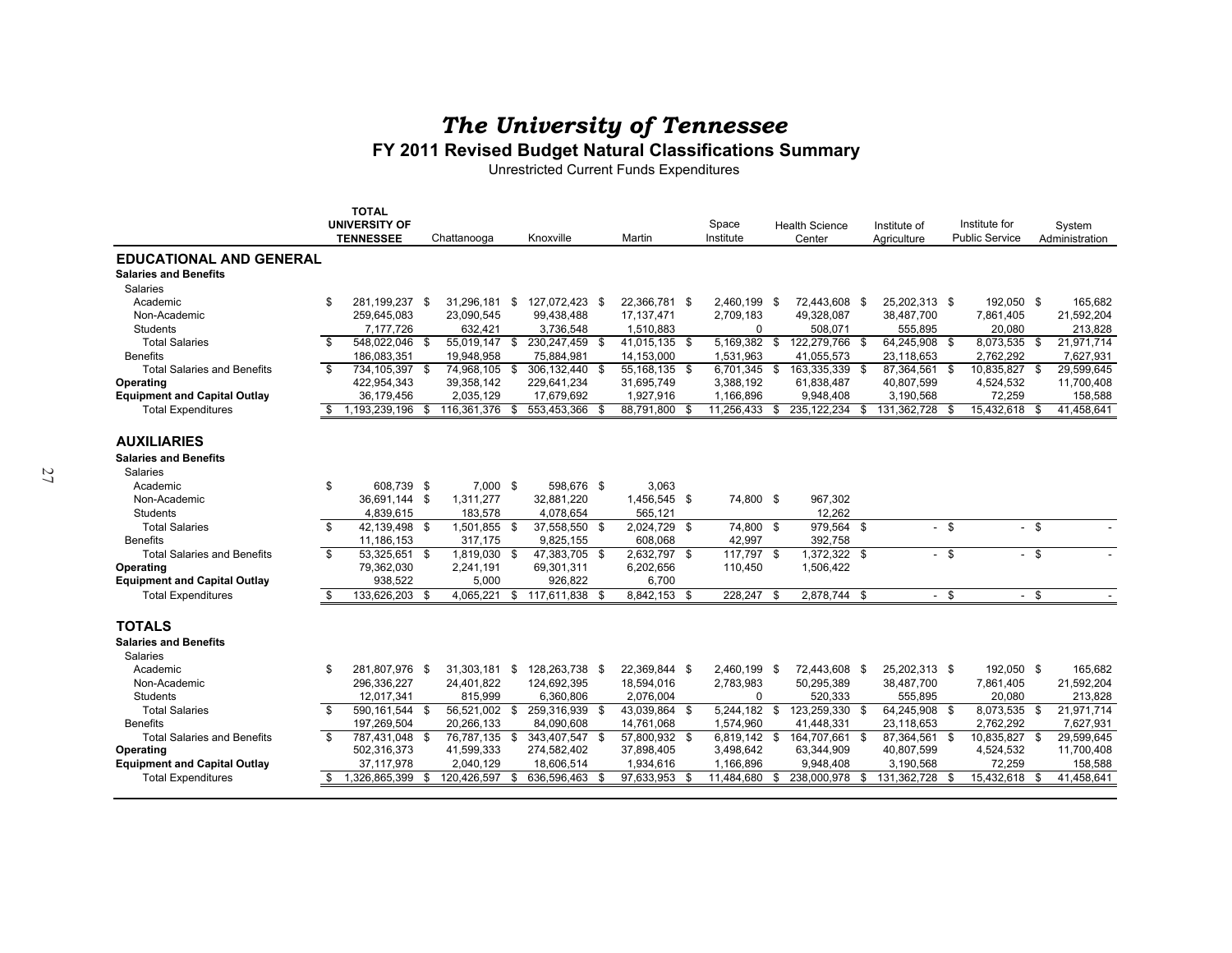#### *The University of Tennessee* **FY 2011 Revised Budget Natural Classifications Summary**

Unrestricted Current Funds Expenditures

|                                                                | <b>TOTAL</b><br><b>UNIVERSITY OF</b> |                       |     |                         |      |                           |      | Space                  |      | <b>Health Science</b>       |      | Institute of                |        | Institute for         |      | System                |
|----------------------------------------------------------------|--------------------------------------|-----------------------|-----|-------------------------|------|---------------------------|------|------------------------|------|-----------------------------|------|-----------------------------|--------|-----------------------|------|-----------------------|
|                                                                | <b>TENNESSEE</b>                     | Chattanooga           |     | Knoxville               |      | Martin                    |      | Institute              |      | Center                      |      | Agriculture                 |        | <b>Public Service</b> |      | Administration        |
| <b>EDUCATIONAL AND GENERAL</b><br><b>Salaries and Benefits</b> |                                      |                       |     |                         |      |                           |      |                        |      |                             |      |                             |        |                       |      |                       |
| Salaries                                                       |                                      |                       |     |                         |      |                           |      |                        |      |                             |      |                             |        |                       |      |                       |
| Academic                                                       | 281,199,237 \$<br>\$<br>259,645,083  | 31,296,181 \$         |     | 127,072,423 \$          |      | 22,366,781 \$             |      | 2,460,199<br>2,709,183 | - \$ | 72,443,608 \$<br>49,328,087 |      | 25,202,313 \$<br>38,487,700 |        | 192,050 \$            |      | 165,682<br>21,592,204 |
| Non-Academic<br>Students                                       | 7,177,726                            | 23,090,545<br>632,421 |     | 99,438,488<br>3,736,548 |      | 17, 137, 471<br>1,510,883 |      | $\mathbf 0$            |      | 508,071                     |      | 555,895                     |        | 7,861,405<br>20,080   |      | 213,828               |
| <b>Total Salaries</b>                                          | \$<br>548,022,046                    | 55,019,147 \$<br>- \$ |     | 230, 247, 459 \$        |      | $41,015,135$ \$           |      | 5,169,382              | - \$ | 122,279,766 \$              |      | 64,245,908 \$               |        | 8,073,535 \$          |      | 21,971,714            |
| <b>Benefits</b>                                                | 186,083,351                          | 19,948,958            |     | 75,884,981              |      | 14,153,000                |      | 1,531,963              |      | 41,055,573                  |      | 23,118,653                  |        | 2,762,292             |      | 7,627,931             |
| <b>Total Salaries and Benefits</b>                             | 734.105.397<br>\$                    | 74.968.105 \$<br>\$   |     | 306.132.440 \$          |      | 55.168.135 \$             |      | 6.701.345              | \$   | 163.335.339 \$              |      | 87,364,561                  | - \$   | 10.835.827            | - \$ | 29.599.645            |
| Operating                                                      | 422,954,343                          | 39,358,142            |     | 229,641,234             |      | 31,695,749                |      | 3,388,192              |      | 61,838,487                  |      | 40,807,599                  |        | 4,524,532             |      | 11,700,408            |
| <b>Equipment and Capital Outlay</b>                            | 36,179,456                           | 2,035,129             |     | 17,679,692              |      | 1,927,916                 |      | 1,166,896              |      | 9,948,408                   |      | 3,190,568                   |        | 72,259                |      | 158,588               |
| <b>Total Expenditures</b>                                      | 1,193,239,196<br>\$                  | 116,361,376<br>\$     | -\$ | 553,453,366             | - \$ | 88,791,800                | -\$  | 11,256,433             | \$   | 235, 122, 234               | \$   | 131,362,728                 | - \$   | 15,432,618            | - \$ | 41,458,641            |
|                                                                |                                      |                       |     |                         |      |                           |      |                        |      |                             |      |                             |        |                       |      |                       |
| <b>AUXILIARIES</b>                                             |                                      |                       |     |                         |      |                           |      |                        |      |                             |      |                             |        |                       |      |                       |
| <b>Salaries and Benefits</b>                                   |                                      |                       |     |                         |      |                           |      |                        |      |                             |      |                             |        |                       |      |                       |
| Salaries                                                       |                                      |                       |     |                         |      |                           |      |                        |      |                             |      |                             |        |                       |      |                       |
| Academic                                                       | \$<br>608,739 \$                     | $7.000$ \$            |     | 598,676 \$              |      | 3,063                     |      |                        |      |                             |      |                             |        |                       |      |                       |
| Non-Academic                                                   | 36,691,144 \$                        | 1,311,277             |     | 32,881,220              |      | 1,456,545 \$              |      | 74,800 \$              |      | 967,302                     |      |                             |        |                       |      |                       |
| Students                                                       | 4,839,615                            | 183,578               |     | 4,078,654               |      | 565,121                   |      |                        |      | 12,262                      |      |                             |        |                       |      |                       |
| <b>Total Salaries</b>                                          | 42,139,498 \$<br>S                   | 1,501,855 \$          |     | 37,558,550 \$           |      | 2,024,729 \$              |      | 74,800 \$              |      | 979,564 \$                  |      |                             | $-5$   | $-5$                  |      |                       |
| <b>Benefits</b>                                                | 11,186,153                           | 317,175               |     | 9,825,155               |      | 608,068                   |      | 42,997                 |      | 392,758                     |      |                             |        |                       |      |                       |
| <b>Total Salaries and Benefits</b>                             | \$<br>53,325,651                     | 1,819,030<br>\$       | -\$ | 47,383,705 \$           |      | 2,632,797 \$              |      | 117,797 \$             |      | 1,372,322 \$                |      |                             | $-$ \$ | $-$ \$                |      |                       |
| Operating                                                      | 79,362,030                           | 2,241,191             |     | 69,301,311              |      | 6,202,656                 |      | 110,450                |      | 1,506,422                   |      |                             |        |                       |      |                       |
| <b>Equipment and Capital Outlay</b>                            | 938,522                              | 5,000                 |     | 926,822                 |      | 6,700                     |      |                        |      |                             |      |                             |        |                       |      |                       |
| <b>Total Expenditures</b>                                      | 133,626,203<br>S                     | \$<br>4,065,221       | \$  | 117,611,838             | - \$ | 8,842,153                 | \$   | 228,247                | \$   | 2,878,744 \$                |      |                             | \$     |                       | \$   |                       |
| <b>TOTALS</b>                                                  |                                      |                       |     |                         |      |                           |      |                        |      |                             |      |                             |        |                       |      |                       |
| <b>Salaries and Benefits</b>                                   |                                      |                       |     |                         |      |                           |      |                        |      |                             |      |                             |        |                       |      |                       |
| Salaries                                                       |                                      |                       |     |                         |      |                           |      |                        |      |                             |      |                             |        |                       |      |                       |
| Academic                                                       | 281.807.976 \$<br>\$                 | 31.303.181            | \$  | 128,263,738 \$          |      | 22,369,844 \$             |      | 2,460,199              | - \$ | 72,443,608 \$               |      | 25,202,313 \$               |        | 192,050 \$            |      | 165,682               |
| Non-Academic                                                   | 296,336,227                          | 24,401,822            |     | 124,692,395             |      | 18,594,016                |      | 2,783,983              |      | 50,295,389                  |      | 38,487,700                  |        | 7,861,405             |      | 21,592,204            |
| <b>Students</b>                                                | 12,017,341                           | 815,999               |     | 6,360,806               |      | 2,076,004                 |      | $\Omega$               |      | 520,333                     |      | 555,895                     |        | 20,080                |      | 213,828               |
| <b>Total Salaries</b>                                          | \$<br>590,161,544                    | 56,521,002 \$<br>- \$ |     | 259,316,939 \$          |      | 43,039,864 \$             |      | 5,244,182              | - \$ | 123,259,330 \$              |      | 64,245,908 \$               |        | 8,073,535             | - \$ | 21,971,714            |
| <b>Benefits</b>                                                | 197,269,504                          | 20,266,133            |     | 84,090,608              |      | 14,761,068                |      | 1,574,960              |      | 41,448,331                  |      | 23,118,653                  |        | 2,762,292             |      | 7,627,931             |
| <b>Total Salaries and Benefits</b>                             | \$<br>787,431,048                    | \$<br>76,787,135 \$   |     | 343,407,547 \$          |      | 57,800,932 \$             |      | 6,819,142              | \$   | 164,707,661                 | - \$ | 87,364,561                  | - \$   | 10,835,827            | - \$ | 29,599,645            |
| Operating                                                      | 502,316,373                          | 41,599,333            |     | 274,582,402             |      | 37,898,405                |      | 3,498,642              |      | 63,344,909                  |      | 40,807,599                  |        | 4,524,532             |      | 11,700,408            |
| <b>Equipment and Capital Outlay</b>                            | 37,117,978                           | 2,040,129             |     | 18,606,514              |      | 1,934,616                 |      | 1,166,896              |      | 9,948,408                   |      | 3,190,568                   |        | 72,259                |      | 158,588               |
| <b>Total Expenditures</b>                                      | 1,326,865,399<br>\$                  | 120,426,597<br>\$     | \$  | 636,596,463             |      | 97,633,953                | - \$ | 11,484,680             | \$   | 238,000,978                 | -\$  | 131,362,728                 | \$     | 15,432,618            | -\$  | 41,458,641            |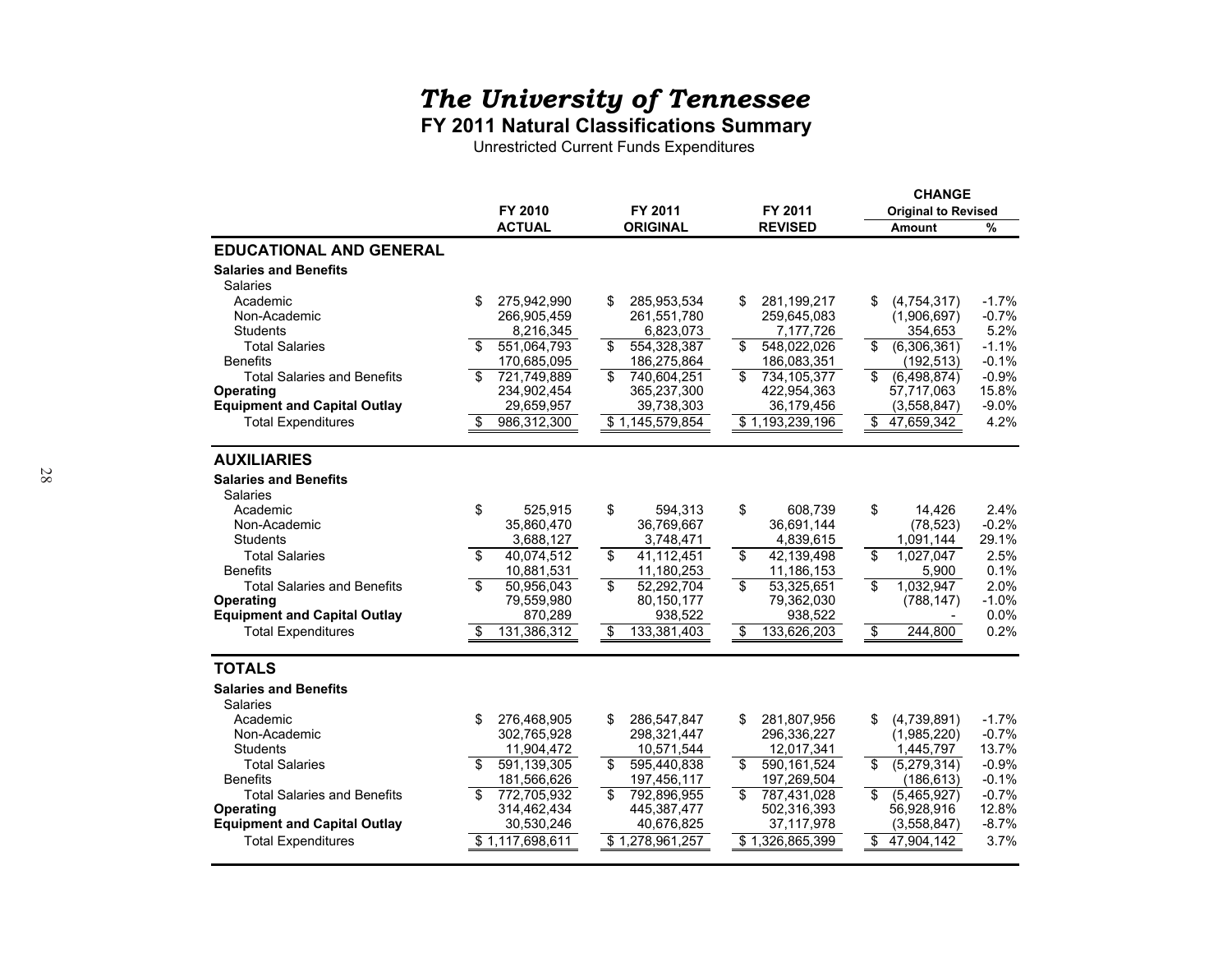**FY 2011 Natural Classifications Summary**

Unrestricted Current Funds Expenditures

|                                     |                   |                         |                 |                   |                                    | <b>CHANGE</b>              |               |
|-------------------------------------|-------------------|-------------------------|-----------------|-------------------|------------------------------------|----------------------------|---------------|
|                                     | FY 2010           |                         | FY 2011         | FY 2011           |                                    | <b>Original to Revised</b> |               |
|                                     | <b>ACTUAL</b>     |                         | <b>ORIGINAL</b> | <b>REVISED</b>    |                                    | Amount                     | $\frac{9}{6}$ |
| <b>EDUCATIONAL AND GENERAL</b>      |                   |                         |                 |                   |                                    |                            |               |
| <b>Salaries and Benefits</b>        |                   |                         |                 |                   |                                    |                            |               |
| <b>Salaries</b>                     |                   |                         |                 |                   |                                    |                            |               |
| Academic                            | \$<br>275,942,990 | \$                      | 285,953,534     | \$<br>281,199,217 | \$                                 | (4,754,317)                | $-1.7%$       |
| Non-Academic                        | 266,905,459       |                         | 261,551,780     | 259,645,083       |                                    | (1,906,697)                | $-0.7%$       |
| <b>Students</b>                     | 8,216,345         |                         | 6,823,073       | 7,177,726         |                                    | 354,653                    | 5.2%          |
| <b>Total Salaries</b>               | \$<br>551,064,793 | \$                      | 554,328,387     | \$<br>548,022,026 | \$                                 | (6,306,361)                | $-1.1%$       |
| <b>Benefits</b>                     | 170,685,095       |                         | 186,275,864     | 186,083,351       |                                    | (192, 513)                 | $-0.1%$       |
| <b>Total Salaries and Benefits</b>  | \$<br>721,749,889 | $\overline{\mathbf{s}}$ | 740,604,251     | \$<br>734,105,377 | \$                                 | (6,498,874)                | $-0.9%$       |
| Operating                           | 234,902,454       |                         | 365,237,300     | 422,954,363       |                                    | 57,717,063                 | 15.8%         |
| <b>Equipment and Capital Outlay</b> | 29,659,957        |                         | 39,738,303      | 36,179,456        |                                    | (3,558,847)                | $-9.0%$       |
| <b>Total Expenditures</b>           | 986,312,300       |                         | \$1,145,579,854 | \$1,193,239,196   | \$                                 | 47,659,342                 | 4.2%          |
|                                     |                   |                         |                 |                   |                                    |                            |               |
| <b>AUXILIARIES</b>                  |                   |                         |                 |                   |                                    |                            |               |
| <b>Salaries and Benefits</b>        |                   |                         |                 |                   |                                    |                            |               |
| Salaries                            |                   |                         |                 |                   |                                    |                            |               |
| Academic                            | \$<br>525,915     | \$                      | 594,313         | \$<br>608,739     | \$                                 | 14,426                     | 2.4%          |
| Non-Academic                        | 35,860,470        |                         | 36,769,667      | 36,691,144        |                                    | (78, 523)                  | $-0.2%$       |
| Students                            | 3,688,127         |                         | 3,748,471       | 4,839,615         |                                    | 1,091,144                  | 29.1%         |
| <b>Total Salaries</b>               | \$<br>40,074,512  | \$                      | 41,112,451      | \$<br>42,139,498  | \$                                 | 1,027,047                  | 2.5%          |
| <b>Benefits</b>                     | 10,881,531        |                         | 11,180,253      | 11,186,153        |                                    | 5,900                      | 0.1%          |
| <b>Total Salaries and Benefits</b>  | \$<br>50,956,043  | \$                      | 52.292.704      | \$<br>53.325.651  | \$                                 | 1.032.947                  | 2.0%          |
| Operating                           | 79,559,980        |                         | 80.150,177      | 79,362,030        |                                    | (788, 147)                 | $-1.0%$       |
| <b>Equipment and Capital Outlay</b> | 870,289           |                         | 938,522         | 938,522           |                                    |                            | 0.0%          |
| <b>Total Expenditures</b>           | \$<br>131,386,312 | \$                      | 133,381,403     | \$<br>133,626,203 | $\overline{\boldsymbol{\epsilon}}$ | 244,800                    | 0.2%          |
|                                     |                   |                         |                 |                   |                                    |                            |               |
| <b>TOTALS</b>                       |                   |                         |                 |                   |                                    |                            |               |
| <b>Salaries and Benefits</b>        |                   |                         |                 |                   |                                    |                            |               |
| <b>Salaries</b>                     |                   |                         |                 |                   |                                    |                            |               |
| Academic                            | \$<br>276,468,905 | \$                      | 286,547,847     | \$<br>281,807,956 | \$                                 | (4,739,891)                | $-1.7%$       |
| Non-Academic                        | 302,765,928       |                         | 298,321,447     | 296,336,227       |                                    | (1,985,220)                | $-0.7%$       |
| Students                            | 11,904,472        |                         | 10,571,544      | 12,017,341        |                                    | 1,445,797                  | 13.7%         |
| <b>Total Salaries</b>               | \$<br>591.139.305 | \$                      | 595.440.838     | \$<br>590.161.524 | \$                                 | (5.279.314)                | $-0.9%$       |
| <b>Benefits</b>                     | 181,566,626       |                         | 197,456,117     | 197,269,504       |                                    | (186, 613)                 | $-0.1%$       |
| <b>Total Salaries and Benefits</b>  | \$<br>772.705.932 | $\overline{\mathbf{s}}$ | 792.896.955     | \$<br>787,431,028 | \$                                 | (5.465.927)                | $-0.7%$       |
| Operating                           | 314,462,434       |                         | 445,387,477     | 502,316,393       |                                    | 56,928,916                 | 12.8%         |
| <b>Equipment and Capital Outlay</b> | 30.530,246        |                         | 40,676,825      | 37,117,978        |                                    | (3,558,847)                | $-8.7%$       |
| <b>Total Expenditures</b>           | \$1,117,698,611   |                         | \$1,278,961,257 | \$1,326,865,399   | \$                                 | 47.904.142                 | 3.7%          |
|                                     |                   |                         |                 |                   |                                    |                            |               |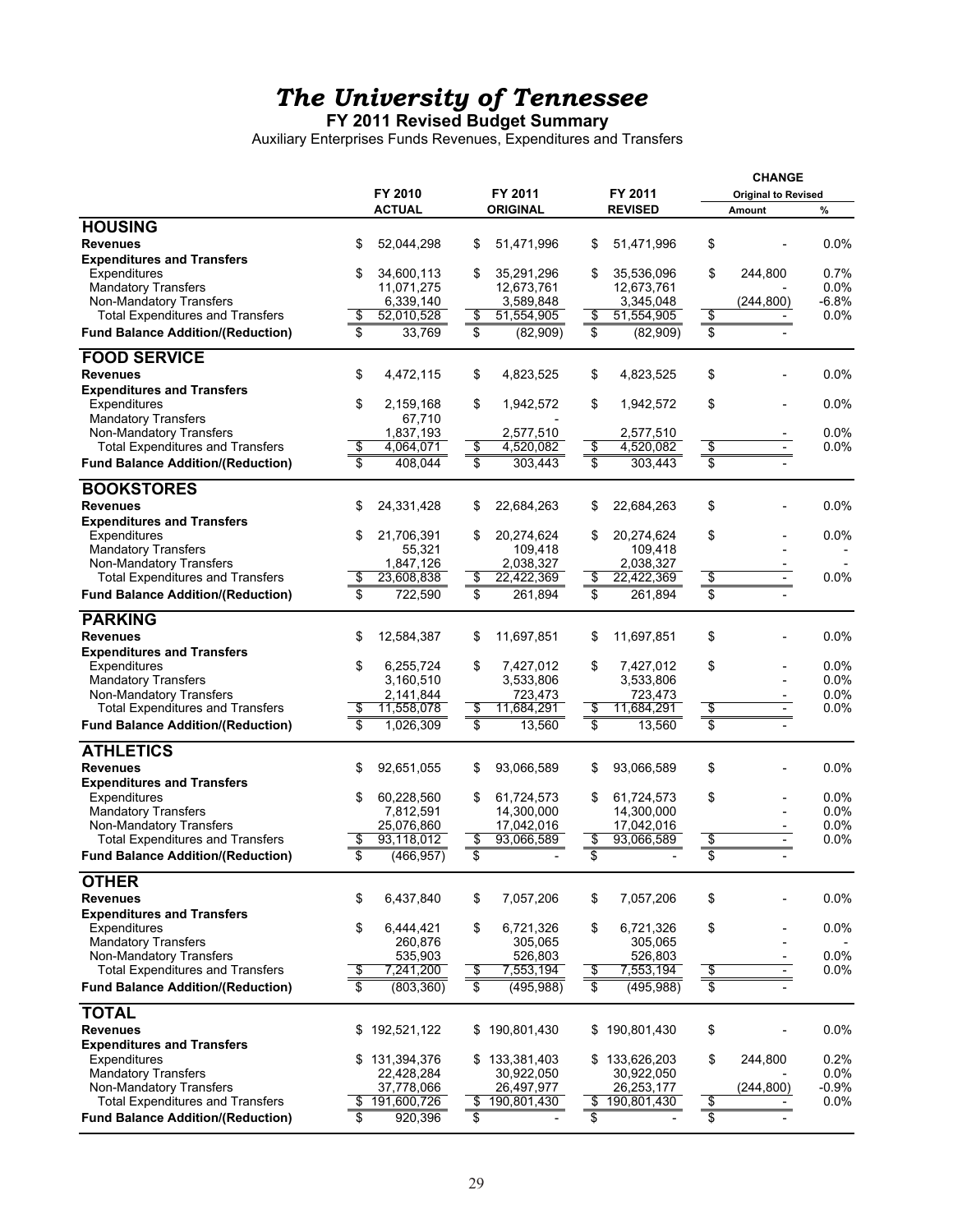**FY 2011 Revised Budget Summary**

Auxiliary Enterprises Funds Revenues, Expenditures and Transfers

|                                                   |                   |                          |                 |                   |                         | <b>CHANGE</b>              |         |
|---------------------------------------------------|-------------------|--------------------------|-----------------|-------------------|-------------------------|----------------------------|---------|
|                                                   | FY 2010           |                          | FY 2011         | FY 2011           |                         | <b>Original to Revised</b> |         |
|                                                   | <b>ACTUAL</b>     |                          | <b>ORIGINAL</b> | <b>REVISED</b>    |                         | <b>Amount</b>              | %       |
| <b>HOUSING</b>                                    |                   |                          |                 |                   |                         |                            |         |
| <b>Revenues</b>                                   | \$<br>52,044,298  | \$                       | 51,471,996      | \$<br>51,471,996  | \$                      |                            | $0.0\%$ |
| <b>Expenditures and Transfers</b>                 |                   |                          |                 |                   |                         |                            |         |
| Expenditures                                      | \$<br>34,600,113  | \$                       | 35,291,296      | \$<br>35,536,096  | \$                      | 244,800                    | 0.7%    |
| <b>Mandatory Transfers</b>                        | 11,071,275        |                          | 12,673,761      | 12,673,761        |                         |                            | 0.0%    |
| Non-Mandatory Transfers                           | 6,339,140         |                          | 3,589,848       | 3,345,048         |                         | (244, 800)                 | $-6.8%$ |
| <b>Total Expenditures and Transfers</b>           | \$<br>52,010,528  | \$                       | 51,554,905      | \$<br>51,554,905  | \$                      |                            | 0.0%    |
| <b>Fund Balance Addition/(Reduction)</b>          | \$<br>33,769      | \$                       | (82,909)        | \$<br>(82,909)    | \$                      |                            |         |
| <b>FOOD SERVICE</b>                               |                   |                          |                 |                   |                         |                            |         |
| <b>Revenues</b>                                   | \$<br>4,472,115   | \$                       | 4,823,525       | \$<br>4,823,525   | \$                      |                            | $0.0\%$ |
|                                                   |                   |                          |                 |                   |                         |                            |         |
| <b>Expenditures and Transfers</b><br>Expenditures | \$<br>2,159,168   | \$                       | 1,942,572       | \$<br>1,942,572   | \$                      |                            | $0.0\%$ |
| <b>Mandatory Transfers</b>                        | 67,710            |                          |                 |                   |                         |                            |         |
| Non-Mandatory Transfers                           | 1,837,193         |                          | 2,577,510       | 2,577,510         |                         |                            | $0.0\%$ |
| <b>Total Expenditures and Transfers</b>           | \$<br>4,064,071   | \$                       | 4,520,082       | \$<br>4,520,082   | \$                      | $\overline{\phantom{a}}$   | 0.0%    |
|                                                   |                   |                          |                 |                   |                         |                            |         |
| <b>Fund Balance Addition/(Reduction)</b>          | \$<br>408,044     | \$                       | 303,443         | \$<br>303,443     | \$                      |                            |         |
| <b>BOOKSTORES</b>                                 |                   |                          |                 |                   |                         |                            |         |
| <b>Revenues</b>                                   | \$<br>24,331,428  | \$                       | 22,684,263      | \$<br>22,684,263  | \$                      |                            | 0.0%    |
| <b>Expenditures and Transfers</b>                 |                   |                          |                 |                   |                         |                            |         |
| Expenditures                                      | \$<br>21,706,391  | \$                       | 20,274,624      | \$<br>20,274,624  | \$                      |                            | $0.0\%$ |
| <b>Mandatory Transfers</b>                        | 55,321            |                          | 109,418         | 109,418           |                         |                            |         |
| Non-Mandatory Transfers                           | 1,847,126         |                          | 2,038,327       | 2,038,327         |                         |                            |         |
| <b>Total Expenditures and Transfers</b>           | \$<br>23,608,838  | \$                       | 22,422,369      | \$<br>22,422,369  | $\frac{1}{2}$           | $\blacksquare$             | 0.0%    |
| <b>Fund Balance Addition/(Reduction)</b>          | \$<br>722,590     | \$                       | 261,894         | \$<br>261,894     | \$                      | $\overline{\phantom{a}}$   |         |
| <b>PARKING</b>                                    |                   |                          |                 |                   |                         |                            |         |
| <b>Revenues</b>                                   | \$<br>12,584,387  | \$                       | 11,697,851      | \$<br>11,697,851  | \$                      |                            | 0.0%    |
| <b>Expenditures and Transfers</b>                 |                   |                          |                 |                   |                         |                            |         |
| Expenditures                                      | \$<br>6,255,724   | \$                       | 7,427,012       | \$<br>7,427,012   | \$                      |                            | $0.0\%$ |
| <b>Mandatory Transfers</b>                        | 3,160,510         |                          | 3,533,806       | 3,533,806         |                         | $\overline{\phantom{a}}$   | $0.0\%$ |
| Non-Mandatory Transfers                           | 2,141,844         |                          | 723,473         | 723,473           |                         |                            | $0.0\%$ |
| <b>Total Expenditures and Transfers</b>           | \$<br>11,558,078  | \$                       | 11,684,291      | \$<br>11,684,291  | \$                      | $\blacksquare$             | $0.0\%$ |
| <b>Fund Balance Addition/(Reduction)</b>          | \$<br>1,026,309   | $\overline{\mathcal{S}}$ | 13,560          | \$<br>13,560      | $\overline{\$}$         |                            |         |
|                                                   |                   |                          |                 |                   |                         |                            |         |
| <b>ATHLETICS</b>                                  |                   |                          |                 |                   |                         |                            |         |
| <b>Revenues</b>                                   | \$<br>92,651,055  | \$                       | 93,066,589      | \$<br>93,066,589  | \$                      |                            | 0.0%    |
| <b>Expenditures and Transfers</b>                 |                   |                          |                 |                   |                         |                            |         |
| Expenditures                                      | \$<br>60,228,560  | \$                       | 61.724.573      | \$<br>61,724,573  | \$                      |                            | $0.0\%$ |
| <b>Mandatory Transfers</b>                        | 7,812,591         |                          | 14,300,000      | 14,300,000        |                         | $\overline{a}$             | 0.0%    |
| Non-Mandatory Transfers                           | 25,076,860        |                          | 17,042,016      | 17,042,016        |                         |                            | 0.0%    |
| <b>Total Expenditures and Transfers</b>           | \$<br>93,118,012  | $\frac{1}{2}$            | 93,066,589      | \$<br>93,066,589  | \$                      | $\overline{\phantom{a}}$   | 0.0%    |
| <b>Fund Balance Addition/(Reduction)</b>          | \$<br>(466, 957)  | \$                       |                 | \$                | \$                      |                            |         |
| <b>OTHER</b>                                      |                   |                          |                 |                   |                         |                            |         |
| <b>Revenues</b>                                   | \$<br>6,437,840   | \$                       | 7,057,206       | \$<br>7,057,206   | \$                      |                            | 0.0%    |
| <b>Expenditures and Transfers</b>                 |                   |                          |                 |                   |                         |                            |         |
| Expenditures                                      | \$<br>6,444,421   | \$                       | 6,721,326       | \$<br>6,721,326   | \$                      |                            | $0.0\%$ |
| <b>Mandatory Transfers</b>                        | 260,876           |                          | 305,065         | 305,065           |                         |                            |         |
| Non-Mandatory Transfers                           | 535,903           |                          | 526,803         | 526,803           |                         |                            | $0.0\%$ |
| <b>Total Expenditures and Transfers</b>           | \$<br>7,241,200   | \$                       | 7,553,194       | \$<br>7,553,194   | \$                      | $\overline{\phantom{a}}$   | $0.0\%$ |
| <b>Fund Balance Addition/(Reduction)</b>          | \$<br>(803, 360)  | \$                       | (495, 988)      | \$<br>(495, 988)  | $\overline{\mathbf{S}}$ |                            |         |
| <b>TOTAL</b>                                      |                   |                          |                 |                   |                         |                            |         |
| <b>Revenues</b>                                   | \$<br>192,521,122 | \$                       | 190,801,430     | \$<br>190,801,430 | \$                      |                            | $0.0\%$ |
| <b>Expenditures and Transfers</b>                 |                   |                          |                 |                   |                         |                            |         |
| Expenditures                                      | \$131,394,376     |                          | 133,381,403     | \$133,626,203     | \$                      | 244,800                    | 0.2%    |
| <b>Mandatory Transfers</b>                        | 22,428,284        |                          | 30,922,050      | 30,922,050        |                         |                            | 0.0%    |
| Non-Mandatory Transfers                           | 37,778,066        |                          | 26,497,977      | 26,253,177        |                         | (244, 800)                 | $-0.9%$ |
| <b>Total Expenditures and Transfers</b>           | \$<br>191,600,726 | \$                       | 190,801,430     | \$<br>190,801,430 | $\frac{1}{2}$           | $\overline{\phantom{a}}$   | 0.0%    |
| <b>Fund Balance Addition/(Reduction)</b>          | \$<br>920,396     | \$                       |                 | \$                | \$                      |                            |         |
|                                                   |                   |                          |                 |                   |                         |                            |         |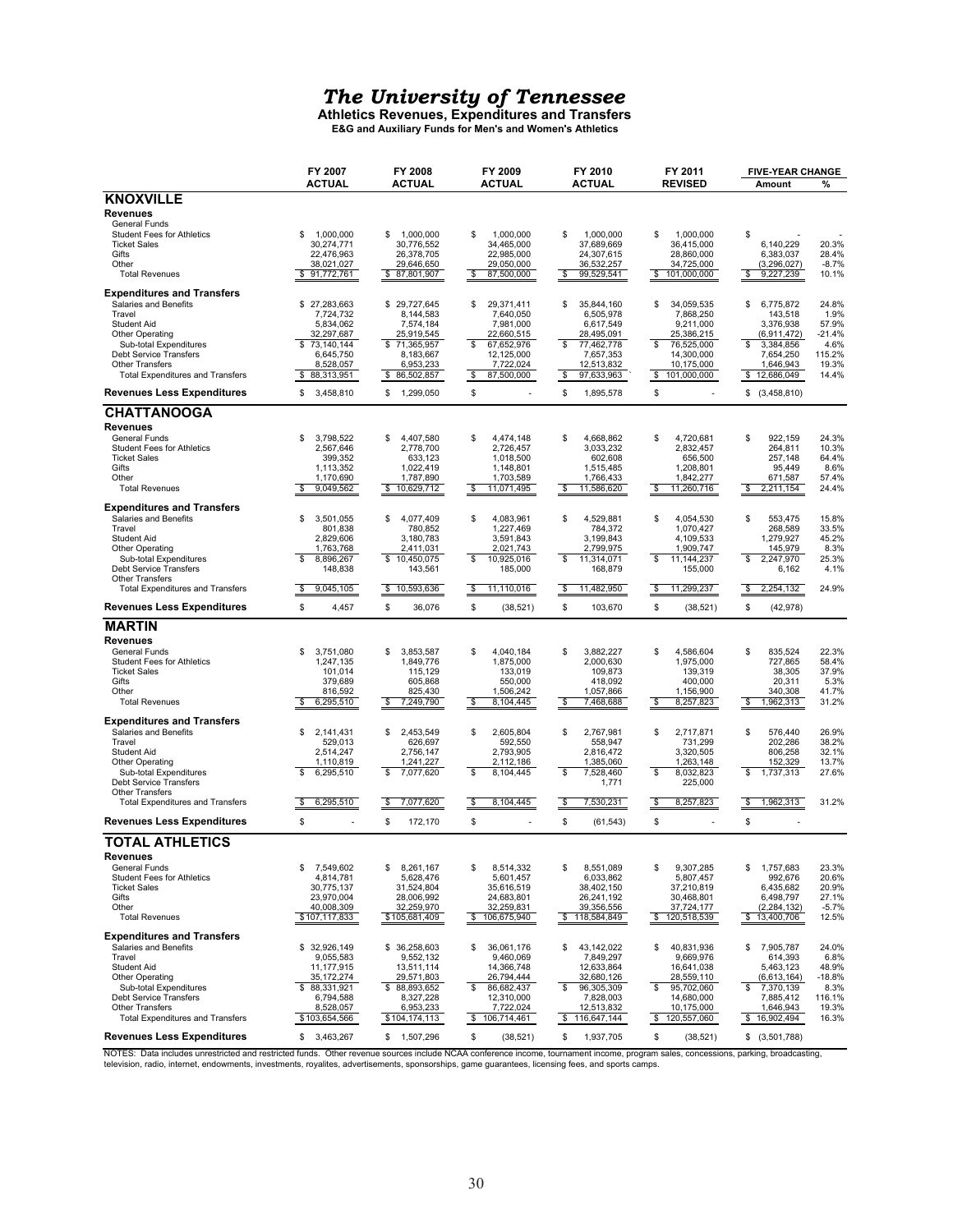**Athletics Revenues, Expenditures and Transfers E&G and Auxiliary Funds for Men's and Women's Athletics**

|                                                                   | FY 2007                      | FY 2008                     | FY 2009                        | FY 2010                         | FY 2011                         | <b>FIVE-YEAR CHANGE</b>                |                  |
|-------------------------------------------------------------------|------------------------------|-----------------------------|--------------------------------|---------------------------------|---------------------------------|----------------------------------------|------------------|
|                                                                   | <b>ACTUAL</b>                | <b>ACTUAL</b>               | <b>ACTUAL</b>                  | <b>ACTUAL</b>                   | <b>REVISED</b>                  | %<br>Amount                            |                  |
| <b>KNOXVILLE</b>                                                  |                              |                             |                                |                                 |                                 |                                        |                  |
| <b>Revenues</b>                                                   |                              |                             |                                |                                 |                                 |                                        |                  |
| General Funds                                                     |                              |                             |                                |                                 |                                 |                                        |                  |
| <b>Student Fees for Athletics</b>                                 | \$<br>1,000,000              | 1,000,000<br>\$             | \$<br>1,000,000                | 1,000,000<br>\$                 | \$<br>1,000,000                 | \$                                     |                  |
| <b>Ticket Sales</b>                                               | 30,274,771                   | 30,776,552                  | 34,465,000                     | 37,689,669                      | 36,415,000                      | 20.3%<br>6,140,229                     |                  |
| Gifts                                                             | 22,476,963                   | 26,378,705                  | 22.985.000                     | 24,307,615                      | 28.860.000                      | 28.4%<br>6,383,037                     |                  |
| Other<br><b>Total Revenues</b>                                    | 38,021,027<br>\$91,772,761   | 29,646,650<br>\$ 87,801,907 | 29,050,000<br>87,500,000<br>\$ | 36,532,257<br>99,529,541<br>s   | 34,725,000<br>\$101,000,000     | (3,296,027)<br>9,227,239<br>\$         | $-8.7%$<br>10.1% |
|                                                                   |                              |                             |                                |                                 |                                 |                                        |                  |
| <b>Expenditures and Transfers</b>                                 |                              |                             |                                |                                 |                                 |                                        |                  |
| Salaries and Benefits                                             | \$27,283,663                 | \$29,727,645                | \$<br>29,371,411               | 35,844,160<br>\$                | 34,059,535<br>\$                | 6,775,872<br>24.8%<br>\$               |                  |
| Travel                                                            | 7,724,732                    | 8,144,583                   | 7,640,050                      | 6,505,978                       | 7,868,250                       | 143,518                                | 1.9%             |
| <b>Student Aid</b><br>Other Operating                             | 5,834,062<br>32,297,687      | 7,574,184<br>25,919,545     | 7,981,000<br>22,660,515        | 6,617,549<br>28,495,091         | 9,211,000<br>25,386,215         | 3,376,938<br>$-21.4%$<br>(6,911,472)   | 57.9%            |
| Sub-total Expenditures                                            | \$73,140,144                 | \$71,365,957                | s.<br>67,652,976               | s<br>77,462,778                 | S<br>76,525,000                 | \$<br>3,384,856                        | 4.6%             |
| <b>Debt Service Transfers</b>                                     | 6.645.750                    | 8,183,667                   | 12,125,000                     | 7,657,353                       | 14.300.000                      | 115.2%<br>7,654,250                    |                  |
| <b>Other Transfers</b>                                            | 8,528,057                    | 6,953,233                   | 7,722,024                      | 12,513,832                      | 10,175,000                      | 1,646,943<br>19.3%                     |                  |
| <b>Total Expenditures and Transfers</b>                           | \$ 88,313,951                | \$ 86,502,857               | \$<br>87,500,000               | \$<br>97,633,963                | \$<br>101,000,000               | \$12,686,049<br>14.4%                  |                  |
| <b>Revenues Less Expenditures</b>                                 | \$<br>3,458,810              | \$ 1,299,050                | \$                             | \$<br>1,895,578                 | \$                              | \$ (3,458,810)                         |                  |
| <b>CHATTANOOGA</b>                                                |                              |                             |                                |                                 |                                 |                                        |                  |
| <b>Revenues</b>                                                   |                              |                             |                                |                                 |                                 |                                        |                  |
| General Funds                                                     | \$<br>3,798,522              | \$<br>4,407,580             | \$<br>4,474,148                | \$<br>4,668,862                 | \$<br>4,720,681                 | \$<br>922,159<br>24.3%                 |                  |
| <b>Student Fees for Athletics</b>                                 | 2,567,646                    | 2,778,700                   | 2,726,457                      | 3,033,232                       | 2,832,457                       | 264,811                                | 10.3%            |
| <b>Ticket Sales</b>                                               | 399,352                      | 633,123                     | 1,018,500                      | 602,608                         | 656,500                         | 257,148<br>64.4%                       |                  |
| Gifts                                                             | 1,113,352                    | 1,022,419                   | 1.148.801                      | 1,515,485                       | 1,208,801                       | 95,449<br>57.4%                        | 8.6%             |
| Other<br><b>Total Revenues</b>                                    | 1,170,690<br>9,049,562<br>\$ | 1,787,890<br>\$10,629,712   | 1,703,589<br>11,071,495<br>\$  | 1,766,433<br>11,586,620<br>\$   | 1,842,277<br>11,260,716<br>\$   | 671,587<br>2,211,154<br>24.4%<br>\$    |                  |
|                                                                   |                              |                             |                                |                                 |                                 |                                        |                  |
| <b>Expenditures and Transfers</b>                                 |                              |                             |                                |                                 |                                 |                                        |                  |
| Salaries and Benefits                                             | 3,501,055<br>\$              | 4,077,409<br>\$             | \$<br>4,083,961                | 4,529,881<br>\$                 | s<br>4,054,530                  | 553,475<br>15.8%<br>\$                 |                  |
| Travel                                                            | 801,838                      | 780,852<br>3,180,783        | 1,227,469                      | 784,372<br>3,199,843            | 1,070,427                       | 268,589<br>33.5%<br>45.2%<br>1.279.927 |                  |
| <b>Student Aid</b><br>Other Operating                             | 2,829,606<br>1,763,768       | 2.411.031                   | 3,591,843<br>2,021,743         | 2,799,975                       | 4,109,533<br>1,909,747          | 145,979                                | 8.3%             |
| Sub-total Expenditures                                            | S<br>8,896,267               | \$10,450,075                | 10,925,016<br>S                | S<br>11,314,071                 | S<br>11,144,237                 | S<br>2,247,970<br>25.3%                |                  |
| Debt Service Transfers                                            | 148,838                      | 143,561                     | 185,000                        | 168,879                         | 155,000                         | 6,162                                  | 4.1%             |
| <b>Other Transfers</b>                                            |                              |                             |                                |                                 |                                 |                                        |                  |
| <b>Total Expenditures and Transfers</b>                           | 9,045,105<br>\$              | \$<br>10,593,636            | 11,110,016<br>\$               | \$<br>11,482,950                | 11,299,237<br>\$                | \$<br>2,254,132<br>24.9%               |                  |
| <b>Revenues Less Expenditures</b>                                 | \$<br>4,457                  | \$<br>36,076                | \$<br>(38, 521)                | \$<br>103,670                   | S<br>(38, 521)                  | \$<br>(42, 978)                        |                  |
| <b>MARTIN</b>                                                     |                              |                             |                                |                                 |                                 |                                        |                  |
| <b>Revenues</b>                                                   |                              |                             |                                |                                 |                                 |                                        |                  |
| <b>General Funds</b>                                              | 3,751,080<br>S               | 3,853,587<br>\$             | \$<br>4,040,184                | 3,882,227<br>\$                 | \$<br>4,586,604                 | \$<br>835,524<br>22.3%                 |                  |
| <b>Student Fees for Athletics</b>                                 | 1,247,135                    | 1,849,776                   | 1,875,000                      | 2,000,630                       | 1,975,000                       | 727,865<br>58.4%                       |                  |
| <b>Ticket Sales</b><br>Gifts                                      | 101,014<br>379,689           | 115,129<br>605,868          | 133,019<br>550,000             | 109,873<br>418,092              | 139,319<br>400,000              | 37.9%<br>38,305<br>20,311              | 5.3%             |
| Other                                                             | 816,592                      | 825,430                     | 1,506,242                      | 1,057,866                       | 1,156,900                       | 340,308<br>41.7%                       |                  |
| <b>Total Revenues</b>                                             | 6,295,510<br>\$              | 7,249,790<br>\$             | \$<br>8,104,445                | \$<br>7,468,688                 | \$<br>8,257,823                 | 31.2%<br>\$<br>1,962,313               |                  |
|                                                                   |                              |                             |                                |                                 |                                 |                                        |                  |
| <b>Expenditures and Transfers</b>                                 |                              |                             |                                |                                 |                                 |                                        |                  |
| Salaries and Benefits                                             | \$<br>2,141,431              | 2,453,549<br>\$             | \$<br>2,605,804                | \$<br>2,767,981                 | s<br>2,717,871                  | \$<br>26.9%<br>576,440                 |                  |
| Travel<br>Student Aid                                             | 529,013<br>2,514,247         | 626,697<br>2,756,147        | 592,550<br>2,793,905           | 558,947<br>2,816,472            | 731,299<br>3,320,505            | 202,286<br>38.2%<br>806,258<br>32.1%   |                  |
| Other Operating                                                   | 1,110,819                    | 1,241,227                   | 2,112,186                      | 1,385,060                       | 1,263,148                       | 152,329<br>13.7%                       |                  |
| Sub-total Expenditures                                            | S<br>6,295,510               | S<br>7,077,620              | S.<br>8,104,445                | \$<br>7,528,460                 | S<br>8,032,823                  | 27.6%<br>-S<br>1,737,313               |                  |
| <b>Debt Service Transfers</b>                                     |                              |                             |                                | 1,771                           | 225,000                         |                                        |                  |
| <b>Other Transfers</b><br><b>Total Expenditures and Transfers</b> | 6,295,510<br>S               | 7,077,620<br>\$             | 8,104,445<br>\$                | S<br>7,530,231                  | \$<br>8,257,823                 | 1.962.313<br>31.2%<br>\$               |                  |
| <b>Revenues Less Expenditures</b>                                 | \$                           | \$<br>172,170               | \$<br>ä,                       | \$<br>(61, 543)                 | \$                              | \$<br>$\overline{\phantom{a}}$         |                  |
|                                                                   |                              |                             |                                |                                 |                                 |                                        |                  |
| <b>TOTAL ATHLETICS</b>                                            |                              |                             |                                |                                 |                                 |                                        |                  |
| <b>Revenues</b>                                                   |                              |                             |                                |                                 |                                 |                                        |                  |
| General Funds                                                     | S<br>7,549,602               | \$<br>8,261,167             | 8,514,332                      | \$<br>8,551,089                 | s<br>9,307,285                  | \$<br>1,757,683                        | 23.3%            |
| <b>Student Fees for Athletics</b><br><b>Ticket Sales</b>          | 4,814,781<br>30,775,137      | 5,628,476<br>31,524,804     | 5,601,457<br>35,616,519        | 6,033,862<br>38,402,150         | 5,807,457<br>37,210,819         | 992,676<br>20.6%<br>6,435,682<br>20.9% |                  |
| Gifts                                                             | 23,970,004                   | 28,006,992                  | 24,683,801                     | 26,241,192                      | 30,468,801                      | 6,498,797                              | 27.1%            |
| Other                                                             | 40,008,309                   | 32,259,970                  | 32,259,831                     | 39,356,556                      | 37,724,177                      | (2, 284, 132)                          | $-5.7%$          |
| <b>Total Revenues</b>                                             | \$107,117,833                | \$105,681,409               | \$106,675,940                  | \$118,584,849                   | \$120,518,539                   | \$13,400,706                           | 12.5%            |
| <b>Expenditures and Transfers</b>                                 |                              |                             |                                |                                 |                                 |                                        |                  |
| Salaries and Benefits                                             | \$ 32,926,149                | \$ 36,258,603               | \$<br>36,061,176               | 43,142,022<br>S                 | s<br>40,831,936                 | 7,905,787<br>\$.                       | 24.0%            |
| Travel                                                            | 9,055,583                    | 9,552,132                   | 9,460,069                      | 7,849,297                       | 9,669,976                       | 614,393                                | 6.8%             |
| <b>Student Aid</b>                                                | 11,177,915                   | 13,511,114                  | 14,366,748                     | 12,633,864                      | 16,641,038                      | 5,463,123<br>48.9%                     |                  |
| Other Operating                                                   | 35, 172, 274                 | 29,571,803                  | 26,794,444                     | 32,680,126                      | 28,559,110                      | $-18.8%$<br>(6,613,164)                |                  |
| Sub-total Expenditures                                            | \$88,331,921                 | \$88,893,652                | s.<br>86,682,437               | s<br>96,305,309                 | S<br>95,702,060                 | \$<br>7,370,139                        | 8.3%             |
| Debt Service Transfers<br><b>Other Transfers</b>                  | 6,794,588                    | 8,327,228<br>6,953,233      | 12,310,000                     | 7,828,003                       | 14,680,000                      | 7,885,412<br>116.1%                    |                  |
| <b>Total Expenditures and Transfers</b>                           | 8,528,057<br>\$103,654,566   | \$104,174,113               | 7,722,024<br>\$<br>106,714,461 | 12,513,832<br>\$<br>116,647,144 | 10,175,000<br>120,557,060<br>\$ | 1,646,943<br>\$16,902,494              | 19.3%<br>16.3%   |
| <b>Revenues Less Expenditures</b>                                 |                              |                             |                                |                                 |                                 | \$ (3,501,788)                         |                  |
|                                                                   | \$3,463,267                  | \$ 1,507,296                | \$<br>(38, 521)                | \$<br>1,937,705                 | \$<br>(38, 521)                 |                                        |                  |

NOTES: Data includes unrestricted and restricted funds. Other revenue sources include NCAA conference income, tournament income, program sales, concessions, parking, broadcasting,<br>television, radio, internet, endowments, i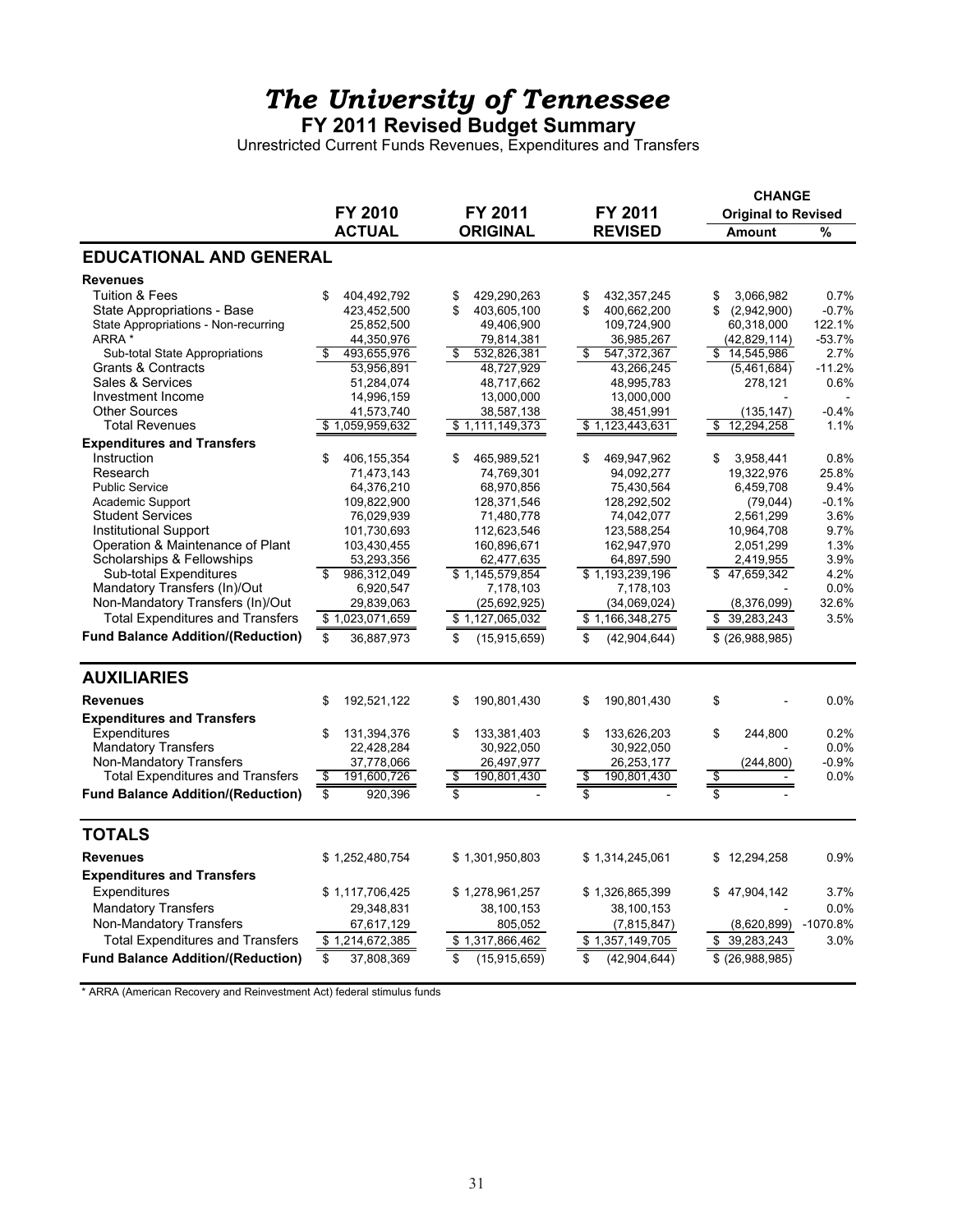**FY 2011 Revised Budget Summary**

Unrestricted Current Funds Revenues, Expenditures and Transfers

|                                          |                           |                           |                                 | <b>CHANGE</b>              |            |
|------------------------------------------|---------------------------|---------------------------|---------------------------------|----------------------------|------------|
|                                          | FY 2010                   | FY 2011                   | FY 2011                         | <b>Original to Revised</b> |            |
|                                          | <b>ACTUAL</b>             | <b>ORIGINAL</b>           | <b>REVISED</b>                  | <b>Amount</b>              | %          |
| <b>EDUCATIONAL AND GENERAL</b>           |                           |                           |                                 |                            |            |
| <b>Revenues</b>                          |                           |                           |                                 |                            |            |
| <b>Tuition &amp; Fees</b>                | 404,492,792<br>\$         | 429,290,263<br>\$         | 432,357,245<br>\$               | 3,066,982<br>\$            | 0.7%       |
| State Appropriations - Base              | 423,452,500               | \$<br>403,605,100         | \$<br>400,662,200               | \$<br>(2,942,900)          | $-0.7%$    |
| State Appropriations - Non-recurring     | 25,852,500                | 49,406,900                | 109,724,900                     | 60,318,000                 | 122.1%     |
| ARRA *                                   | 44,350,976                | 79,814,381                | 36,985,267                      | (42, 829, 114)             | $-53.7%$   |
| Sub-total State Appropriations           | \$<br>493,655,976         | \$<br>532,826,381         | \$<br>547,372,367               | \$14,545,986               | 2.7%       |
| <b>Grants &amp; Contracts</b>            | 53,956,891                | 48,727,929                | 43,266,245                      | (5,461,684)                | $-11.2%$   |
| Sales & Services                         | 51,284,074                | 48,717,662                | 48,995,783                      | 278,121                    | 0.6%       |
| Investment Income                        | 14,996,159                | 13,000,000                | 13,000,000                      |                            |            |
| <b>Other Sources</b>                     | 41,573,740                | 38,587,138                | 38,451,991                      | (135, 147)                 | $-0.4%$    |
| <b>Total Revenues</b>                    | \$1,059,959,632           | \$1,111,149,373           | \$1,123,443,631                 | 12,294,258<br>\$           | 1.1%       |
| <b>Expenditures and Transfers</b>        |                           |                           |                                 |                            |            |
| Instruction                              | \$<br>406,155,354         | 465,989,521<br>\$         | \$<br>469,947,962               | 3,958,441<br>\$            | 0.8%       |
| Research                                 | 71,473,143                | 74,769,301                | 94,092,277                      | 19,322,976                 | 25.8%      |
| <b>Public Service</b>                    | 64,376,210                | 68,970,856                | 75,430,564                      | 6,459,708                  | 9.4%       |
| Academic Support                         | 109,822,900               | 128,371,546               | 128,292,502                     | (79, 044)                  | $-0.1%$    |
| <b>Student Services</b>                  | 76,029,939                | 71,480,778                | 74,042,077                      | 2,561,299                  | 3.6%       |
| <b>Institutional Support</b>             | 101,730,693               | 112,623,546               | 123,588,254                     | 10,964,708                 | 9.7%       |
| Operation & Maintenance of Plant         | 103,430,455               | 160,896,671               | 162,947,970                     | 2,051,299                  | 1.3%       |
| Scholarships & Fellowships               | 53,293,356                | 62,477,635                | 64,897,590                      | 2,419,955                  | 3.9%       |
| <b>Sub-total Expenditures</b>            | 986,312,049<br>\$         | \$1,145,579,854           | \$1,193,239,196                 | 47,659,342<br>\$           | 4.2%       |
| Mandatory Transfers (In)/Out             | 6,920,547                 | 7,178,103                 | 7,178,103                       |                            | 0.0%       |
| Non-Mandatory Transfers (In)/Out         | 29,839,063                | (25,692,925)              | (34,069,024)                    | (8,376,099)                | 32.6%      |
| <b>Total Expenditures and Transfers</b>  | \$1,023,071,659           | \$1,127,065,032           | \$1,166,348,275                 | \$ 39,283,243              | 3.5%       |
| <b>Fund Balance Addition/(Reduction)</b> | \$<br>36,887,973          | \$<br>(15, 915, 659)      | \$<br>(42, 904, 644)            | $$$ (26,988,985)           |            |
| <b>AUXILIARIES</b>                       |                           |                           |                                 |                            |            |
| <b>Revenues</b>                          | \$<br>192,521,122         | \$<br>190,801,430         | \$<br>190,801,430               | \$                         | 0.0%       |
| <b>Expenditures and Transfers</b>        |                           |                           |                                 |                            |            |
| Expenditures                             | \$                        | \$                        |                                 | \$                         | 0.2%       |
| <b>Mandatory Transfers</b>               | 131,394,376<br>22,428,284 | 133,381,403<br>30,922,050 | 133,626,203<br>\$<br>30,922,050 | 244,800                    | 0.0%       |
| Non-Mandatory Transfers                  | 37,778,066                | 26,497,977                | 26,253,177                      | (244, 800)                 | $-0.9%$    |
| <b>Total Expenditures and Transfers</b>  | \$<br>191,600,726         | \$<br>190,801,430         | 190,801,430<br>\$               |                            | 0.0%       |
| <b>Fund Balance Addition/(Reduction)</b> | \$<br>920,396             | \$                        | \$                              | $\frac{6}{3}$              |            |
|                                          |                           |                           |                                 |                            |            |
| <b>TOTALS</b>                            |                           |                           |                                 |                            |            |
| <b>Revenues</b>                          | \$1,252,480,754           | \$1,301,950,803           | \$1,314,245,061                 | 12,294,258<br>\$           | 0.9%       |
| <b>Expenditures and Transfers</b>        |                           |                           |                                 |                            |            |
| Expenditures                             | \$1,117,706,425           | \$1,278,961,257           | \$1,326,865,399                 | \$47,904,142               | 3.7%       |
| <b>Mandatory Transfers</b>               | 29,348,831                | 38,100,153                | 38,100,153                      |                            | 0.0%       |
|                                          |                           |                           |                                 |                            |            |
| Non-Mandatory Transfers                  | 67,617,129                | 805,052                   | (7, 815, 847)                   | (8,620,899)                | $-1070.8%$ |
| <b>Total Expenditures and Transfers</b>  | \$1,214,672,385           | \$1,317,866,462           | \$1,357,149,705                 | \$ 39,283,243              | 3.0%       |
| <b>Fund Balance Addition/(Reduction)</b> | \$<br>37,808,369          | \$<br>(15, 915, 659)      | \$<br>(42, 904, 644)            | \$ (26,988,985)            |            |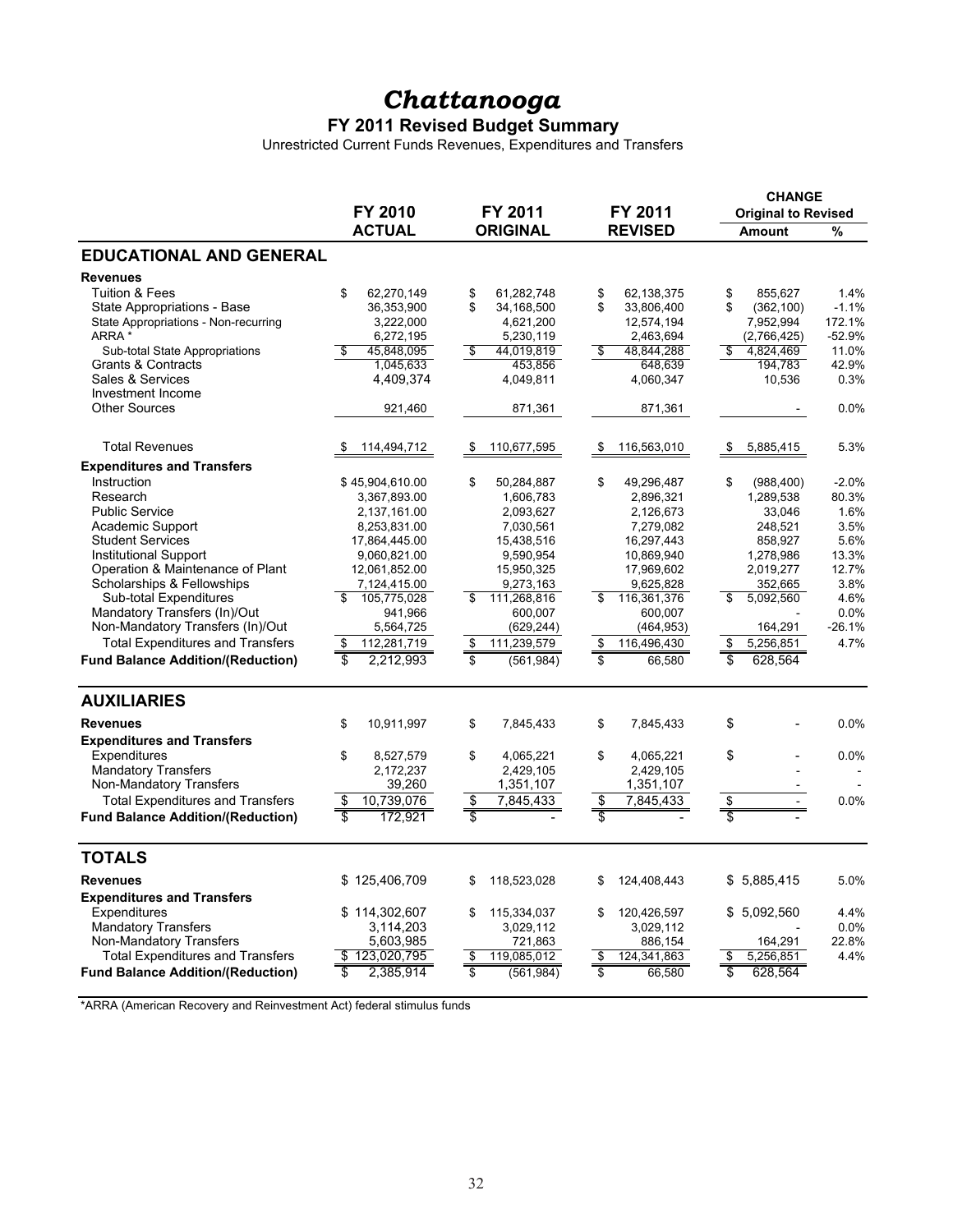## *Chattanooga*

#### **FY 2011 Revised Budget Summary**

Unrestricted Current Funds Revenues, Expenditures and Transfers

|                                          |                               |                                       |                          | <b>CHANGE</b>              |          |
|------------------------------------------|-------------------------------|---------------------------------------|--------------------------|----------------------------|----------|
|                                          | FY 2010                       | FY 2011                               | FY 2011                  | <b>Original to Revised</b> |          |
|                                          | <b>ACTUAL</b>                 | <b>ORIGINAL</b>                       | <b>REVISED</b>           | <b>Amount</b>              | %        |
| <b>EDUCATIONAL AND GENERAL</b>           |                               |                                       |                          |                            |          |
|                                          |                               |                                       |                          |                            |          |
| <b>Revenues</b>                          |                               |                                       |                          |                            |          |
| <b>Tuition &amp; Fees</b>                | \$<br>62,270,149              | \$<br>61,282,748                      | \$<br>62,138,375         | \$<br>855.627              | 1.4%     |
| State Appropriations - Base              | 36,353,900                    | \$<br>34,168,500                      | 33,806,400<br>\$         | \$<br>(362, 100)           | $-1.1%$  |
| State Appropriations - Non-recurring     | 3,222,000                     | 4,621,200                             | 12,574,194               | 7,952,994                  | 172.1%   |
| ARRA *                                   | 6,272,195                     | 5,230,119                             | 2,463,694                | (2,766,425)                | $-52.9%$ |
| Sub-total State Appropriations           | 45,848,095<br>\$              | 44,019,819<br>\$                      | 48,844,288<br>\$         | 4,824,469<br>\$            | 11.0%    |
| <b>Grants &amp; Contracts</b>            | 1,045,633                     | 453,856                               | 648,639                  | 194,783                    | 42.9%    |
| Sales & Services                         | 4,409,374                     | 4,049,811                             | 4,060,347                | 10,536                     | 0.3%     |
| Investment Income                        |                               |                                       |                          |                            |          |
| <b>Other Sources</b>                     | 921,460                       | 871,361                               | 871,361                  |                            | 0.0%     |
| <b>Total Revenues</b>                    | 114,494,712                   | 110,677,595<br>\$                     | 116,563,010<br>S         | \$<br>5,885,415            | 5.3%     |
| <b>Expenditures and Transfers</b>        |                               |                                       |                          |                            |          |
| Instruction                              | \$45,904,610.00               | \$<br>50,284,887                      | \$<br>49,296,487         | \$<br>(988, 400)           | $-2.0%$  |
| Research                                 | 3,367,893.00                  | 1,606,783                             | 2,896,321                | 1,289,538                  | 80.3%    |
| <b>Public Service</b>                    | 2,137,161.00                  | 2,093,627                             | 2,126,673                | 33,046                     | 1.6%     |
| Academic Support                         |                               | 7,030,561                             | 7,279,082                | 248,521                    | 3.5%     |
| <b>Student Services</b>                  | 8,253,831.00                  |                                       |                          |                            | 5.6%     |
| <b>Institutional Support</b>             | 17,864,445.00<br>9,060,821.00 | 15,438,516<br>9,590,954               | 16,297,443<br>10,869,940 | 858,927<br>1,278,986       | 13.3%    |
| Operation & Maintenance of Plant         | 12,061,852.00                 | 15,950,325                            | 17,969,602               | 2,019,277                  | 12.7%    |
| Scholarships & Fellowships               | 7,124,415.00                  | 9,273,163                             | 9,625,828                | 352.665                    | 3.8%     |
| <b>Sub-total Expenditures</b>            | S,<br>105,775,028             | \$<br>111,268,816                     | \$<br>116,361,376        | 5,092,560<br>\$            | 4.6%     |
| Mandatory Transfers (In)/Out             | 941,966                       | 600,007                               | 600,007                  |                            | 0.0%     |
| Non-Mandatory Transfers (In)/Out         |                               | (629, 244)                            | (464, 953)               | 164.291                    | $-26.1%$ |
|                                          | 5,564,725                     |                                       |                          |                            |          |
| <b>Total Expenditures and Transfers</b>  | \$<br>112,281,719             | \$<br>111,239,579                     | 116,496,430<br>\$        | \$<br>5,256,851            | 4.7%     |
| <b>Fund Balance Addition/(Reduction)</b> | 2,212,993<br>\$               | \$<br>(561, 984)                      | \$<br>66,580             | 628,564<br>\$              |          |
| <b>AUXILIARIES</b>                       |                               |                                       |                          |                            |          |
| <b>Revenues</b>                          | \$<br>10,911,997              | 7,845,433<br>\$                       | \$<br>7,845,433          | \$                         | $0.0\%$  |
|                                          |                               |                                       |                          |                            |          |
| <b>Expenditures and Transfers</b>        |                               |                                       |                          |                            |          |
| Expenditures                             | \$<br>8,527,579               | \$<br>4,065,221                       | \$<br>4,065,221          | \$                         | 0.0%     |
| <b>Mandatory Transfers</b>               | 2,172,237                     | 2,429,105                             | 2,429,105                |                            |          |
| Non-Mandatory Transfers                  | 39,260                        | 1,351,107                             | 1,351,107                |                            |          |
| <b>Total Expenditures and Transfers</b>  | \$<br>10,739,076              | \$<br>7,845,433                       | \$<br>7.845.433          | \$<br>$\sim$               | 0.0%     |
| <b>Fund Balance Addition/(Reduction)</b> | Ś.<br>172.921                 |                                       |                          |                            |          |
| <b>TOTALS</b>                            |                               |                                       |                          |                            |          |
|                                          |                               |                                       |                          |                            |          |
| <b>Revenues</b>                          | \$125,406,709                 | 118,523,028<br>\$                     | \$<br>124,408,443        | \$5,885,415                | 5.0%     |
| <b>Expenditures and Transfers</b>        |                               |                                       |                          |                            |          |
| Expenditures                             | \$114,302,607                 | \$<br>115,334,037                     | \$<br>120,426,597        | 5,092,560<br>\$            | 4.4%     |
| <b>Mandatory Transfers</b>               | 3,114,203                     | 3,029,112                             | 3,029,112                |                            | 0.0%     |
| Non-Mandatory Transfers                  | 5.603.985                     | 721.863                               | 886,154                  | 164,291                    | 22.8%    |
| <b>Total Expenditures and Transfers</b>  | 123,020,795<br>\$             | \$<br>119,085,012                     | 124,341,863<br>\$        | 5,256,851<br>\$            | 4.4%     |
| <b>Fund Balance Addition/(Reduction)</b> | S<br>2,385,914                | $\overline{\mathbb{S}}$<br>(561, 984) | \$<br>66,580             | S<br>628,564               |          |
|                                          |                               |                                       |                          |                            |          |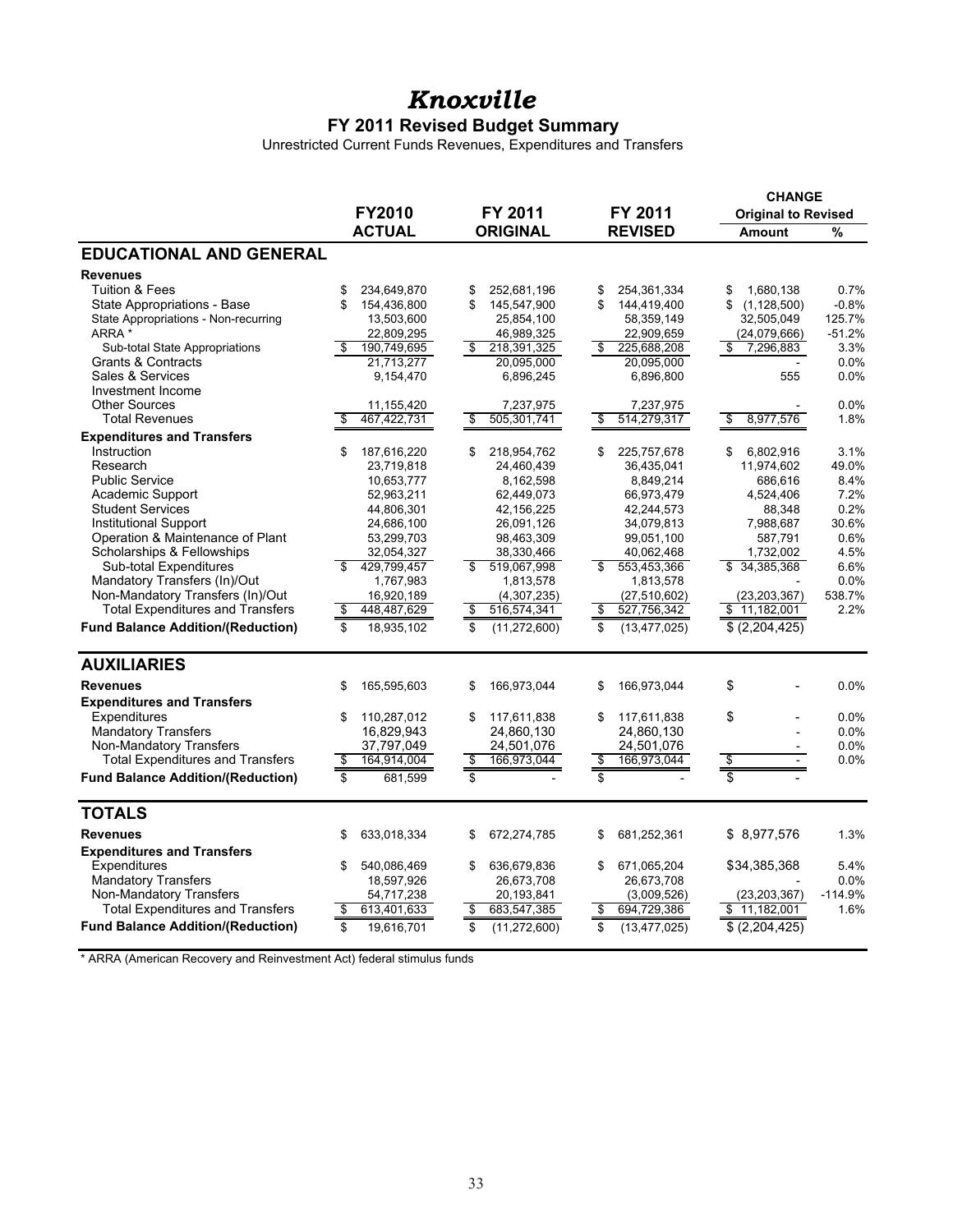## *Knoxville*

#### **FY 2011 Revised Budget Summary**

Unrestricted Current Funds Revenues, Expenditures and Transfers

|                                                       |                            |                                           | <b>CHANGE</b>            |                                          |              |  |
|-------------------------------------------------------|----------------------------|-------------------------------------------|--------------------------|------------------------------------------|--------------|--|
|                                                       | <b>FY2010</b>              | FY 2011                                   | FY 2011                  | <b>Original to Revised</b>               |              |  |
|                                                       | <b>ACTUAL</b>              | <b>ORIGINAL</b>                           | <b>REVISED</b>           | <b>Amount</b>                            | $\%$         |  |
| <b>EDUCATIONAL AND GENERAL</b>                        |                            |                                           |                          |                                          |              |  |
| <b>Revenues</b>                                       |                            |                                           |                          |                                          |              |  |
| <b>Tuition &amp; Fees</b>                             | \$<br>234,649,870          | 252,681,196<br>\$                         | 254,361,334<br>\$        | 1,680,138<br>\$                          | 0.7%         |  |
| State Appropriations - Base                           | \$<br>154,436,800          | \$<br>145,547,900                         | \$<br>144,419,400        | \$<br>(1, 128, 500)                      | $-0.8%$      |  |
| State Appropriations - Non-recurring                  | 13,503,600                 | 25,854,100                                | 58,359,149               | 32,505,049                               | 125.7%       |  |
| ARRA *                                                | 22,809,295                 | 46,989,325                                | 22,909,659               | (24,079,666)                             | $-51.2%$     |  |
| Sub-total State Appropriations                        | 190,749,695<br>\$          | 218,391,325<br>\$                         | 225,688,208<br>\$        | \$<br>7,296,883                          | 3.3%         |  |
| <b>Grants &amp; Contracts</b>                         | 21,713,277                 | 20,095,000                                | 20,095,000               |                                          | 0.0%         |  |
| Sales & Services                                      | 9,154,470                  | 6,896,245                                 | 6,896,800                | 555                                      | 0.0%         |  |
| Investment Income                                     |                            |                                           |                          |                                          |              |  |
| <b>Other Sources</b>                                  | 11,155,420                 | 7,237,975                                 | 7,237,975                |                                          | 0.0%         |  |
| <b>Total Revenues</b>                                 | 467,422,731<br>\$          | \$<br>505,301,741                         | 514,279,317<br>\$        | s,<br>8,977,576                          | 1.8%         |  |
| <b>Expenditures and Transfers</b>                     |                            |                                           |                          |                                          |              |  |
| Instruction                                           | \$<br>187,616,220          | 218,954,762<br>\$                         | 225,757,678<br>\$        | \$<br>6,802,916                          | 3.1%         |  |
| Research                                              | 23,719,818                 | 24,460,439                                | 36,435,041               | 11,974,602                               | 49.0%        |  |
| <b>Public Service</b>                                 | 10,653,777                 | 8,162,598                                 | 8,849,214                | 686,616                                  | 8.4%         |  |
| <b>Academic Support</b>                               | 52,963,211                 | 62,449,073                                | 66,973,479               | 4,524,406                                | 7.2%         |  |
| <b>Student Services</b>                               | 44,806,301                 | 42,156,225                                | 42,244,573               | 88.348                                   | 0.2%         |  |
| <b>Institutional Support</b>                          | 24,686,100                 | 26,091,126                                | 34,079,813               | 7,988,687                                | 30.6%        |  |
| Operation & Maintenance of Plant                      | 53,299,703                 | 98,463,309                                | 99,051,100               | 587,791                                  | 0.6%         |  |
| Scholarships & Fellowships                            | 32,054,327                 | 38,330,466                                | 40,062,468               | 1,732,002                                | 4.5%         |  |
| Sub-total Expenditures                                | 429,799,457<br>\$          | $\overline{\mathbf{s}}$<br>519,067,998    | 553,453,366<br>\$        | \$34,385,368                             | 6.6%         |  |
| Mandatory Transfers (In)/Out                          | 1,767,983                  | 1,813,578                                 | 1,813,578                |                                          | 0.0%         |  |
| Non-Mandatory Transfers (In)/Out                      | 16,920,189                 | (4,307,235)                               | (27, 510, 602)           | (23, 203, 367)                           | 538.7%       |  |
| <b>Total Expenditures and Transfers</b>               | \$<br>448,487,629          | \$<br>516,574,341                         | 527,756,342<br>\$        | \$11,182,001                             | 2.2%         |  |
| <b>Fund Balance Addition/(Reduction)</b>              | \$<br>18,935,102           | \$<br>(11, 272, 600)                      | \$<br>(13, 477, 025)     | \$ (2,204,425)                           |              |  |
| <b>AUXILIARIES</b>                                    |                            |                                           |                          |                                          |              |  |
| <b>Revenues</b>                                       |                            |                                           |                          |                                          |              |  |
|                                                       | \$<br>165,595,603          | 166,973,044<br>\$                         | 166,973,044<br>\$        | \$                                       | 0.0%         |  |
| <b>Expenditures and Transfers</b>                     |                            |                                           |                          | \$                                       |              |  |
| Expenditures                                          | \$<br>110,287,012          | \$<br>117,611,838                         | \$<br>117,611,838        |                                          | 0.0%         |  |
| <b>Mandatory Transfers</b><br>Non-Mandatory Transfers | 16,829,943<br>37,797,049   | 24,860,130<br>24,501,076                  | 24,860,130<br>24,501,076 |                                          | 0.0%<br>0.0% |  |
| <b>Total Expenditures and Transfers</b>               | s,<br>164,914,004          | 166,973,044<br>\$                         | \$<br>166,973,044        |                                          | 0.0%         |  |
|                                                       |                            | $\overline{\mathbb{S}}$                   | $\overline{\mathbf{s}}$  | $\frac{1}{2}$<br>$\overline{\mathbf{s}}$ |              |  |
| <b>Fund Balance Addition/(Reduction)</b>              | $\overline{\$}$<br>681,599 |                                           |                          |                                          |              |  |
| <b>TOTALS</b>                                         |                            |                                           |                          |                                          |              |  |
| <b>Revenues</b>                                       | 633,018,334<br>\$          | \$<br>672,274,785                         | 681,252,361<br>\$        | \$ 8,977,576                             | 1.3%         |  |
| <b>Expenditures and Transfers</b>                     |                            |                                           |                          |                                          |              |  |
| Expenditures                                          | \$<br>540,086,469          | \$<br>636,679,836                         | 671,065,204<br>\$        | \$34,385,368                             | 5.4%         |  |
| <b>Mandatory Transfers</b>                            | 18,597,926                 | 26,673,708                                | 26,673,708               |                                          | 0.0%         |  |
| Non-Mandatory Transfers                               | 54,717,238                 | 20,193,841                                | (3,009,526)              | (23, 203, 367)                           | $-114.9%$    |  |
| <b>Total Expenditures and Transfers</b>               | \$<br>613,401,633          | 683,547,385<br>\$                         | 694,729,386<br>\$        | \$11,182,001                             | 1.6%         |  |
| <b>Fund Balance Addition/(Reduction)</b>              | \$<br>19,616,701           | $\overline{\mathbb{S}}$<br>(11, 272, 600) | \$<br>(13, 477, 025)     | \$ (2,204,425)                           |              |  |
|                                                       |                            |                                           |                          |                                          |              |  |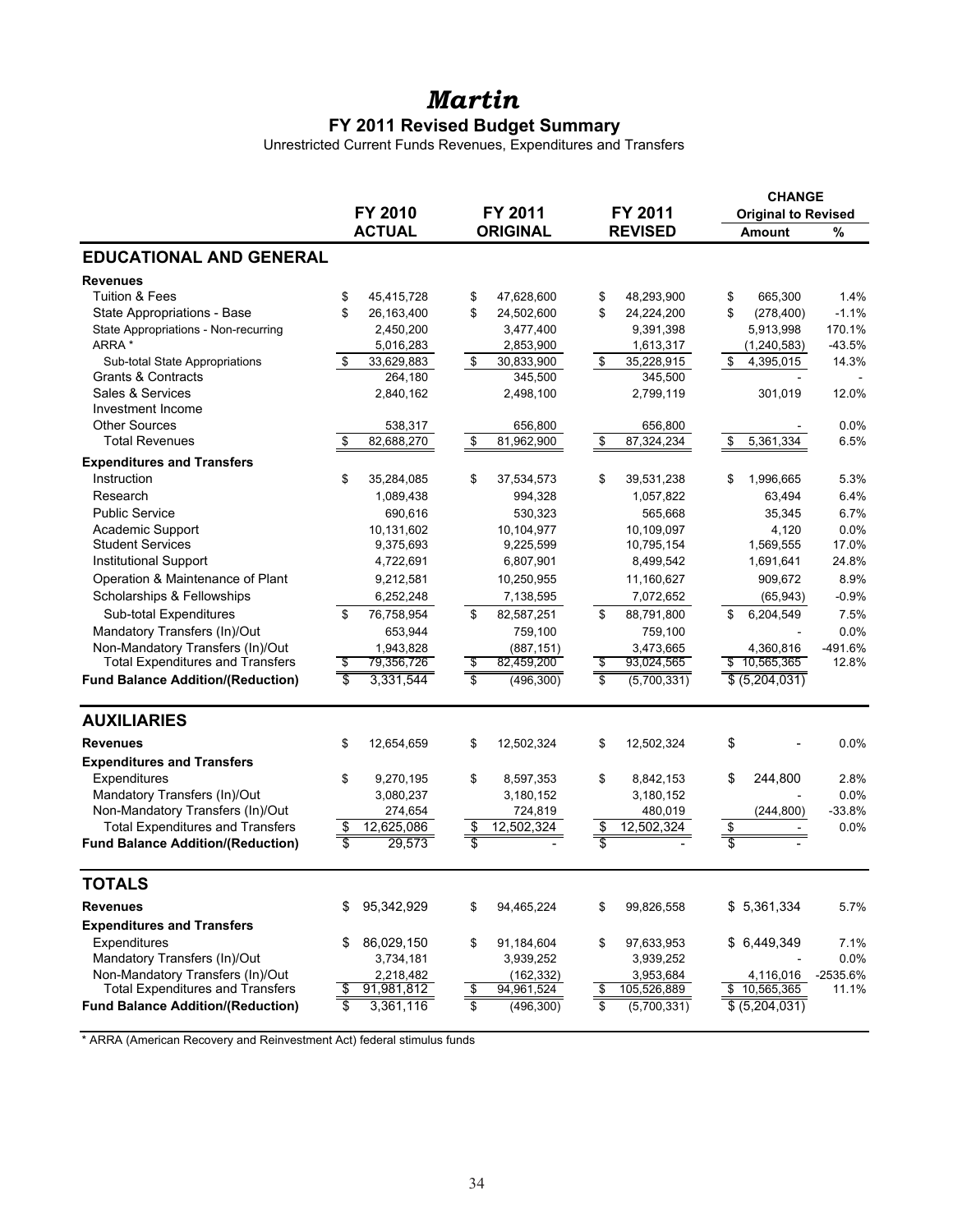### *Martin* **FY 2011 Revised Budget Summary**

Unrestricted Current Funds Revenues, Expenditures and Transfers

|                                          |                                       |                                       |                                        | <b>CHANGE</b>              |            |  |  |
|------------------------------------------|---------------------------------------|---------------------------------------|----------------------------------------|----------------------------|------------|--|--|
|                                          | FY 2010                               | FY 2011                               | FY 2011                                | <b>Original to Revised</b> |            |  |  |
|                                          | <b>ACTUAL</b>                         | <b>ORIGINAL</b>                       | <b>REVISED</b>                         | <b>Amount</b>              | $\%$       |  |  |
| <b>EDUCATIONAL AND GENERAL</b>           |                                       |                                       |                                        |                            |            |  |  |
| <b>Revenues</b>                          |                                       |                                       |                                        |                            |            |  |  |
| <b>Tuition &amp; Fees</b>                | 45,415,728<br>\$                      | 47,628,600<br>\$                      | 48,293,900<br>\$                       | \$<br>665,300              | 1.4%       |  |  |
| State Appropriations - Base              | \$<br>26, 163, 400                    | \$<br>24,502,600                      | \$<br>24,224,200                       | \$<br>(278, 400)           | $-1.1%$    |  |  |
| State Appropriations - Non-recurring     | 2,450,200                             | 3,477,400                             | 9,391,398                              | 5,913,998                  | 170.1%     |  |  |
| ARRA *                                   | 5,016,283                             | 2,853,900                             | 1,613,317                              | (1, 240, 583)              | $-43.5%$   |  |  |
| Sub-total State Appropriations           | \$<br>33,629,883                      | \$<br>30,833,900                      | \$<br>35,228,915                       | \$<br>4,395,015            | 14.3%      |  |  |
| <b>Grants &amp; Contracts</b>            | 264,180                               | 345,500                               | 345,500                                |                            |            |  |  |
| Sales & Services                         | 2,840,162                             | 2,498,100                             | 2,799,119                              | 301,019                    | 12.0%      |  |  |
| Investment Income                        |                                       |                                       |                                        |                            |            |  |  |
| <b>Other Sources</b>                     | 538,317                               | 656,800                               | 656,800                                |                            | 0.0%       |  |  |
| <b>Total Revenues</b>                    | \$<br>82,688,270                      | \$<br>81,962,900                      | \$<br>87,324,234                       | \$<br>5,361,334            | 6.5%       |  |  |
| <b>Expenditures and Transfers</b>        |                                       |                                       |                                        |                            |            |  |  |
| Instruction                              | \$<br>35,284,085                      | \$<br>37,534,573                      | 39,531,238<br>\$                       | \$<br>1,996,665            | 5.3%       |  |  |
| Research                                 | 1,089,438                             | 994,328                               | 1,057,822                              | 63,494                     | 6.4%       |  |  |
| <b>Public Service</b>                    | 690,616                               | 530,323                               | 565,668                                | 35,345                     | 6.7%       |  |  |
| Academic Support                         | 10,131,602                            | 10,104,977                            | 10,109,097                             | 4,120                      | 0.0%       |  |  |
| <b>Student Services</b>                  | 9,375,693                             | 9,225,599                             | 10,795,154                             | 1,569,555                  | 17.0%      |  |  |
| Institutional Support                    | 4,722,691                             | 6,807,901                             | 8,499,542                              | 1,691,641                  | 24.8%      |  |  |
| Operation & Maintenance of Plant         | 9,212,581                             | 10,250,955                            | 11,160,627                             | 909,672                    | 8.9%       |  |  |
| Scholarships & Fellowships               | 6,252,248                             | 7,138,595                             | 7,072,652                              | (65, 943)                  | $-0.9%$    |  |  |
| Sub-total Expenditures                   | \$<br>76,758,954                      | \$<br>82,587,251                      | \$<br>88,791,800                       | \$<br>6,204,549            | 7.5%       |  |  |
| Mandatory Transfers (In)/Out             | 653,944                               | 759,100                               | 759,100                                |                            | 0.0%       |  |  |
| Non-Mandatory Transfers (In)/Out         | 1,943,828                             | (887, 151)                            | 3,473,665                              | 4,360,816                  | -491.6%    |  |  |
| <b>Total Expenditures and Transfers</b>  | \$<br>79,356,726                      | \$<br>82,459,200                      | \$<br>93,024,565                       | \$10,565,365               | 12.8%      |  |  |
| <b>Fund Balance Addition/(Reduction)</b> | $\overline{\mathcal{S}}$<br>3,331,544 | $\overline{\mathsf{s}}$<br>(496, 300) | $\overline{\mathbf{s}}$<br>(5,700,331) | \$ (5,204,031)             |            |  |  |
| <b>AUXILIARIES</b>                       |                                       |                                       |                                        |                            |            |  |  |
| <b>Revenues</b>                          | \$<br>12,654,659                      | 12,502,324<br>\$                      | 12,502,324<br>\$                       | \$                         | 0.0%       |  |  |
| <b>Expenditures and Transfers</b>        |                                       |                                       |                                        |                            |            |  |  |
| Expenditures                             | \$<br>9,270,195                       | \$<br>8,597,353                       | \$<br>8,842,153                        | \$<br>244,800              | 2.8%       |  |  |
| Mandatory Transfers (In)/Out             | 3,080,237                             | 3,180,152                             | 3,180,152                              |                            | 0.0%       |  |  |
| Non-Mandatory Transfers (In)/Out         | 274,654                               | 724,819                               | 480,019                                | (244, 800)                 | $-33.8%$   |  |  |
| <b>Total Expenditures and Transfers</b>  | \$<br>12,625,086                      | 12,502,324<br>\$                      | 12,502,324<br>\$                       | $\frac{3}{3}$              | 0.0%       |  |  |
| <b>Fund Balance Addition/(Reduction)</b> | s<br>29,573                           |                                       |                                        |                            |            |  |  |
| <b>TOTALS</b>                            |                                       |                                       |                                        |                            |            |  |  |
| <b>Revenues</b>                          | 95,342,929<br>\$                      | 94,465,224<br>\$                      | \$<br>99,826,558                       | \$5,361,334                | 5.7%       |  |  |
| <b>Expenditures and Transfers</b>        |                                       |                                       |                                        |                            |            |  |  |
| Expenditures                             | 86,029,150<br>\$                      | \$<br>91,184,604                      | \$<br>97,633,953                       | \$6,449,349                | 7.1%       |  |  |
| Mandatory Transfers (In)/Out             | 3,734,181                             | 3,939,252                             | 3,939,252                              |                            | $0.0\%$    |  |  |
| Non-Mandatory Transfers (In)/Out         | 2,218,482                             | (162, 332)                            | 3,953,684                              | 4,116,016                  | $-2535.6%$ |  |  |
| <b>Total Expenditures and Transfers</b>  | 91,981,812<br>\$                      | \$<br>94,961,524                      | 105,526,889<br>\$                      | \$10,565,365               | 11.1%      |  |  |
| <b>Fund Balance Addition/(Reduction)</b> | S<br>3,361,116                        | $\overline{\$}$<br>(496, 300)         | s,<br>(5,700,331)                      | $\overline{$(5,204,031)}$  |            |  |  |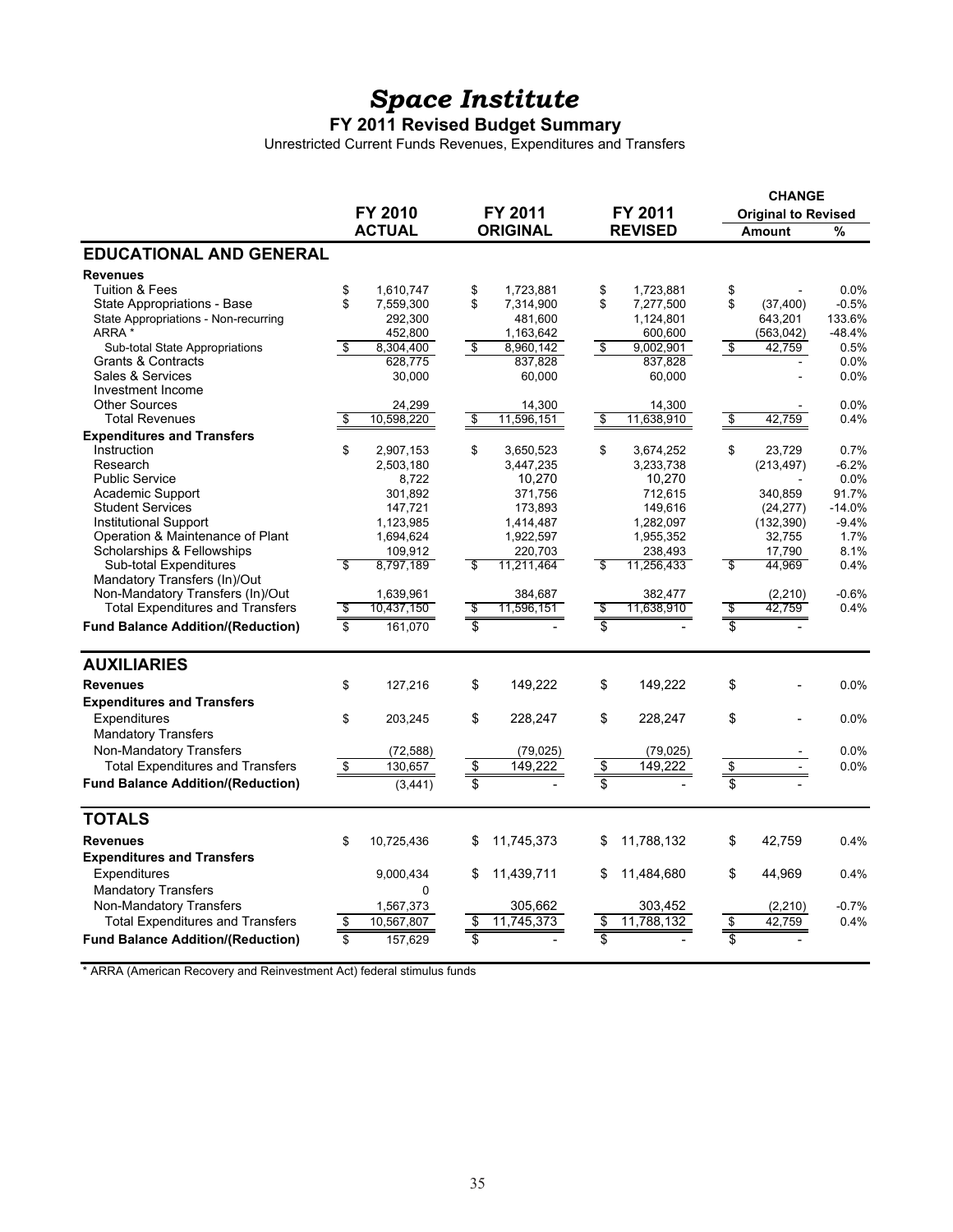### *Space Institute*

#### **FY 2011 Revised Budget Summary**

Unrestricted Current Funds Revenues, Expenditures and Transfers

|                                                                 |                                      | <b>CHANGE</b>                        |                                                 |                                                 |                    |
|-----------------------------------------------------------------|--------------------------------------|--------------------------------------|-------------------------------------------------|-------------------------------------------------|--------------------|
|                                                                 | FY 2010                              | FY 2011                              | FY 2011                                         | <b>Original to Revised</b>                      |                    |
|                                                                 | <b>ACTUAL</b>                        | <b>ORIGINAL</b>                      | <b>REVISED</b>                                  | <b>Amount</b>                                   | %                  |
| <b>EDUCATIONAL AND GENERAL</b>                                  |                                      |                                      |                                                 |                                                 |                    |
|                                                                 |                                      |                                      |                                                 |                                                 |                    |
| <b>Revenues</b><br><b>Tuition &amp; Fees</b>                    | \$                                   |                                      |                                                 |                                                 | 0.0%               |
| State Appropriations - Base                                     | 1,610,747<br>\$                      | \$<br>1,723,881<br>\$                | \$<br>1,723,881<br>\$                           | \$<br>\$                                        | $-0.5%$            |
|                                                                 | 7,559,300                            | 7,314,900                            | 7,277,500                                       | (37, 400)                                       |                    |
| State Appropriations - Non-recurring<br>ARRA *                  | 292,300<br>452,800                   | 481,600                              | 1,124,801                                       | 643,201                                         | 133.6%<br>$-48.4%$ |
|                                                                 | $\sqrt[6]{\frac{2}{5}}$<br>8,304,400 | 1,163,642<br>$\sqrt{2}$<br>8,960,142 | 600,600<br>$\sqrt[6]{\frac{2}{5}}$<br>9,002,901 | (563, 042)<br>$\sqrt[6]{\frac{2}{5}}$<br>42,759 | 0.5%               |
| Sub-total State Appropriations<br><b>Grants &amp; Contracts</b> | 628,775                              | 837,828                              | 837,828                                         |                                                 | 0.0%               |
| Sales & Services                                                | 30,000                               | 60,000                               | 60,000                                          |                                                 | 0.0%               |
| Investment Income                                               |                                      |                                      |                                                 |                                                 |                    |
| <b>Other Sources</b>                                            | 24,299                               | 14,300                               | 14,300                                          |                                                 | 0.0%               |
| <b>Total Revenues</b>                                           | 10,598,220<br>\$                     | 11,596,151<br>\$                     | 11,638,910<br>\$                                | $\overline{\mathbf{s}}$<br>42,759               | 0.4%               |
|                                                                 |                                      |                                      |                                                 |                                                 |                    |
| <b>Expenditures and Transfers</b><br>Instruction                | \$<br>2,907,153                      | \$<br>3,650,523                      | \$<br>3,674,252                                 | \$<br>23.729                                    | 0.7%               |
| Research                                                        | 2,503,180                            | 3,447,235                            | 3,233,738                                       |                                                 | $-6.2%$            |
| <b>Public Service</b>                                           | 8,722                                | 10,270                               | 10,270                                          | (213, 497)                                      | 0.0%               |
| Academic Support                                                | 301,892                              | 371,756                              | 712,615                                         | 340,859                                         | 91.7%              |
| <b>Student Services</b>                                         | 147,721                              | 173,893                              | 149,616                                         | (24, 277)                                       | $-14.0%$           |
| <b>Institutional Support</b>                                    | 1,123,985                            | 1,414,487                            | 1,282,097                                       | (132, 390)                                      | $-9.4%$            |
| Operation & Maintenance of Plant                                | 1,694,624                            | 1,922,597                            | 1,955,352                                       | 32,755                                          | 1.7%               |
| Scholarships & Fellowships                                      | 109,912                              | 220,703                              | 238,493                                         | 17,790                                          | 8.1%               |
| <b>Sub-total Expenditures</b>                                   | \$<br>8,797,189                      | S<br>11,211,464                      | 11,256,433<br>\$                                | -\$<br>44,969                                   | 0.4%               |
| Mandatory Transfers (In)/Out                                    |                                      |                                      |                                                 |                                                 |                    |
| Non-Mandatory Transfers (In)/Out                                | 1,639,961                            | 384,687                              | 382,477                                         | (2,210)                                         | $-0.6%$            |
| <b>Total Expenditures and Transfers</b>                         | 10,437,150<br>\$                     | 11,596,151<br>\$                     | 11,638,910<br>\$                                | \$<br>42,759                                    | 0.4%               |
|                                                                 | $\overline{\mathbf{s}}$              | $\overline{\mathcal{S}}$             |                                                 | $\overline{\mathbf{s}}$                         |                    |
| <b>Fund Balance Addition/(Reduction)</b>                        | 161,070                              |                                      |                                                 |                                                 |                    |
| <b>AUXILIARIES</b>                                              |                                      |                                      |                                                 |                                                 |                    |
| <b>Revenues</b>                                                 | \$<br>127,216                        | \$<br>149,222                        | \$<br>149,222                                   | \$                                              | 0.0%               |
| <b>Expenditures and Transfers</b>                               |                                      |                                      |                                                 |                                                 |                    |
| Expenditures                                                    | \$<br>203,245                        | \$<br>228,247                        | \$<br>228,247                                   | \$                                              | 0.0%               |
| <b>Mandatory Transfers</b>                                      |                                      |                                      |                                                 |                                                 |                    |
|                                                                 |                                      |                                      |                                                 |                                                 |                    |
| Non-Mandatory Transfers                                         | (72, 588)                            | (79, 025)                            | (79, 025)                                       |                                                 | 0.0%               |
| <b>Total Expenditures and Transfers</b>                         | $\overline{\mathbf{S}}$<br>130,657   | \$<br>149,222                        | \$<br>149,222                                   | \$<br>$\blacksquare$                            | 0.0%               |
| <b>Fund Balance Addition/(Reduction)</b>                        | (3,441)                              | \$                                   | \$                                              |                                                 |                    |
| <b>TOTALS</b>                                                   |                                      |                                      |                                                 |                                                 |                    |
| <b>Revenues</b>                                                 | \$<br>10,725,436                     | 11,745,373<br>\$                     | 11,788,132<br>\$                                | \$<br>42,759                                    | 0.4%               |
| <b>Expenditures and Transfers</b>                               |                                      |                                      |                                                 |                                                 |                    |
|                                                                 |                                      |                                      |                                                 |                                                 |                    |
| Expenditures                                                    | 9,000,434                            | 11,439,711<br>\$                     | 11,484,680<br>\$                                | \$<br>44,969                                    | 0.4%               |
| <b>Mandatory Transfers</b>                                      | $\mathbf 0$                          |                                      |                                                 |                                                 |                    |
| Non-Mandatory Transfers                                         | 1,567,373                            | 305,662                              | 303,452                                         | (2, 210)                                        | $-0.7%$            |
| <b>Total Expenditures and Transfers</b>                         | \$<br>10,567,807                     | 11,745,373<br>\$                     | \$<br>11,788,132                                | \$<br>42,759                                    | 0.4%               |
| <b>Fund Balance Addition/(Reduction)</b>                        | \$<br>157,629                        | \$                                   | \$                                              | \$                                              |                    |
|                                                                 |                                      |                                      |                                                 |                                                 |                    |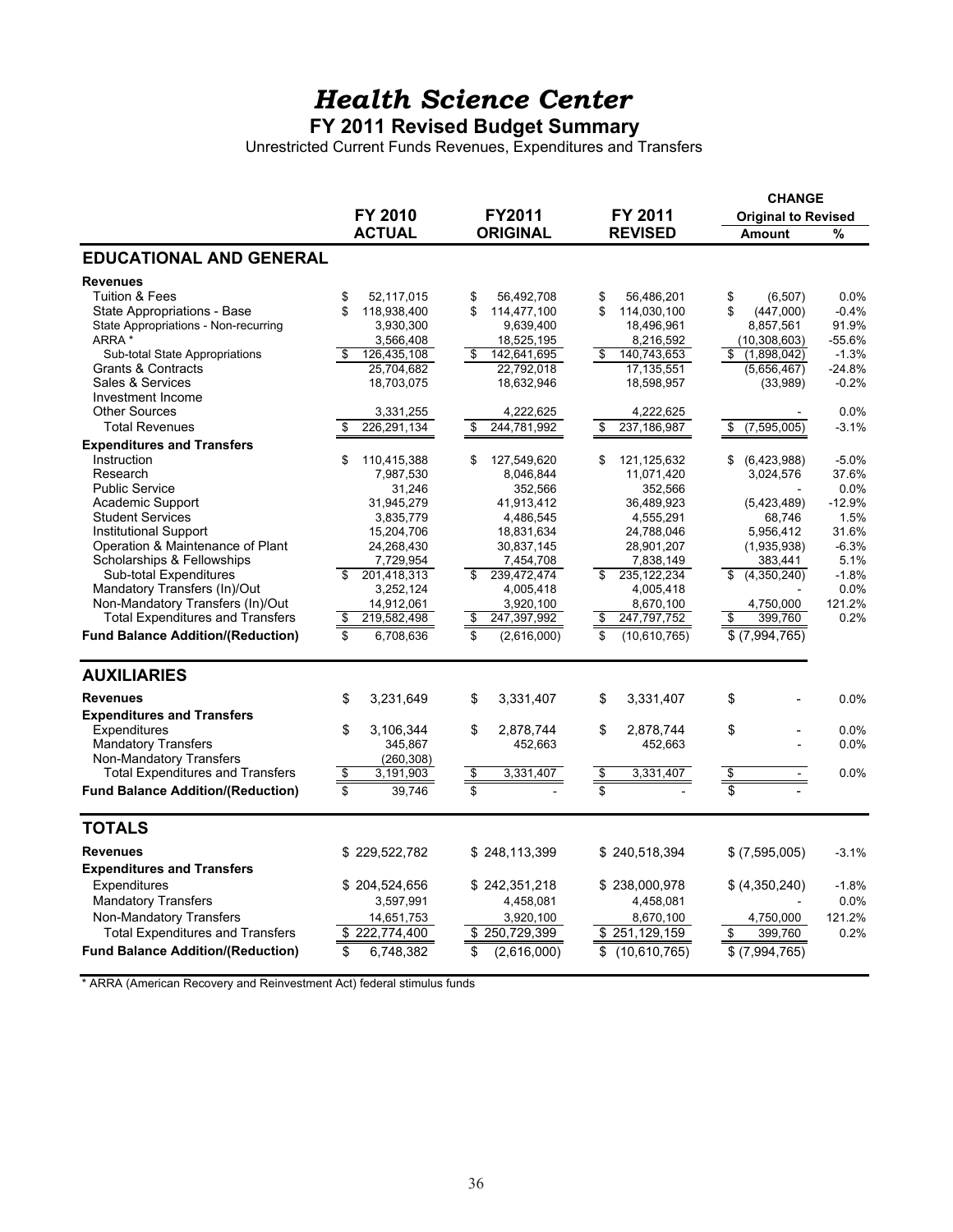## *Health Science Center*

**FY 2011 Revised Budget Summary**

Unrestricted Current Funds Revenues, Expenditures and Transfers

|                                                           |                                               |                                               |                                               | <b>CHANGE</b>                              |                  |  |  |
|-----------------------------------------------------------|-----------------------------------------------|-----------------------------------------------|-----------------------------------------------|--------------------------------------------|------------------|--|--|
|                                                           | FY 2010                                       | <b>FY2011</b>                                 | FY 2011                                       | <b>Original to Revised</b>                 |                  |  |  |
|                                                           | <b>ACTUAL</b>                                 | <b>ORIGINAL</b>                               | <b>REVISED</b>                                | <b>Amount</b>                              | %                |  |  |
| <b>EDUCATIONAL AND GENERAL</b>                            |                                               |                                               |                                               |                                            |                  |  |  |
| <b>Revenues</b>                                           |                                               |                                               |                                               |                                            |                  |  |  |
| <b>Tuition &amp; Fees</b>                                 | \$<br>52,117,015                              | 56,492,708<br>\$                              | \$<br>56,486,201                              | \$<br>(6, 507)                             | 0.0%             |  |  |
| State Appropriations - Base                               | \$<br>118,938,400                             | \$<br>114,477,100                             | \$<br>114,030,100                             | \$<br>(447,000)                            | $-0.4%$          |  |  |
| State Appropriations - Non-recurring                      | 3,930,300                                     | 9,639,400                                     | 18,496,961                                    | 8,857,561                                  | 91.9%            |  |  |
| ARRA *                                                    | 3,566,408                                     | 18,525,195                                    | 8,216,592                                     | (10, 308, 603)                             | $-55.6%$         |  |  |
| Sub-total State Appropriations                            | \$<br>126,435,108                             | 142,641,695<br>\$                             | \$<br>140,743,653                             | \$(1,898,042)                              | $-1.3%$          |  |  |
| Grants & Contracts                                        | 25,704,682                                    | 22,792,018                                    | 17,135,551                                    | (5,656,467)                                | $-24.8%$         |  |  |
| Sales & Services                                          | 18,703,075                                    | 18,632,946                                    | 18,598,957                                    | (33,989)                                   | $-0.2%$          |  |  |
| Investment Income                                         |                                               |                                               |                                               |                                            |                  |  |  |
| <b>Other Sources</b>                                      | 3,331,255                                     | 4,222,625                                     | 4,222,625                                     |                                            | 0.0%             |  |  |
| <b>Total Revenues</b>                                     | \$<br>226,291,134                             | \$<br>244,781,992                             | \$<br>237,186,987                             | \$<br>(7,595,005)                          | $-3.1%$          |  |  |
| <b>Expenditures and Transfers</b>                         |                                               |                                               |                                               |                                            |                  |  |  |
| Instruction                                               | \$<br>110,415,388                             | \$<br>127,549,620                             | \$<br>121,125,632                             | \$<br>(6,423,988)                          | $-5.0%$          |  |  |
| Research                                                  | 7,987,530                                     | 8,046,844                                     | 11,071,420                                    | 3,024,576                                  | 37.6%            |  |  |
| <b>Public Service</b>                                     | 31,246                                        | 352.566                                       | 352,566                                       |                                            | 0.0%             |  |  |
| Academic Support                                          | 31,945,279                                    | 41,913,412                                    | 36,489,923                                    | (5,423,489)                                | $-12.9%$         |  |  |
| <b>Student Services</b>                                   | 3,835,779                                     | 4,486,545                                     | 4,555,291                                     | 68.746                                     | 1.5%             |  |  |
| Institutional Support<br>Operation & Maintenance of Plant | 15,204,706                                    | 18,831,634                                    | 24,788,046                                    | 5,956,412                                  | 31.6%<br>$-6.3%$ |  |  |
| Scholarships & Fellowships                                | 24,268,430<br>7,729,954                       | 30,837,145<br>7,454,708                       | 28,901,207<br>7,838,149                       | (1,935,938)<br>383,441                     | 5.1%             |  |  |
| <b>Sub-total Expenditures</b>                             | 201,418,313<br>\$                             | 239,472,474<br>\$                             | 235, 122, 234<br>\$                           | (4,350,240)                                | $-1.8%$          |  |  |
| Mandatory Transfers (In)/Out                              | 3,252,124                                     | 4,005,418                                     | 4,005,418                                     |                                            | 0.0%             |  |  |
| Non-Mandatory Transfers (In)/Out                          | 14,912,061                                    | 3,920,100                                     | 8,670,100                                     | 4.750.000                                  | 121.2%           |  |  |
| <b>Total Expenditures and Transfers</b>                   | \$<br>219,582,498                             | \$<br>247,397,992                             | \$<br>247,797,752                             | $\overline{\mathcal{S}}$<br>399,760        | 0.2%             |  |  |
| <b>Fund Balance Addition/(Reduction)</b>                  | \$<br>6,708,636                               | \$<br>(2,616,000)                             | \$<br>(10,610,765)                            | \$(7,994,765)                              |                  |  |  |
|                                                           |                                               |                                               |                                               |                                            |                  |  |  |
| <b>AUXILIARIES</b>                                        |                                               |                                               |                                               |                                            |                  |  |  |
| <b>Revenues</b>                                           | \$<br>3,231,649                               | \$<br>3,331,407                               | \$<br>3,331,407                               | \$                                         | 0.0%             |  |  |
| <b>Expenditures and Transfers</b>                         |                                               |                                               |                                               |                                            |                  |  |  |
| Expenditures                                              | \$<br>3,106,344                               | \$<br>2,878,744                               | \$<br>2,878,744                               | \$                                         | 0.0%             |  |  |
| <b>Mandatory Transfers</b>                                | 345,867                                       | 452,663                                       | 452,663                                       |                                            | 0.0%             |  |  |
| Non-Mandatory Transfers                                   | (260, 308)                                    |                                               |                                               |                                            |                  |  |  |
| <b>Total Expenditures and Transfers</b>                   | $\overline{\boldsymbol{\theta}}$<br>3,191,903 | $\overline{\boldsymbol{\theta}}$<br>3,331,407 | $\overline{\boldsymbol{\theta}}$<br>3,331,407 | $\overline{\boldsymbol{\theta}}$<br>$\sim$ | 0.0%             |  |  |
| <b>Fund Balance Addition/(Reduction)</b>                  | \$<br>39,746                                  | \$                                            | \$                                            | \$                                         |                  |  |  |
| <b>TOTALS</b>                                             |                                               |                                               |                                               |                                            |                  |  |  |
| <b>Revenues</b>                                           |                                               | \$248,113,399                                 | \$240,518,394                                 |                                            |                  |  |  |
|                                                           | \$229,522,782                                 |                                               |                                               | \$ (7,595,005)                             | $-3.1%$          |  |  |
| <b>Expenditures and Transfers</b>                         |                                               |                                               |                                               |                                            |                  |  |  |
| Expenditures                                              | \$204,524,656                                 | \$242,351,218                                 | \$238,000,978                                 | \$(4,350,240)                              | $-1.8%$          |  |  |
| <b>Mandatory Transfers</b>                                | 3,597,991                                     | 4,458,081                                     | 4,458,081                                     |                                            | 0.0%             |  |  |
| Non-Mandatory Transfers                                   | 14,651,753                                    | 3,920,100                                     | 8,670,100                                     | 4,750,000                                  | 121.2%           |  |  |
| <b>Total Expenditures and Transfers</b>                   | \$222,774,400                                 | \$250,729,399                                 | \$251,129,159                                 | \$<br>399,760                              | 0.2%             |  |  |
| <b>Fund Balance Addition/(Reduction)</b>                  | \$<br>6,748,382                               | \$<br>(2,616,000)                             | \$<br>(10,610,765)                            | $$$ (7,994,765)                            |                  |  |  |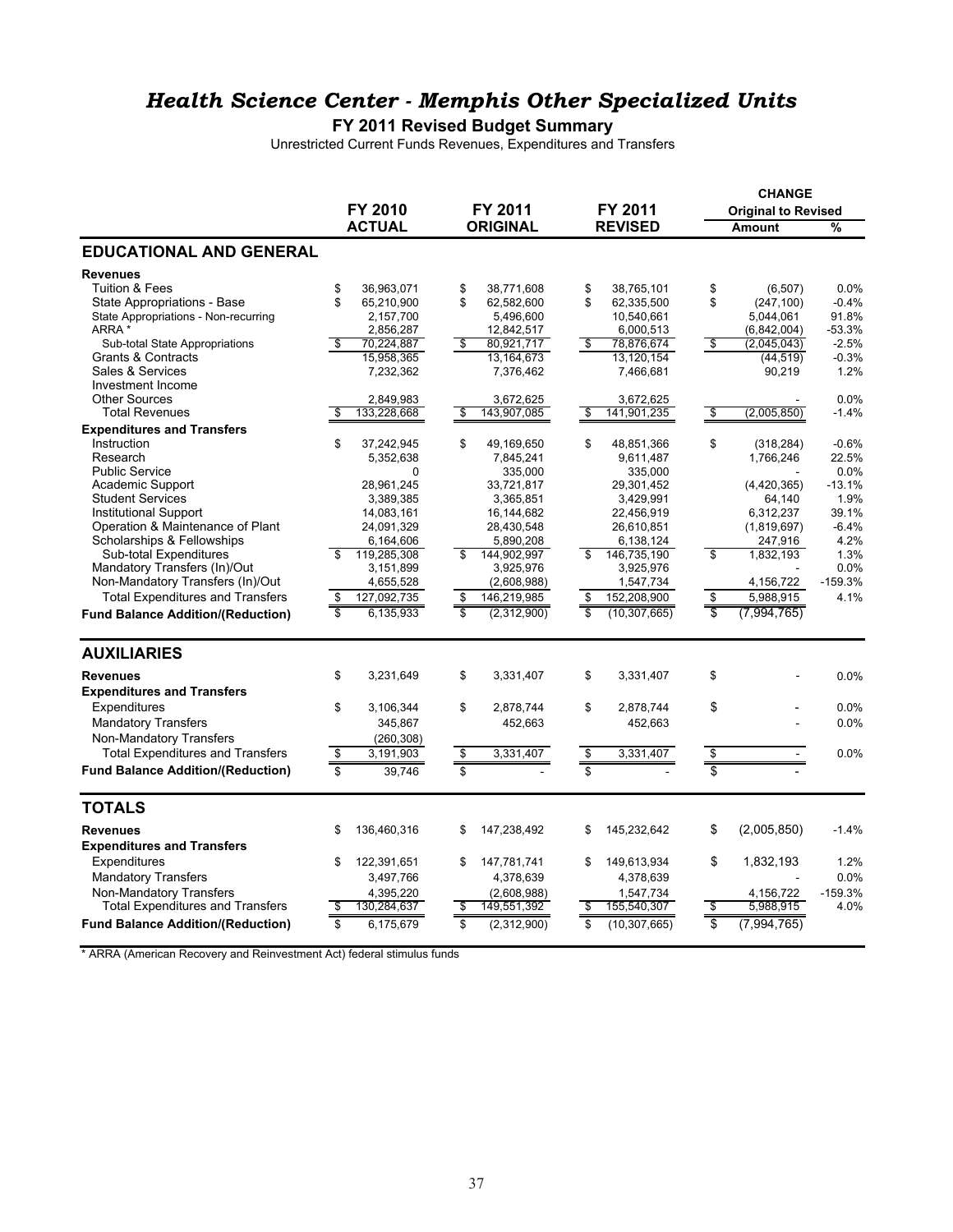## *Health Science Center - Memphis Other Specialized Units*

#### **FY 2011 Revised Budget Summary**

Unrestricted Current Funds Revenues, Expenditures and Transfers

|                                          |                         |               |    |                 |                         |                | <b>CHANGE</b>             |                            |           |  |
|------------------------------------------|-------------------------|---------------|----|-----------------|-------------------------|----------------|---------------------------|----------------------------|-----------|--|
|                                          |                         | FY 2010       |    | FY 2011         |                         | FY 2011        |                           | <b>Original to Revised</b> |           |  |
|                                          |                         | <b>ACTUAL</b> |    | <b>ORIGINAL</b> |                         | <b>REVISED</b> |                           | <b>Amount</b>              | %         |  |
| <b>EDUCATIONAL AND GENERAL</b>           |                         |               |    |                 |                         |                |                           |                            |           |  |
| <b>Revenues</b>                          |                         |               |    |                 |                         |                |                           |                            |           |  |
| Tuition & Fees                           | \$                      | 36,963,071    | \$ | 38,771,608      | \$                      | 38,765,101     | \$                        | (6, 507)                   | 0.0%      |  |
| State Appropriations - Base              | \$                      | 65,210,900    | \$ | 62,582,600      | \$                      | 62,335,500     | \$                        | (247, 100)                 | $-0.4%$   |  |
| State Appropriations - Non-recurring     |                         | 2,157,700     |    | 5,496,600       |                         | 10,540,661     |                           | 5,044,061                  | 91.8%     |  |
| ARRA *                                   |                         | 2,856,287     |    | 12,842,517      |                         | 6,000,513      |                           | (6,842,004)                | $-53.3%$  |  |
| Sub-total State Appropriations           | \$                      | 70.224.887    | \$ | 80,921,717      | \$                      | 78,876,674     | $\overline{\mathcal{S}}$  | (2,045,043)                | $-2.5%$   |  |
| <b>Grants &amp; Contracts</b>            |                         | 15,958,365    |    | 13,164,673      |                         | 13,120,154     |                           | (44, 519)                  | $-0.3%$   |  |
| Sales & Services                         |                         | 7,232,362     |    | 7,376,462       |                         | 7,466,681      |                           | 90,219                     | 1.2%      |  |
| Investment Income                        |                         |               |    |                 |                         |                |                           |                            |           |  |
| <b>Other Sources</b>                     |                         | 2,849,983     |    | 3,672,625       |                         | 3,672,625      |                           |                            | 0.0%      |  |
| <b>Total Revenues</b>                    | \$                      | 133,228,668   | \$ | 143,907,085     | \$                      | 141,901,235    | $\boldsymbol{\mathsf{s}}$ | (2,005,850)                | $-1.4%$   |  |
| <b>Expenditures and Transfers</b>        |                         |               |    |                 |                         |                |                           |                            |           |  |
| Instruction                              | \$                      | 37,242,945    | \$ | 49,169,650      | \$                      | 48,851,366     | \$                        | (318, 284)                 | $-0.6%$   |  |
| Research                                 |                         | 5,352,638     |    | 7,845,241       |                         | 9,611,487      |                           | 1,766,246                  | 22.5%     |  |
| <b>Public Service</b>                    |                         | $\Omega$      |    | 335,000         |                         | 335,000        |                           |                            | 0.0%      |  |
| Academic Support                         |                         | 28,961,245    |    | 33,721,817      |                         | 29,301,452     |                           | (4, 420, 365)              | $-13.1%$  |  |
| <b>Student Services</b>                  |                         | 3.389.385     |    | 3,365,851       |                         | 3,429,991      |                           | 64,140                     | 1.9%      |  |
| Institutional Support                    |                         | 14,083,161    |    | 16,144,682      |                         | 22,456,919     |                           | 6,312,237                  | 39.1%     |  |
| Operation & Maintenance of Plant         |                         | 24,091,329    |    | 28,430,548      |                         | 26,610,851     |                           | (1,819,697)                | $-6.4%$   |  |
| Scholarships & Fellowships               |                         | 6,164,606     |    | 5,890,208       |                         | 6,138,124      |                           | 247,916                    | 4.2%      |  |
| Sub-total Expenditures                   | \$                      | 119,285,308   | \$ | 144,902,997     | \$                      | 146,735,190    | s                         | 1,832,193                  | 1.3%      |  |
| Mandatory Transfers (In)/Out             |                         | 3,151,899     |    | 3,925,976       |                         | 3,925,976      |                           |                            | 0.0%      |  |
| Non-Mandatory Transfers (In)/Out         |                         | 4,655,528     |    | (2,608,988)     |                         | 1,547,734      |                           | 4,156,722                  | $-159.3%$ |  |
| <b>Total Expenditures and Transfers</b>  | \$                      | 127,092,735   | \$ | 146,219,985     | \$                      | 152,208,900    | \$                        | 5,988,915                  | 4.1%      |  |
| <b>Fund Balance Addition/(Reduction)</b> | $\overline{\mathbb{S}}$ | 6,135,933     | Ś  | (2,312,900)     | $\overline{\mathbf{S}}$ | (10, 307, 665) | s.                        | (7,994,765)                |           |  |
| <b>AUXILIARIES</b>                       |                         |               |    |                 |                         |                |                           |                            |           |  |
|                                          |                         |               |    |                 |                         |                |                           |                            |           |  |
| <b>Revenues</b>                          | \$                      | 3,231,649     | \$ | 3,331,407       | \$                      | 3,331,407      | \$                        |                            | 0.0%      |  |
| <b>Expenditures and Transfers</b>        |                         |               |    |                 |                         |                |                           |                            |           |  |
| Expenditures                             | \$                      | 3,106,344     | \$ | 2,878,744       | \$                      | 2,878,744      | \$                        |                            | 0.0%      |  |
| <b>Mandatory Transfers</b>               |                         | 345,867       |    | 452,663         |                         | 452,663        |                           | ÷                          | 0.0%      |  |
| Non-Mandatory Transfers                  |                         | (260, 308)    |    |                 |                         |                |                           |                            |           |  |
| <b>Total Expenditures and Transfers</b>  | $\sqrt[6]{3}$           | 3,191,903     | \$ | 3,331,407       | $\pmb{\mathfrak{s}}$    | 3,331,407      |                           | $\blacksquare$             | 0.0%      |  |
| <b>Fund Balance Addition/(Reduction)</b> | $\overline{\mathbf{s}}$ | 39,746        | \$ |                 | \$                      |                | $rac{1}{3}$               |                            |           |  |
| <b>TOTALS</b>                            |                         |               |    |                 |                         |                |                           |                            |           |  |
|                                          |                         |               |    |                 |                         |                |                           |                            |           |  |
| <b>Revenues</b>                          | \$                      | 136,460,316   | \$ | 147,238,492     | \$                      | 145,232,642    | \$                        | (2,005,850)                | $-1.4%$   |  |
| <b>Expenditures and Transfers</b>        |                         |               |    |                 |                         |                |                           |                            |           |  |
| Expenditures                             | \$                      | 122,391,651   | \$ | 147,781,741     | \$                      | 149,613,934    | \$                        | 1,832,193                  | 1.2%      |  |
| <b>Mandatory Transfers</b>               |                         | 3,497,766     |    | 4,378,639       |                         | 4,378,639      |                           |                            | 0.0%      |  |
| Non-Mandatory Transfers                  |                         | 4,395,220     |    | (2,608,988)     |                         | 1,547,734      |                           | 4,156,722                  | $-159.3%$ |  |
| <b>Total Expenditures and Transfers</b>  | \$                      | 130,284,637   | S  | 149,551,392     | \$                      | 155,540,307    | $\overline{\$}$           | 5.988.915                  | 4.0%      |  |
| <b>Fund Balance Addition/(Reduction)</b> | \$                      | 6,175,679     | \$ | (2,312,900)     | \$                      | (10, 307, 665) |                           | (7,994,765)                |           |  |
|                                          |                         |               |    |                 |                         |                |                           |                            |           |  |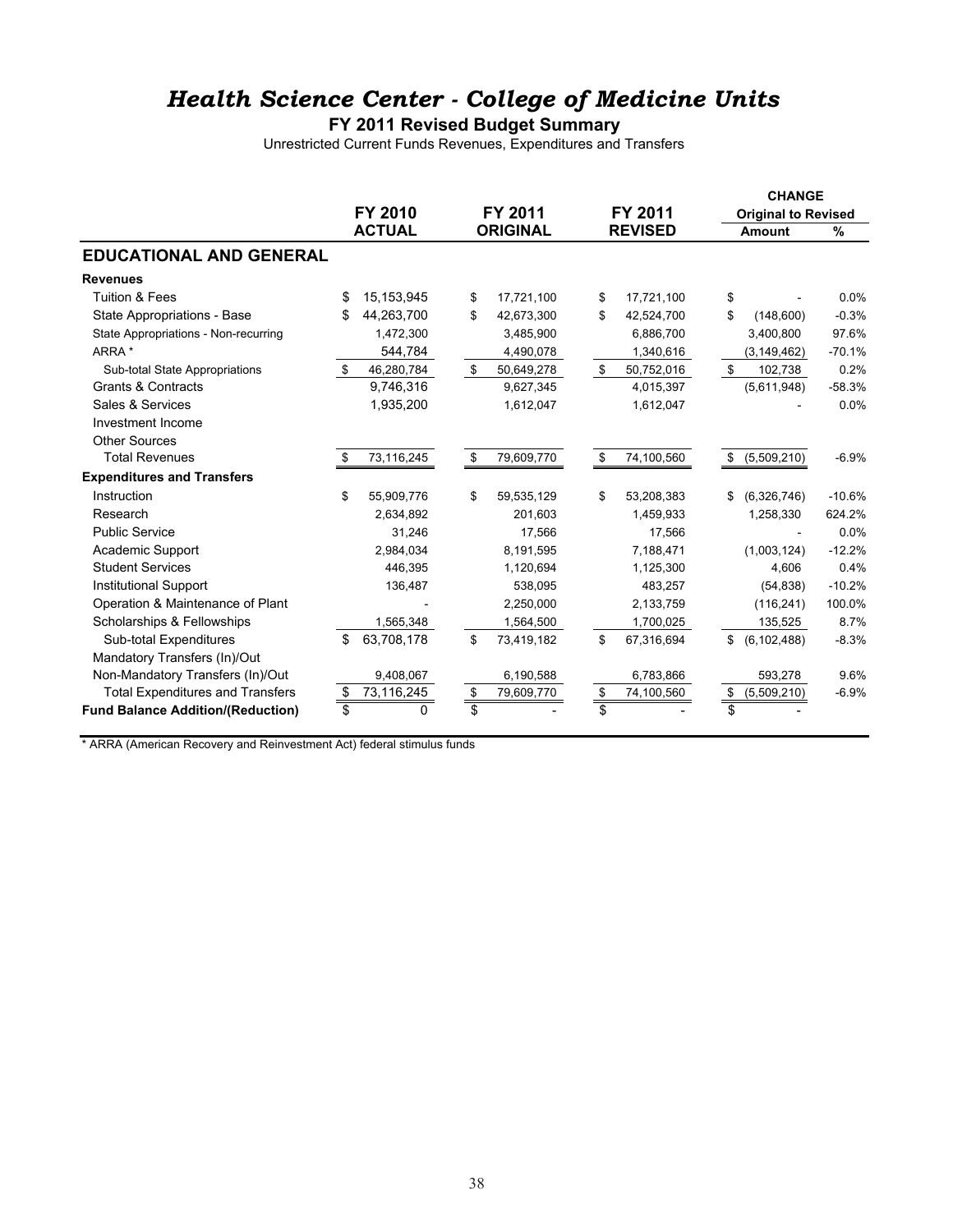## *Health Science Center - College of Medicine Units*

**FY 2011 Revised Budget Summary**

Unrestricted Current Funds Revenues, Expenditures and Transfers

|                                          |                    |                  |                  | <b>CHANGE</b>              |          |
|------------------------------------------|--------------------|------------------|------------------|----------------------------|----------|
|                                          | <b>FY 2010</b>     | FY 2011          | FY 2011          | <b>Original to Revised</b> |          |
|                                          | <b>ACTUAL</b>      | <b>ORIGINAL</b>  | <b>REVISED</b>   | <b>Amount</b>              | %        |
| <b>EDUCATIONAL AND GENERAL</b>           |                    |                  |                  |                            |          |
| <b>Revenues</b>                          |                    |                  |                  |                            |          |
| <b>Tuition &amp; Fees</b>                | \$<br>15, 153, 945 | \$<br>17,721,100 | \$<br>17,721,100 | \$                         | $0.0\%$  |
| State Appropriations - Base              | \$<br>44,263,700   | \$<br>42,673,300 | \$<br>42,524,700 | \$<br>(148,600)            | $-0.3%$  |
| State Appropriations - Non-recurring     | 1,472,300          | 3,485,900        | 6,886,700        | 3,400,800                  | 97.6%    |
| ARRA *                                   | 544,784            | 4,490,078        | 1,340,616        | (3, 149, 462)              | $-70.1%$ |
| Sub-total State Appropriations           | \$<br>46,280,784   | \$<br>50,649,278 | \$<br>50,752,016 | \$<br>102,738              | 0.2%     |
| <b>Grants &amp; Contracts</b>            | 9,746,316          | 9,627,345        | 4,015,397        | (5,611,948)                | $-58.3%$ |
| Sales & Services                         | 1,935,200          | 1,612,047        | 1,612,047        |                            | 0.0%     |
| Investment Income                        |                    |                  |                  |                            |          |
| <b>Other Sources</b>                     |                    |                  |                  |                            |          |
| <b>Total Revenues</b>                    | \$<br>73,116,245   | \$<br>79,609,770 | \$<br>74,100,560 | \$<br>(5,509,210)          | $-6.9%$  |
| <b>Expenditures and Transfers</b>        |                    |                  |                  |                            |          |
| Instruction                              | \$<br>55,909,776   | \$<br>59,535,129 | \$<br>53,208,383 | \$<br>(6,326,746)          | $-10.6%$ |
| Research                                 | 2,634,892          | 201,603          | 1,459,933        | 1,258,330                  | 624.2%   |
| <b>Public Service</b>                    | 31,246             | 17.566           | 17,566           |                            | 0.0%     |
| Academic Support                         | 2,984,034          | 8,191,595        | 7,188,471        | (1,003,124)                | $-12.2%$ |
| <b>Student Services</b>                  | 446,395            | 1,120,694        | 1,125,300        | 4,606                      | 0.4%     |
| <b>Institutional Support</b>             | 136,487            | 538,095          | 483,257          | (54, 838)                  | $-10.2%$ |
| Operation & Maintenance of Plant         |                    | 2,250,000        | 2,133,759        | (116, 241)                 | 100.0%   |
| Scholarships & Fellowships               | 1,565,348          | 1,564,500        | 1,700,025        | 135,525                    | 8.7%     |
| Sub-total Expenditures                   | \$<br>63,708,178   | \$<br>73,419,182 | \$<br>67,316,694 | \$<br>(6, 102, 488)        | $-8.3%$  |
| Mandatory Transfers (In)/Out             |                    |                  |                  |                            |          |
| Non-Mandatory Transfers (In)/Out         | 9,408,067          | 6,190,588        | 6,783,866        | 593,278                    | 9.6%     |
| <b>Total Expenditures and Transfers</b>  | \$<br>73,116,245   | \$<br>79,609,770 | \$<br>74,100,560 | \$<br>(5,509,210)          | $-6.9%$  |
| <b>Fund Balance Addition/(Reduction)</b> | \$<br>0            | \$               | \$               | \$                         |          |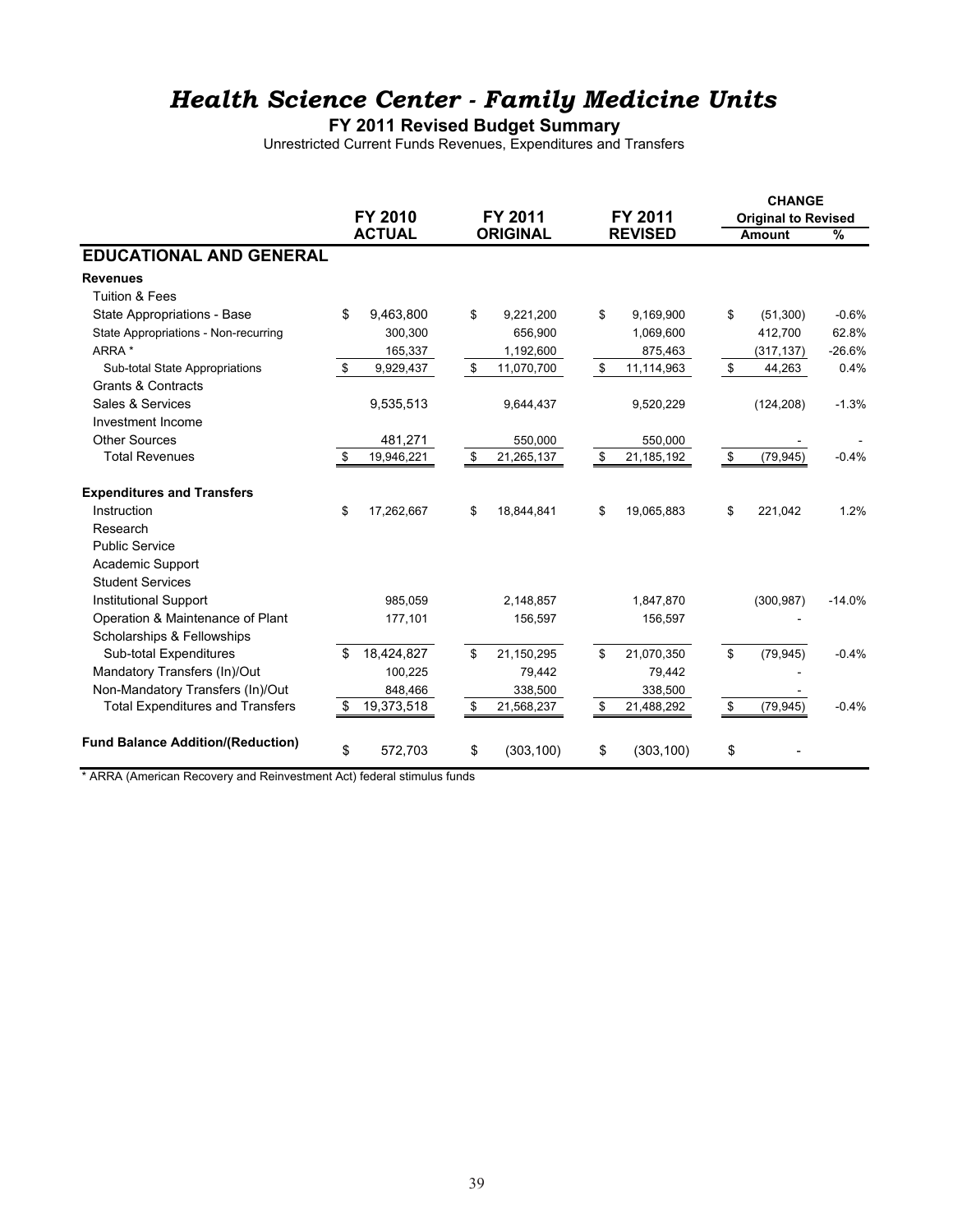## *Health Science Center - Family Medicine Units*

#### **FY 2011 Revised Budget Summary**

Unrestricted Current Funds Revenues, Expenditures and Transfers

|                                          |     |                |                  |                  | <b>CHANGE</b>              |          |
|------------------------------------------|-----|----------------|------------------|------------------|----------------------------|----------|
|                                          |     | <b>FY 2010</b> | FY 2011          | FY 2011          | <b>Original to Revised</b> |          |
|                                          |     | <b>ACTUAL</b>  | <b>ORIGINAL</b>  | <b>REVISED</b>   | <b>Amount</b>              | $\%$     |
| <b>EDUCATIONAL AND GENERAL</b>           |     |                |                  |                  |                            |          |
| <b>Revenues</b>                          |     |                |                  |                  |                            |          |
| <b>Tuition &amp; Fees</b>                |     |                |                  |                  |                            |          |
| State Appropriations - Base              | \$  | 9,463,800      | \$<br>9,221,200  | \$<br>9,169,900  | \$<br>(51,300)             | $-0.6%$  |
| State Appropriations - Non-recurring     |     | 300.300        | 656,900          | 1,069,600        | 412,700                    | 62.8%    |
| ARRA *                                   |     | 165,337        | 1,192,600        | 875,463          | (317, 137)                 | $-26.6%$ |
| Sub-total State Appropriations           | \$  | 9,929,437      | \$<br>11,070,700 | \$<br>11,114,963 | \$<br>44,263               | 0.4%     |
| <b>Grants &amp; Contracts</b>            |     |                |                  |                  |                            |          |
| Sales & Services                         |     | 9,535,513      | 9,644,437        | 9,520,229        | (124, 208)                 | $-1.3%$  |
| Investment Income                        |     |                |                  |                  |                            |          |
| <b>Other Sources</b>                     |     | 481,271        | 550,000          | 550,000          |                            |          |
| <b>Total Revenues</b>                    | \$  | 19,946,221     | \$<br>21,265,137 | \$<br>21,185,192 | \$<br>(79, 945)            | $-0.4%$  |
| <b>Expenditures and Transfers</b>        |     |                |                  |                  |                            |          |
| Instruction                              | \$  | 17,262,667     | \$<br>18,844,841 | \$<br>19,065,883 | \$<br>221,042              | 1.2%     |
| Research                                 |     |                |                  |                  |                            |          |
| <b>Public Service</b>                    |     |                |                  |                  |                            |          |
| Academic Support                         |     |                |                  |                  |                            |          |
| <b>Student Services</b>                  |     |                |                  |                  |                            |          |
| <b>Institutional Support</b>             |     | 985,059        | 2,148,857        | 1,847,870        | (300, 987)                 | $-14.0%$ |
| Operation & Maintenance of Plant         |     | 177,101        | 156,597          | 156,597          |                            |          |
| Scholarships & Fellowships               |     |                |                  |                  |                            |          |
| Sub-total Expenditures                   | \$. | 18,424,827     | \$<br>21,150,295 | \$<br>21,070,350 | \$<br>(79, 945)            | $-0.4%$  |
| Mandatory Transfers (In)/Out             |     | 100,225        | 79,442           | 79,442           |                            |          |
| Non-Mandatory Transfers (In)/Out         |     | 848,466        | 338,500          | 338,500          |                            |          |
| <b>Total Expenditures and Transfers</b>  | \$  | 19,373,518     | \$<br>21,568,237 | \$<br>21,488,292 | \$<br>(79, 945)            | $-0.4%$  |
| <b>Fund Balance Addition/(Reduction)</b> | \$  | 572,703        | \$<br>(303, 100) | \$<br>(303, 100) | \$                         |          |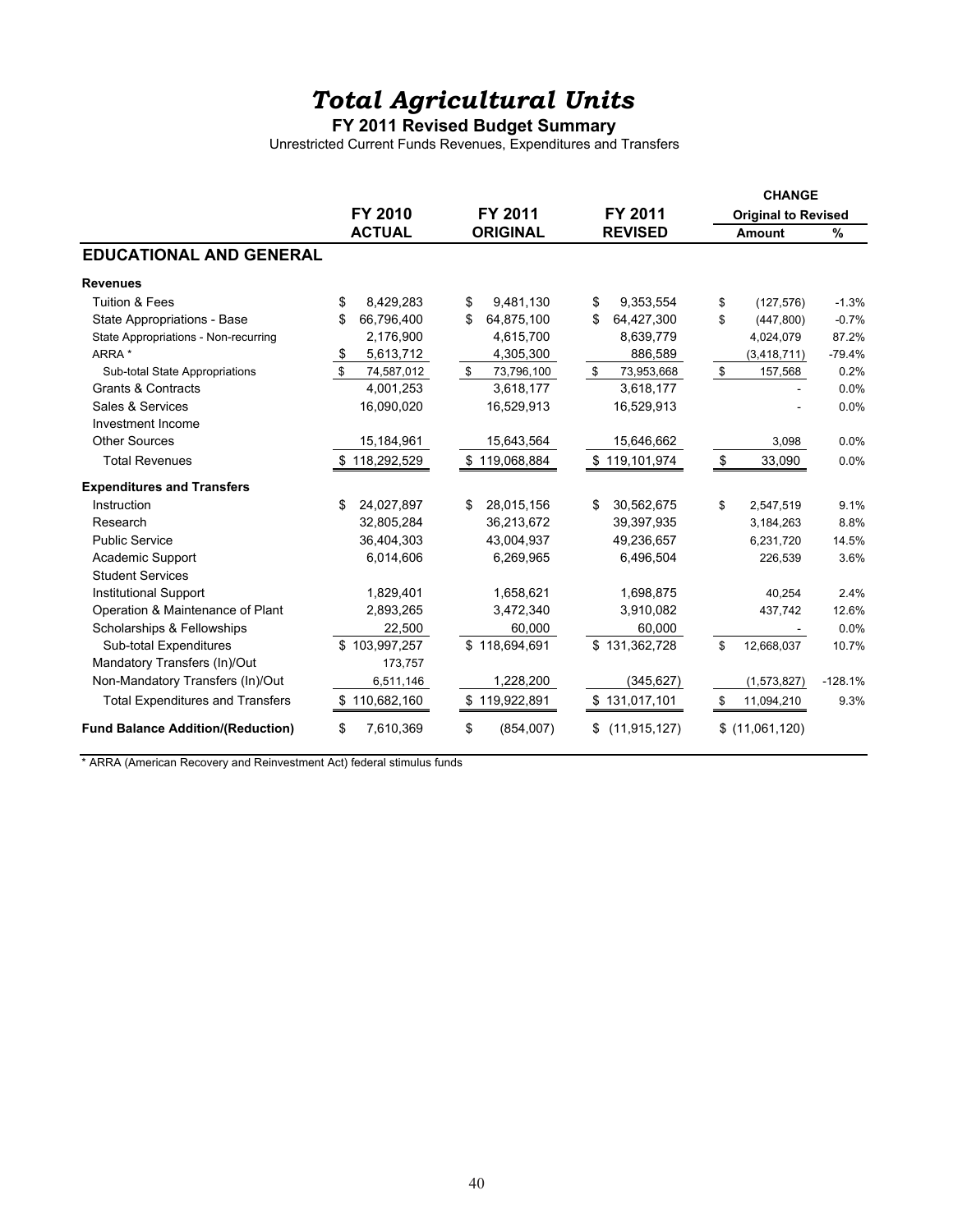## *Total Agricultural Units*

#### **FY 2011 Revised Budget Summary**

Unrestricted Current Funds Revenues, Expenditures and Transfers

|                                          |                  |                  |                  | <b>CHANGE</b>              |           |
|------------------------------------------|------------------|------------------|------------------|----------------------------|-----------|
|                                          | FY 2010          | FY 2011          | FY 2011          | <b>Original to Revised</b> |           |
|                                          | <b>ACTUAL</b>    | <b>ORIGINAL</b>  | <b>REVISED</b>   | <b>Amount</b>              | %         |
| <b>EDUCATIONAL AND GENERAL</b>           |                  |                  |                  |                            |           |
| <b>Revenues</b>                          |                  |                  |                  |                            |           |
| Tuition & Fees                           | \$<br>8,429,283  | 9,481,130<br>\$  | 9,353,554<br>\$  | (127, 576)<br>\$           | $-1.3%$   |
| State Appropriations - Base              | \$<br>66,796,400 | \$<br>64,875,100 | \$<br>64,427,300 | \$<br>(447, 800)           | $-0.7%$   |
| State Appropriations - Non-recurring     | 2,176,900        | 4,615,700        | 8,639,779        | 4,024,079                  | 87.2%     |
| ARRA *                                   | 5,613,712<br>\$  | 4,305,300        | 886,589          | (3,418,711)                | $-79.4%$  |
| Sub-total State Appropriations           | \$<br>74,587,012 | \$<br>73,796,100 | \$<br>73,953,668 | \$<br>157,568              | 0.2%      |
| <b>Grants &amp; Contracts</b>            | 4,001,253        | 3,618,177        | 3,618,177        |                            | 0.0%      |
| Sales & Services                         | 16,090,020       | 16,529,913       | 16,529,913       |                            | 0.0%      |
| Investment Income                        |                  |                  |                  |                            |           |
| <b>Other Sources</b>                     | 15,184,961       | 15,643,564       | 15,646,662       | 3,098                      | 0.0%      |
| <b>Total Revenues</b>                    | \$118,292,529    | \$119,068,884    | \$119,101,974    | \$<br>33,090               | 0.0%      |
| <b>Expenditures and Transfers</b>        |                  |                  |                  |                            |           |
| Instruction                              | \$<br>24,027,897 | 28,015,156<br>\$ | \$<br>30,562,675 | \$<br>2,547,519            | 9.1%      |
| Research                                 | 32,805,284       | 36,213,672       | 39,397,935       | 3,184,263                  | 8.8%      |
| <b>Public Service</b>                    | 36,404,303       | 43,004,937       | 49,236,657       | 6,231,720                  | 14.5%     |
| Academic Support                         | 6,014,606        | 6,269,965        | 6,496,504        | 226,539                    | 3.6%      |
| <b>Student Services</b>                  |                  |                  |                  |                            |           |
| Institutional Support                    | 1,829,401        | 1,658,621        | 1,698,875        | 40.254                     | 2.4%      |
| Operation & Maintenance of Plant         | 2,893,265        | 3,472,340        | 3,910,082        | 437,742                    | 12.6%     |
| Scholarships & Fellowships               | 22,500           | 60,000           | 60,000           |                            | 0.0%      |
| Sub-total Expenditures                   | \$103,997,257    | \$118,694,691    | \$131,362,728    | \$<br>12,668,037           | 10.7%     |
| Mandatory Transfers (In)/Out             | 173,757          |                  |                  |                            |           |
| Non-Mandatory Transfers (In)/Out         | 6,511,146        | 1,228,200        | (345, 627)       | (1,573,827)                | $-128.1%$ |
| <b>Total Expenditures and Transfers</b>  | \$110,682,160    | \$119,922,891    | \$131,017,101    | 11,094,210<br>\$           | 9.3%      |
| <b>Fund Balance Addition/(Reduction)</b> | 7,610,369<br>\$  | \$<br>(854,007)  | \$(11, 915, 127) | \$(11,061,120)             |           |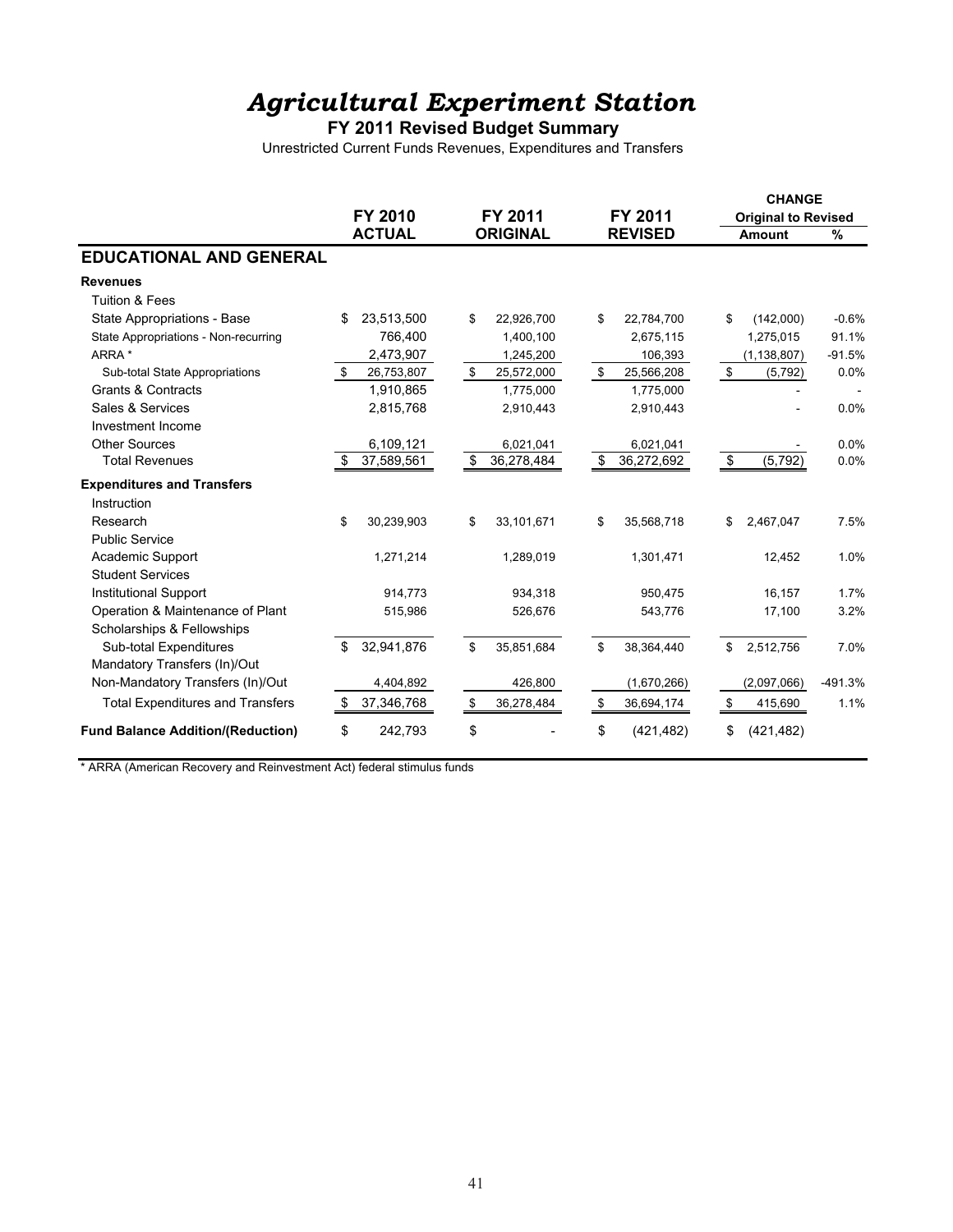## *Agricultural Experiment Station*

**FY 2011 Revised Budget Summary**

Unrestricted Current Funds Revenues, Expenditures and Transfers

|                                          |                  |                  |                  |               | <b>CHANGE</b>              |           |
|------------------------------------------|------------------|------------------|------------------|---------------|----------------------------|-----------|
|                                          | FY 2010          | FY 2011          | FY 2011          |               | <b>Original to Revised</b> |           |
|                                          | <b>ACTUAL</b>    | <b>ORIGINAL</b>  | <b>REVISED</b>   |               | <b>Amount</b>              | %         |
| <b>EDUCATIONAL AND GENERAL</b>           |                  |                  |                  |               |                            |           |
| <b>Revenues</b>                          |                  |                  |                  |               |                            |           |
| <b>Tuition &amp; Fees</b>                |                  |                  |                  |               |                            |           |
| State Appropriations - Base              | \$<br>23,513,500 | \$<br>22,926,700 | \$<br>22,784,700 | \$            | (142,000)                  | $-0.6%$   |
| State Appropriations - Non-recurring     | 766,400          | 1,400,100        | 2,675,115        |               | 1,275,015                  | 91.1%     |
| ARRA *                                   | 2,473,907        | 1,245,200        | 106,393          |               | (1, 138, 807)              | $-91.5%$  |
| Sub-total State Appropriations           | \$<br>26,753,807 | \$<br>25,572,000 | \$<br>25,566,208 | $\mathfrak s$ | (5,792)                    | 0.0%      |
| Grants & Contracts                       | 1,910,865        | 1,775,000        | 1,775,000        |               |                            |           |
| Sales & Services                         | 2,815,768        | 2,910,443        | 2,910,443        |               |                            | 0.0%      |
| Investment Income                        |                  |                  |                  |               |                            |           |
| <b>Other Sources</b>                     | 6,109,121        | 6,021,041        | 6,021,041        |               |                            | 0.0%      |
| <b>Total Revenues</b>                    | \$<br>37,589,561 | \$<br>36,278,484 | \$<br>36,272,692 | \$            | (5, 792)                   | 0.0%      |
| <b>Expenditures and Transfers</b>        |                  |                  |                  |               |                            |           |
| Instruction                              |                  |                  |                  |               |                            |           |
| Research                                 | \$<br>30,239,903 | \$<br>33,101,671 | \$<br>35,568,718 | \$            | 2,467,047                  | 7.5%      |
| <b>Public Service</b>                    |                  |                  |                  |               |                            |           |
| Academic Support                         | 1,271,214        | 1,289,019        | 1,301,471        |               | 12,452                     | 1.0%      |
| <b>Student Services</b>                  |                  |                  |                  |               |                            |           |
| <b>Institutional Support</b>             | 914,773          | 934,318          | 950,475          |               | 16,157                     | 1.7%      |
| Operation & Maintenance of Plant         | 515,986          | 526,676          | 543,776          |               | 17,100                     | 3.2%      |
| Scholarships & Fellowships               |                  |                  |                  |               |                            |           |
| Sub-total Expenditures                   | \$<br>32,941,876 | \$<br>35,851,684 | \$<br>38,364,440 | \$            | 2,512,756                  | 7.0%      |
| Mandatory Transfers (In)/Out             |                  |                  |                  |               |                            |           |
| Non-Mandatory Transfers (In)/Out         | 4,404,892        | 426,800          | (1,670,266)      |               | (2,097,066)                | $-491.3%$ |
| <b>Total Expenditures and Transfers</b>  | \$<br>37,346,768 | \$<br>36,278,484 | \$<br>36,694,174 | \$            | 415,690                    | 1.1%      |
| <b>Fund Balance Addition/(Reduction)</b> | \$<br>242,793    | \$               | \$<br>(421, 482) | \$            | (421, 482)                 |           |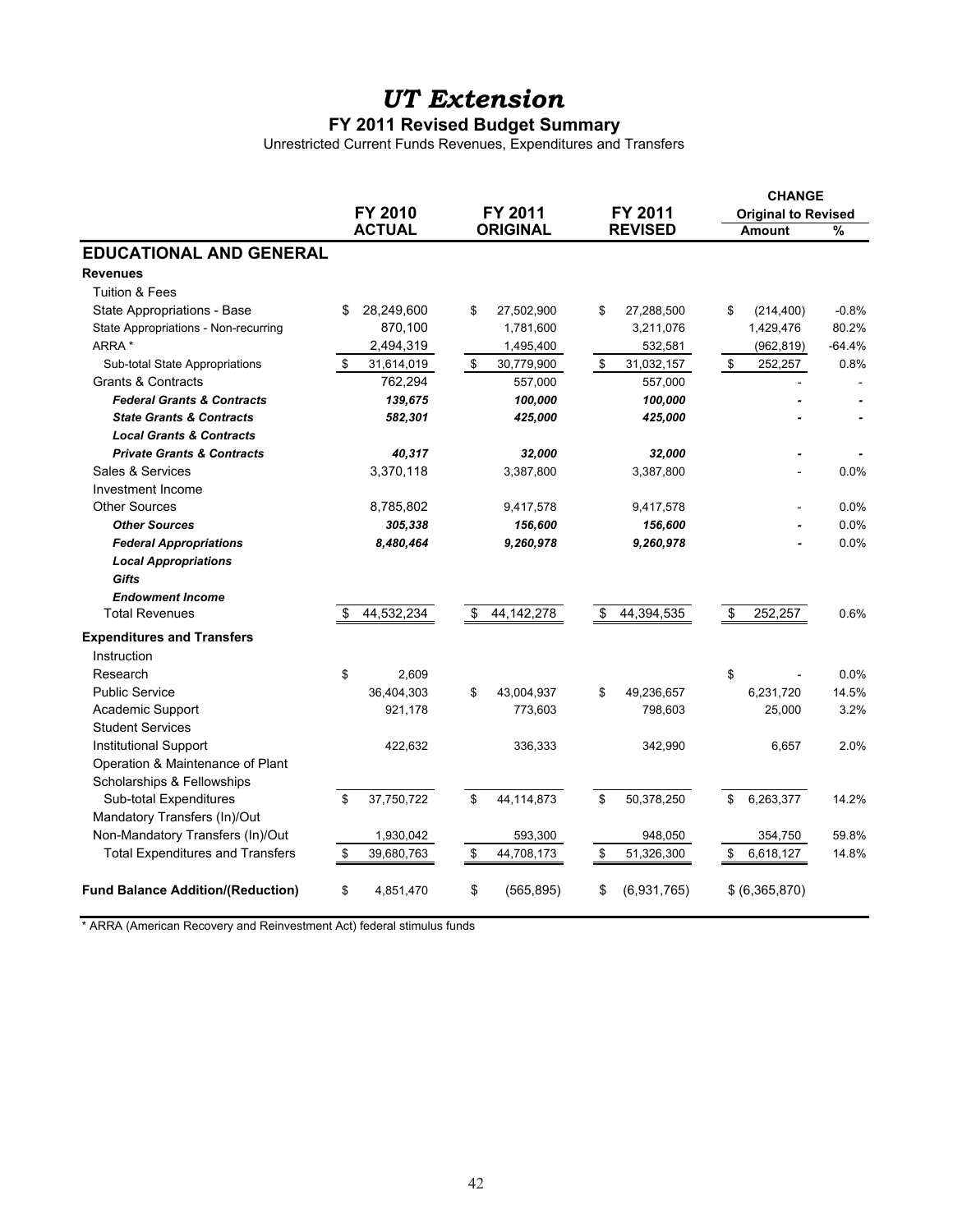## *UT Extension*

**FY 2011 Revised Budget Summary**

Unrestricted Current Funds Revenues, Expenditures and Transfers

|                                          |                  |                               |                   | <b>CHANGE</b>              |          |  |
|------------------------------------------|------------------|-------------------------------|-------------------|----------------------------|----------|--|
|                                          | FY 2010          | FY 2011                       | FY 2011           | <b>Original to Revised</b> |          |  |
|                                          | <b>ACTUAL</b>    | <b>ORIGINAL</b>               | <b>REVISED</b>    | <b>Amount</b>              | %        |  |
| <b>EDUCATIONAL AND GENERAL</b>           |                  |                               |                   |                            |          |  |
| <b>Revenues</b>                          |                  |                               |                   |                            |          |  |
| <b>Tuition &amp; Fees</b>                |                  |                               |                   |                            |          |  |
| State Appropriations - Base              | \$<br>28,249,600 | \$<br>27,502,900              | \$<br>27,288,500  | \$<br>(214, 400)           | $-0.8%$  |  |
| State Appropriations - Non-recurring     | 870,100          | 1,781,600                     | 3,211,076         | 1,429,476                  | 80.2%    |  |
| ARRA *                                   | 2,494,319        | 1,495,400                     | 532,581           | (962, 819)                 | $-64.4%$ |  |
| Sub-total State Appropriations           | 31,614,019<br>\$ | \$<br>30,779,900              | \$<br>31,032,157  | \$<br>252,257              | 0.8%     |  |
| <b>Grants &amp; Contracts</b>            | 762,294          | 557,000                       | 557,000           |                            |          |  |
| <b>Federal Grants &amp; Contracts</b>    | 139,675          | 100,000                       | 100,000           |                            |          |  |
| <b>State Grants &amp; Contracts</b>      | 582,301          | 425,000                       | 425,000           |                            |          |  |
| <b>Local Grants &amp; Contracts</b>      |                  |                               |                   |                            |          |  |
| <b>Private Grants &amp; Contracts</b>    | 40,317           | 32,000                        | 32,000            |                            |          |  |
| Sales & Services                         | 3,370,118        | 3,387,800                     | 3,387,800         |                            | 0.0%     |  |
| Investment Income                        |                  |                               |                   |                            |          |  |
| <b>Other Sources</b>                     | 8,785,802        | 9,417,578                     | 9,417,578         |                            | 0.0%     |  |
| <b>Other Sources</b>                     | 305,338          | 156,600                       | 156,600           |                            | 0.0%     |  |
| <b>Federal Appropriations</b>            | 8,480,464        | 9,260,978                     | 9,260,978         |                            | 0.0%     |  |
| <b>Local Appropriations</b>              |                  |                               |                   |                            |          |  |
| <b>Gifts</b>                             |                  |                               |                   |                            |          |  |
| <b>Endowment Income</b>                  |                  |                               |                   |                            |          |  |
| <b>Total Revenues</b>                    | 44,532,234<br>\$ | $\sqrt[6]{3}$<br>44, 142, 278 | 44,394,535<br>\$  | \$<br>252,257              | 0.6%     |  |
| <b>Expenditures and Transfers</b>        |                  |                               |                   |                            |          |  |
| Instruction                              |                  |                               |                   |                            |          |  |
| Research                                 | \$<br>2.609      |                               |                   | \$                         | 0.0%     |  |
| <b>Public Service</b>                    | 36,404,303       | \$<br>43,004,937              | \$<br>49,236,657  | 6,231,720                  | 14.5%    |  |
| Academic Support                         | 921,178          | 773,603                       | 798,603           | 25,000                     | 3.2%     |  |
| <b>Student Services</b>                  |                  |                               |                   |                            |          |  |
| <b>Institutional Support</b>             | 422,632          | 336,333                       | 342,990           | 6,657                      | 2.0%     |  |
| Operation & Maintenance of Plant         |                  |                               |                   |                            |          |  |
| Scholarships & Fellowships               |                  |                               |                   |                            |          |  |
| Sub-total Expenditures                   | 37,750,722<br>\$ | \$<br>44,114,873              | \$<br>50,378,250  | 6,263,377<br>\$            | 14.2%    |  |
| Mandatory Transfers (In)/Out             |                  |                               |                   |                            |          |  |
| Non-Mandatory Transfers (In)/Out         | 1,930,042        | 593,300                       | 948,050           | 354,750                    | 59.8%    |  |
| <b>Total Expenditures and Transfers</b>  | \$<br>39,680,763 | \$<br>44,708,173              | \$<br>51,326,300  | \$<br>6,618,127            | 14.8%    |  |
|                                          |                  |                               |                   |                            |          |  |
| <b>Fund Balance Addition/(Reduction)</b> | \$<br>4,851,470  | \$<br>(565, 895)              | \$<br>(6,931,765) | \$ (6,365,870)             |          |  |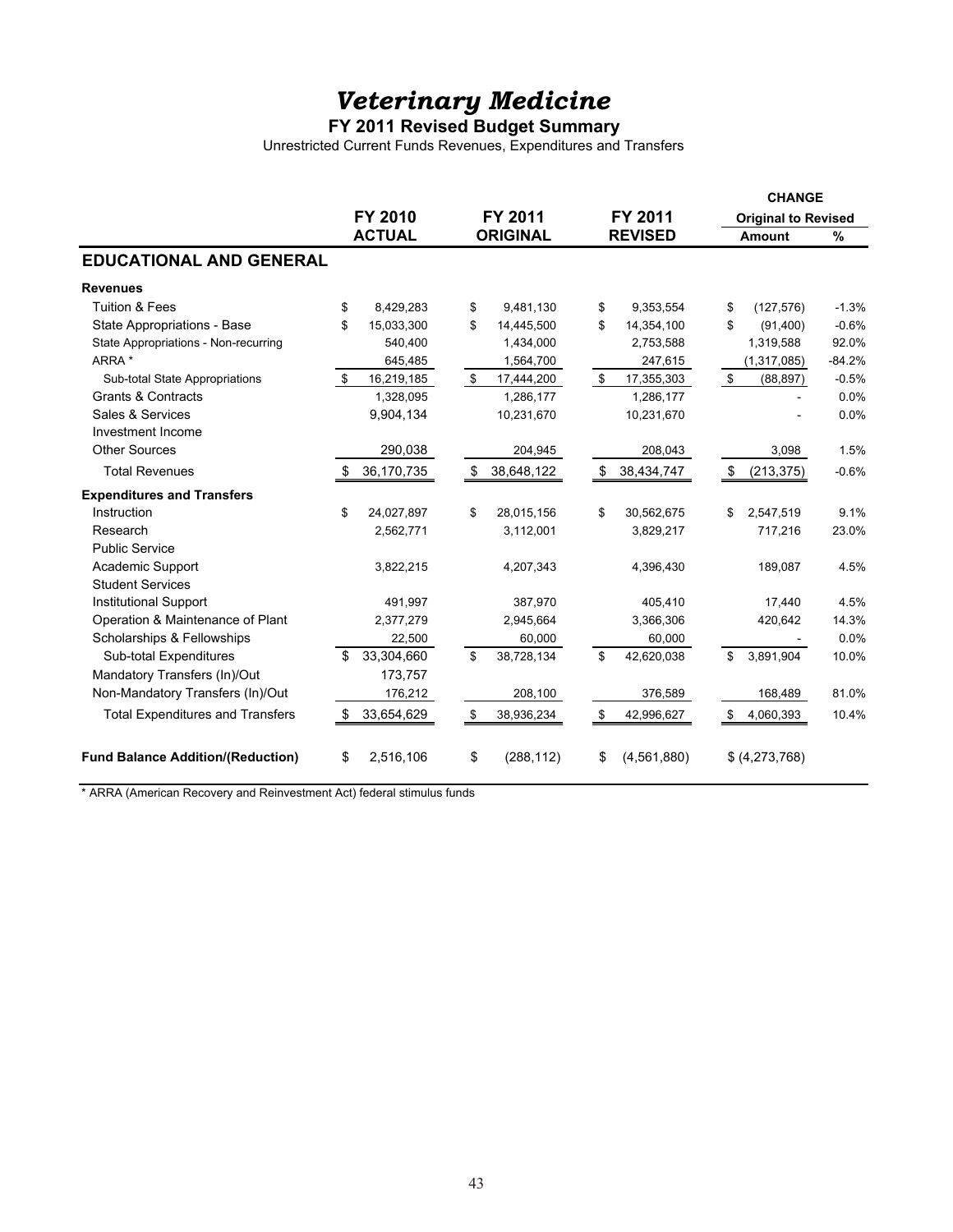## *Veterinary Medicine*

#### **FY 2011 Revised Budget Summary**

Unrestricted Current Funds Revenues, Expenditures and Transfers

|                                          |                    |                    |                     | <b>CHANGE</b>               |  |  |
|------------------------------------------|--------------------|--------------------|---------------------|-----------------------------|--|--|
|                                          | FY 2010            | FY 2011            | FY 2011             | <b>Original to Revised</b>  |  |  |
|                                          | <b>ACTUAL</b>      | <b>ORIGINAL</b>    | <b>REVISED</b>      | %<br>Amount                 |  |  |
| <b>EDUCATIONAL AND GENERAL</b>           |                    |                    |                     |                             |  |  |
| <b>Revenues</b>                          |                    |                    |                     |                             |  |  |
| <b>Tuition &amp; Fees</b>                | \$<br>8,429,283    | 9,481,130<br>\$    | 9,353,554<br>\$     | (127, 576)<br>$-1.3%$<br>\$ |  |  |
| State Appropriations - Base              | 15,033,300<br>\$   | \$<br>14,445,500   | \$<br>14,354,100    | $-0.6%$<br>\$<br>(91, 400)  |  |  |
| State Appropriations - Non-recurring     | 540,400            | 1,434,000          | 2,753,588           | 1,319,588<br>92.0%          |  |  |
| ARRA *                                   | 645,485            | 1,564,700          | 247,615             | $-84.2%$<br>(1, 317, 085)   |  |  |
| Sub-total State Appropriations           | 16,219,185<br>\$   | - \$<br>17,444,200 | \$<br>17,355,303    | \$<br>(88, 897)<br>$-0.5%$  |  |  |
| <b>Grants &amp; Contracts</b>            | 1,328,095          | 1,286,177          | 1,286,177           | 0.0%                        |  |  |
| Sales & Services                         | 9,904,134          | 10,231,670         | 10,231,670          | 0.0%                        |  |  |
| Investment Income                        |                    |                    |                     |                             |  |  |
| <b>Other Sources</b>                     | 290,038            | 204,945            | 208,043             | 3,098<br>1.5%               |  |  |
| <b>Total Revenues</b>                    | 36,170,735<br>- \$ | 38,648,122<br>\$   | 38,434,747<br>\$    | \$<br>(213, 375)<br>$-0.6%$ |  |  |
| <b>Expenditures and Transfers</b>        |                    |                    |                     |                             |  |  |
| Instruction                              | \$<br>24,027,897   | 28,015,156<br>\$   | \$<br>30,562,675    | 2,547,519<br>9.1%<br>\$     |  |  |
| Research                                 | 2,562,771          | 3,112,001          | 3,829,217           | 717,216<br>23.0%            |  |  |
| <b>Public Service</b>                    |                    |                    |                     |                             |  |  |
| Academic Support                         | 3,822,215          | 4,207,343          | 4,396,430           | 189,087<br>4.5%             |  |  |
| <b>Student Services</b>                  |                    |                    |                     |                             |  |  |
| <b>Institutional Support</b>             | 491.997            | 387.970            | 405,410             | 17,440<br>4.5%              |  |  |
| Operation & Maintenance of Plant         | 2,377,279          | 2,945,664          | 3,366,306           | 420,642<br>14.3%            |  |  |
| Scholarships & Fellowships               | 22,500             | 60,000             | 60,000              | 0.0%                        |  |  |
| Sub-total Expenditures                   | 33,304,660<br>\$   | \$<br>38,728,134   | \$<br>42,620,038    | 3,891,904<br>\$<br>10.0%    |  |  |
| Mandatory Transfers (In)/Out             | 173,757            |                    |                     |                             |  |  |
| Non-Mandatory Transfers (In)/Out         | 176,212            | 208,100            | 376,589             | 168,489<br>81.0%            |  |  |
| <b>Total Expenditures and Transfers</b>  | 33,654,629<br>- \$ | \$<br>38,936,234   | \$<br>42,996,627    | 10.4%<br>4,060,393<br>\$    |  |  |
| <b>Fund Balance Addition/(Reduction)</b> | 2,516,106<br>\$    | \$<br>(288, 112)   | (4, 561, 880)<br>\$ | \$ (4,273,768)              |  |  |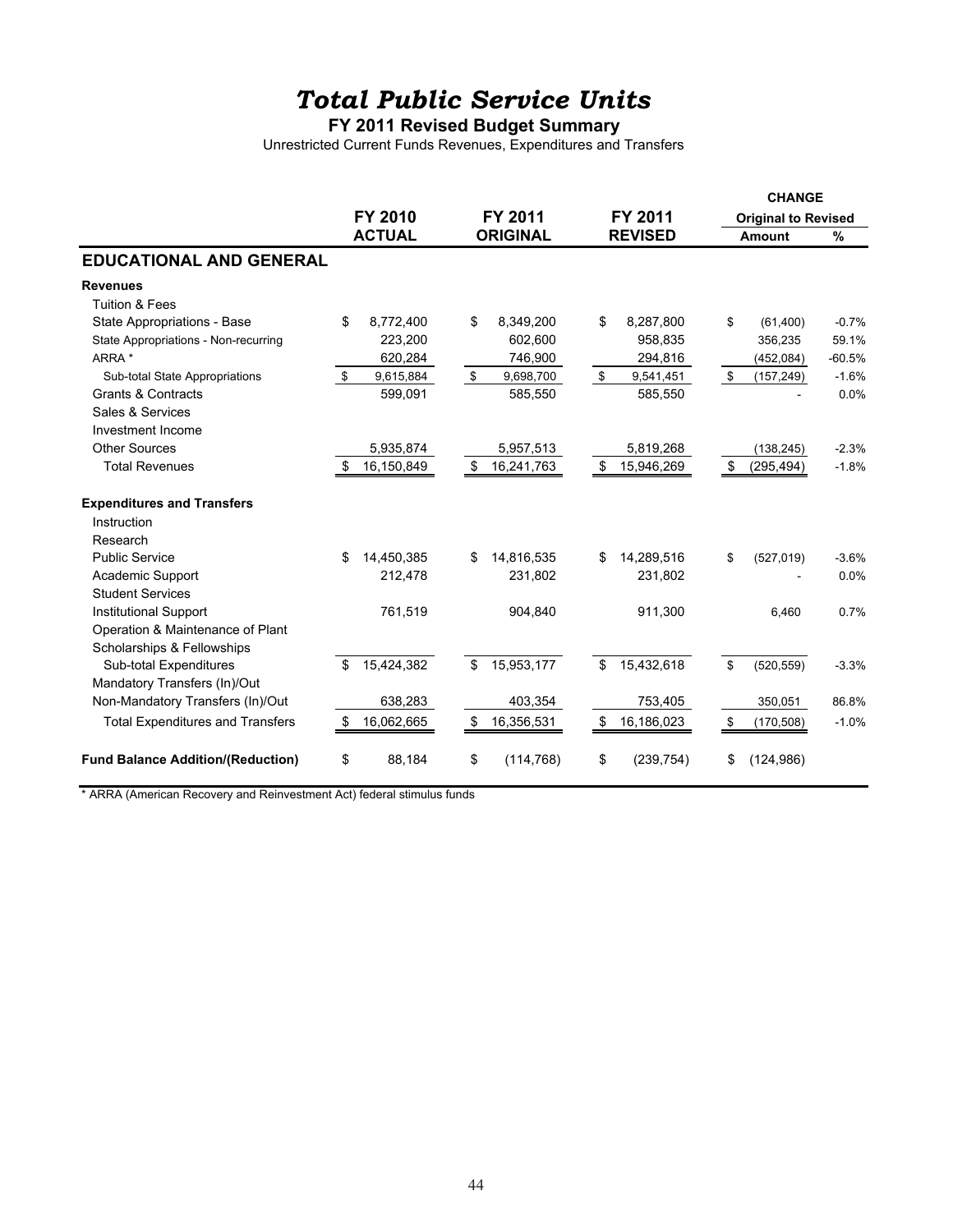## *Total Public Service Units*

#### **FY 2011 Revised Budget Summary**

Unrestricted Current Funds Revenues, Expenditures and Transfers

|                                          |      |                |                  |                  | <b>CHANGE</b>              |          |
|------------------------------------------|------|----------------|------------------|------------------|----------------------------|----------|
|                                          |      | <b>FY 2010</b> | FY 2011          | FY 2011          | <b>Original to Revised</b> |          |
|                                          |      | <b>ACTUAL</b>  | <b>ORIGINAL</b>  | <b>REVISED</b>   | <b>Amount</b>              | %        |
| <b>EDUCATIONAL AND GENERAL</b>           |      |                |                  |                  |                            |          |
| <b>Revenues</b>                          |      |                |                  |                  |                            |          |
| <b>Tuition &amp; Fees</b>                |      |                |                  |                  |                            |          |
| State Appropriations - Base              | \$   | 8,772,400      | \$<br>8,349,200  | \$<br>8,287,800  | \$<br>(61, 400)            | $-0.7%$  |
| State Appropriations - Non-recurring     |      | 223,200        | 602,600          | 958,835          | 356,235                    | 59.1%    |
| ARRA *                                   |      | 620,284        | 746,900          | 294,816          | (452, 084)                 | $-60.5%$ |
| Sub-total State Appropriations           | \$   | 9,615,884      | \$<br>9,698,700  | \$<br>9,541,451  | \$<br>(157, 249)           | $-1.6%$  |
| <b>Grants &amp; Contracts</b>            |      | 599,091        | 585,550          | 585,550          |                            | 0.0%     |
| Sales & Services                         |      |                |                  |                  |                            |          |
| Investment Income                        |      |                |                  |                  |                            |          |
| <b>Other Sources</b>                     |      | 5,935,874      | 5,957,513        | 5,819,268        | (138, 245)                 | $-2.3%$  |
| <b>Total Revenues</b>                    | \$   | 16,150,849     | \$<br>16,241,763 | \$<br>15,946,269 | \$<br>(295, 494)           | $-1.8%$  |
| <b>Expenditures and Transfers</b>        |      |                |                  |                  |                            |          |
| Instruction                              |      |                |                  |                  |                            |          |
| Research                                 |      |                |                  |                  |                            |          |
| <b>Public Service</b>                    | \$   | 14,450,385     | \$<br>14,816,535 | \$<br>14,289,516 | \$<br>(527, 019)           | $-3.6%$  |
| Academic Support                         |      | 212,478        | 231,802          | 231,802          |                            | 0.0%     |
| <b>Student Services</b>                  |      |                |                  |                  |                            |          |
| <b>Institutional Support</b>             |      | 761,519        | 904,840          | 911,300          | 6,460                      | 0.7%     |
| Operation & Maintenance of Plant         |      |                |                  |                  |                            |          |
| Scholarships & Fellowships               |      |                |                  |                  |                            |          |
| Sub-total Expenditures                   | \$   | 15,424,382     | \$<br>15,953,177 | \$<br>15,432,618 | \$<br>(520, 559)           | $-3.3%$  |
| Mandatory Transfers (In)/Out             |      |                |                  |                  |                            |          |
| Non-Mandatory Transfers (In)/Out         |      | 638,283        | 403,354          | 753,405          | 350,051                    | 86.8%    |
| <b>Total Expenditures and Transfers</b>  | - \$ | 16,062,665     | \$<br>16,356,531 | 16,186,023       | \$<br>(170, 508)           | $-1.0%$  |
| <b>Fund Balance Addition/(Reduction)</b> | \$   | 88,184         | \$<br>(114, 768) | \$<br>(239, 754) | \$<br>(124, 986)           |          |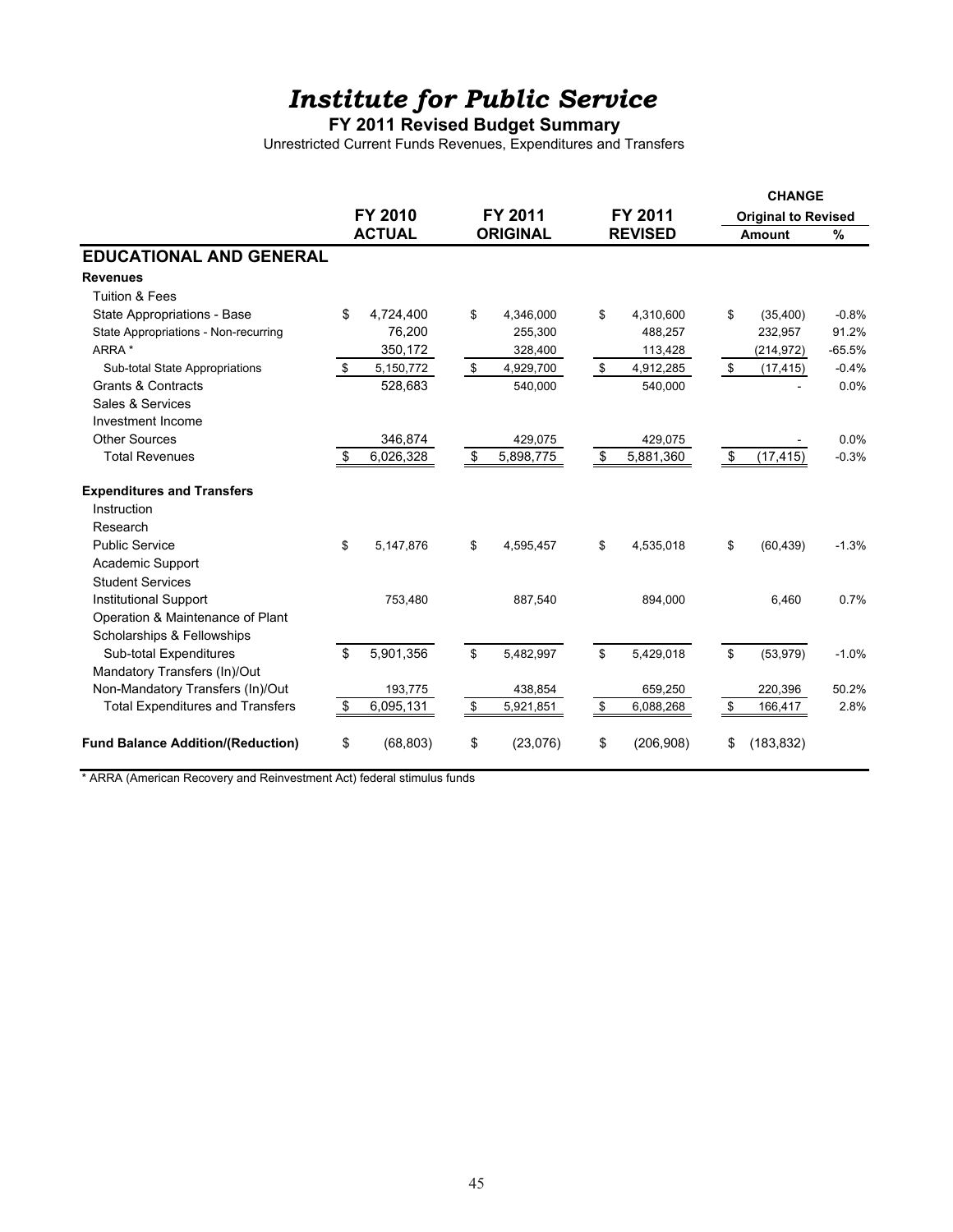## *Institute for Public Service*

#### **FY 2011 Revised Budget Summary**

Unrestricted Current Funds Revenues, Expenditures and Transfers

|                                          |                |               |                 |           |         |                | <b>CHANGE</b>              |               |          |
|------------------------------------------|----------------|---------------|-----------------|-----------|---------|----------------|----------------------------|---------------|----------|
|                                          | FY 2010        |               | FY 2011         |           | FY 2011 |                | <b>Original to Revised</b> |               |          |
|                                          |                | <b>ACTUAL</b> | <b>ORIGINAL</b> |           |         | <b>REVISED</b> |                            | <b>Amount</b> |          |
| <b>EDUCATIONAL AND GENERAL</b>           |                |               |                 |           |         |                |                            |               |          |
| <b>Revenues</b>                          |                |               |                 |           |         |                |                            |               |          |
| <b>Tuition &amp; Fees</b>                |                |               |                 |           |         |                |                            |               |          |
| State Appropriations - Base              | \$             | 4,724,400     | \$              | 4,346,000 | \$      | 4,310,600      | \$                         | (35, 400)     | $-0.8%$  |
| State Appropriations - Non-recurring     |                | 76,200        |                 | 255,300   |         | 488,257        |                            | 232,957       | 91.2%    |
| ARRA *                                   |                | 350,172       |                 | 328,400   |         | 113,428        |                            | (214, 972)    | $-65.5%$ |
| Sub-total State Appropriations           | \$             | 5,150,772     | \$              | 4,929,700 | \$      | 4,912,285      | \$                         | (17, 415)     | $-0.4%$  |
| <b>Grants &amp; Contracts</b>            |                | 528,683       |                 | 540,000   |         | 540,000        |                            |               | 0.0%     |
| Sales & Services                         |                |               |                 |           |         |                |                            |               |          |
| Investment Income                        |                |               |                 |           |         |                |                            |               |          |
| <b>Other Sources</b>                     |                | 346,874       |                 | 429,075   |         | 429,075        |                            |               | 0.0%     |
| <b>Total Revenues</b>                    | \$             | 6,026,328     | \$              | 5,898,775 | \$      | 5,881,360      | \$                         | (17, 415)     | $-0.3%$  |
| <b>Expenditures and Transfers</b>        |                |               |                 |           |         |                |                            |               |          |
| Instruction                              |                |               |                 |           |         |                |                            |               |          |
| Research                                 |                |               |                 |           |         |                |                            |               |          |
| <b>Public Service</b>                    | \$             | 5,147,876     | \$              | 4,595,457 | \$      | 4,535,018      | \$                         | (60, 439)     | $-1.3%$  |
| Academic Support                         |                |               |                 |           |         |                |                            |               |          |
| <b>Student Services</b>                  |                |               |                 |           |         |                |                            |               |          |
| <b>Institutional Support</b>             |                | 753,480       |                 | 887,540   |         | 894,000        |                            | 6,460         | 0.7%     |
| Operation & Maintenance of Plant         |                |               |                 |           |         |                |                            |               |          |
| Scholarships & Fellowships               |                |               |                 |           |         |                |                            |               |          |
| Sub-total Expenditures                   | $\mathfrak{S}$ | 5,901,356     | \$              | 5,482,997 | \$      | 5,429,018      | \$                         | (53, 979)     | $-1.0%$  |
| Mandatory Transfers (In)/Out             |                |               |                 |           |         |                |                            |               |          |
| Non-Mandatory Transfers (In)/Out         |                | 193,775       |                 | 438,854   |         | 659,250        |                            | 220,396       | 50.2%    |
| <b>Total Expenditures and Transfers</b>  | \$             | 6,095,131     | \$              | 5,921,851 | \$      | 6,088,268      | \$                         | 166,417       | 2.8%     |
| <b>Fund Balance Addition/(Reduction)</b> | \$             | (68, 803)     | \$              | (23,076)  | \$      | (206, 908)     | \$                         | (183, 832)    |          |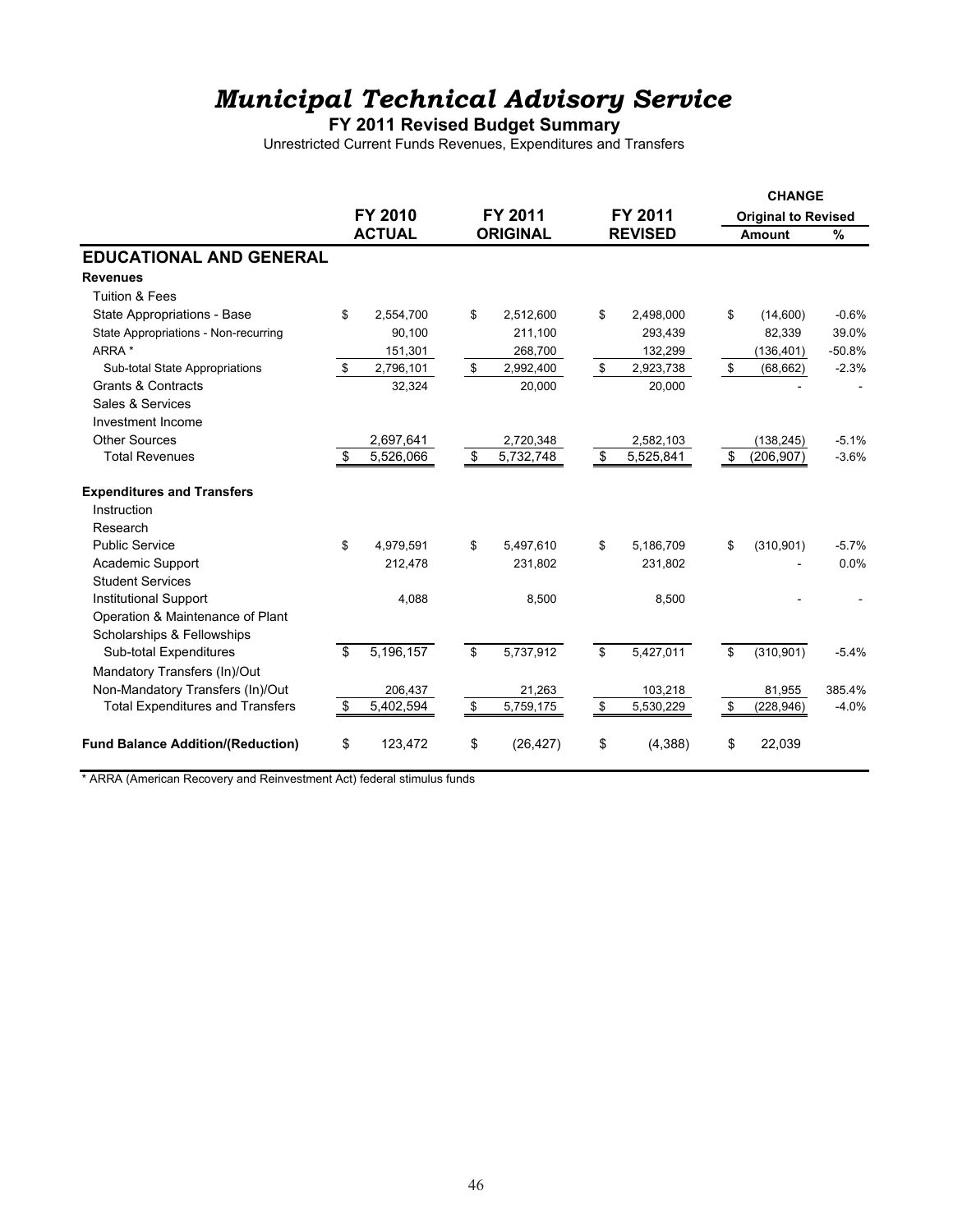# *Municipal Technical Advisory Service*

**FY 2011 Revised Budget Summary**

Unrestricted Current Funds Revenues, Expenditures and Transfers

|                                          |         |               |    |                            |    |                           |    | <b>CHANGE</b>              |          |  |
|------------------------------------------|---------|---------------|----|----------------------------|----|---------------------------|----|----------------------------|----------|--|
|                                          | FY 2010 |               |    | FY 2011<br><b>ORIGINAL</b> |    | FY 2011<br><b>REVISED</b> |    | <b>Original to Revised</b> |          |  |
|                                          |         | <b>ACTUAL</b> |    |                            |    |                           |    | <b>Amount</b>              |          |  |
| <b>EDUCATIONAL AND GENERAL</b>           |         |               |    |                            |    |                           |    |                            |          |  |
| <b>Revenues</b>                          |         |               |    |                            |    |                           |    |                            |          |  |
| <b>Tuition &amp; Fees</b>                |         |               |    |                            |    |                           |    |                            |          |  |
| State Appropriations - Base              | \$      | 2,554,700     | \$ | 2,512,600                  | \$ | 2,498,000                 | \$ | (14,600)                   | $-0.6%$  |  |
| State Appropriations - Non-recurring     |         | 90,100        |    | 211,100                    |    | 293,439                   |    | 82,339                     | 39.0%    |  |
| ARRA *                                   |         | 151,301       |    | 268,700                    |    | 132,299                   |    | (136, 401)                 | $-50.8%$ |  |
| Sub-total State Appropriations           | \$      | 2,796,101     | \$ | 2,992,400                  | \$ | 2,923,738                 | \$ | (68, 662)                  | $-2.3%$  |  |
| <b>Grants &amp; Contracts</b>            |         | 32,324        |    | 20,000                     |    | 20,000                    |    |                            |          |  |
| Sales & Services                         |         |               |    |                            |    |                           |    |                            |          |  |
| Investment Income                        |         |               |    |                            |    |                           |    |                            |          |  |
| <b>Other Sources</b>                     |         | 2,697,641     |    | 2,720,348                  |    | 2,582,103                 |    | (138, 245)                 | $-5.1%$  |  |
| <b>Total Revenues</b>                    | \$      | 5,526,066     | \$ | 5,732,748                  | \$ | 5,525,841                 | \$ | (206, 907)                 | $-3.6%$  |  |
| <b>Expenditures and Transfers</b>        |         |               |    |                            |    |                           |    |                            |          |  |
| Instruction                              |         |               |    |                            |    |                           |    |                            |          |  |
| Research                                 |         |               |    |                            |    |                           |    |                            |          |  |
| <b>Public Service</b>                    | \$      | 4,979,591     | \$ | 5,497,610                  | \$ | 5,186,709                 | \$ | (310, 901)                 | $-5.7%$  |  |
| Academic Support                         |         | 212,478       |    | 231,802                    |    | 231,802                   |    |                            | 0.0%     |  |
| <b>Student Services</b>                  |         |               |    |                            |    |                           |    |                            |          |  |
| <b>Institutional Support</b>             |         | 4,088         |    | 8,500                      |    | 8,500                     |    |                            |          |  |
| Operation & Maintenance of Plant         |         |               |    |                            |    |                           |    |                            |          |  |
| Scholarships & Fellowships               |         |               |    |                            |    |                           |    |                            |          |  |
| <b>Sub-total Expenditures</b>            | \$      | 5,196,157     | \$ | 5,737,912                  | \$ | 5,427,011                 | \$ | (310, 901)                 | $-5.4%$  |  |
| Mandatory Transfers (In)/Out             |         |               |    |                            |    |                           |    |                            |          |  |
| Non-Mandatory Transfers (In)/Out         |         | 206,437       |    | 21,263                     |    | 103,218                   |    | 81,955                     | 385.4%   |  |
| <b>Total Expenditures and Transfers</b>  | \$      | 5,402,594     | \$ | 5,759,175                  | \$ | 5,530,229                 | \$ | (228, 946)                 | $-4.0%$  |  |
| <b>Fund Balance Addition/(Reduction)</b> | \$      | 123,472       | \$ | (26, 427)                  | \$ | (4,388)                   | \$ | 22,039                     |          |  |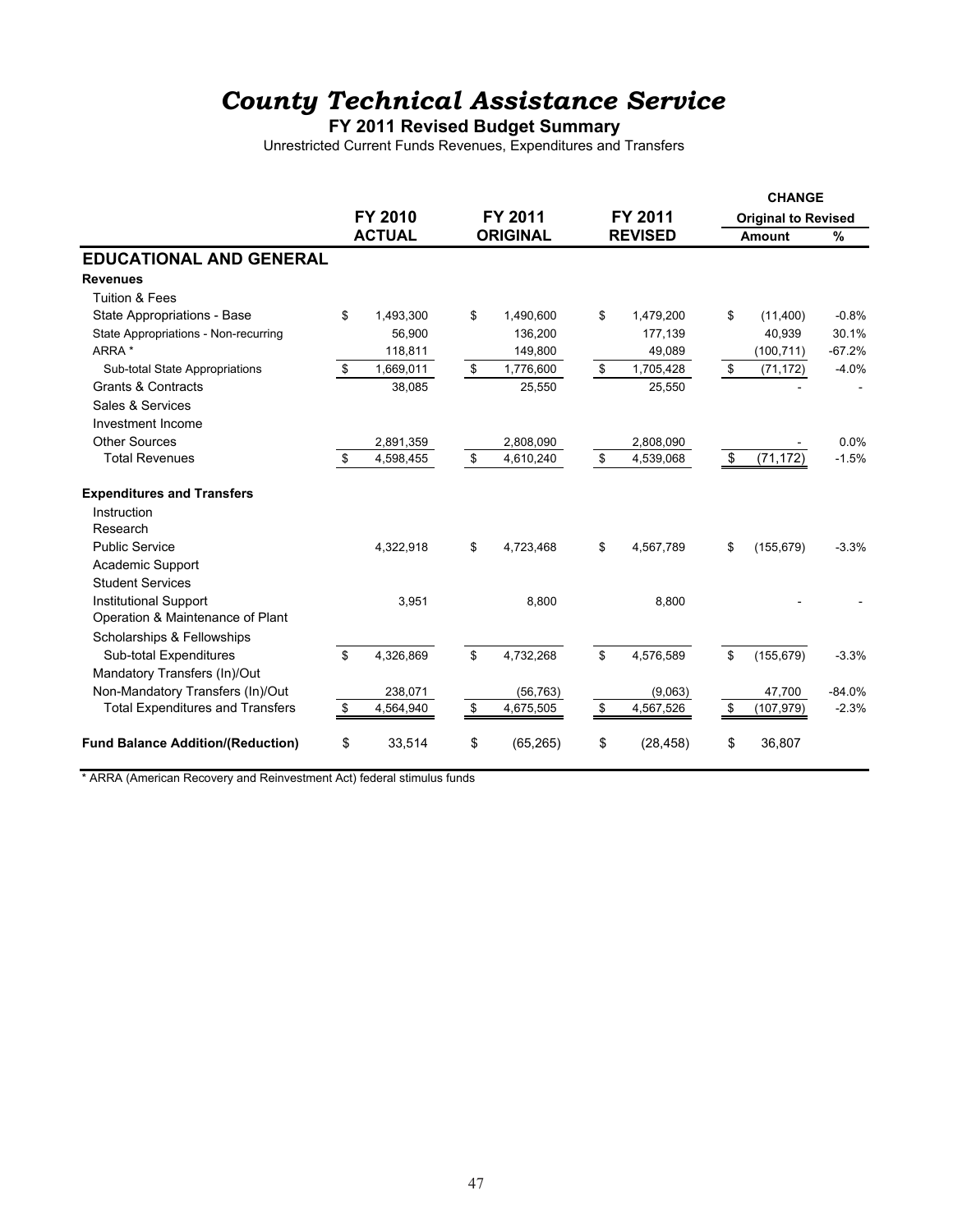## *County Technical Assistance Service*

**FY 2011 Revised Budget Summary**

Unrestricted Current Funds Revenues, Expenditures and Transfers

|                                          |                                 |           |                            |           |                           |           |                            | <b>CHANGE</b> |          |  |
|------------------------------------------|---------------------------------|-----------|----------------------------|-----------|---------------------------|-----------|----------------------------|---------------|----------|--|
|                                          | <b>FY 2010</b><br><b>ACTUAL</b> |           | FY 2011<br><b>ORIGINAL</b> |           | FY 2011<br><b>REVISED</b> |           | <b>Original to Revised</b> |               |          |  |
|                                          |                                 |           |                            |           |                           |           | <b>Amount</b>              |               | $\%$     |  |
| <b>EDUCATIONAL AND GENERAL</b>           |                                 |           |                            |           |                           |           |                            |               |          |  |
| <b>Revenues</b>                          |                                 |           |                            |           |                           |           |                            |               |          |  |
| <b>Tuition &amp; Fees</b>                |                                 |           |                            |           |                           |           |                            |               |          |  |
| State Appropriations - Base              | \$                              | 1,493,300 | \$                         | 1,490,600 | \$                        | 1,479,200 | \$                         | (11,400)      | $-0.8%$  |  |
| State Appropriations - Non-recurring     |                                 | 56,900    |                            | 136,200   |                           | 177,139   |                            | 40,939        | 30.1%    |  |
| ARRA *                                   |                                 | 118,811   |                            | 149,800   |                           | 49,089    |                            | (100, 711)    | $-67.2%$ |  |
| Sub-total State Appropriations           | \$                              | 1,669,011 | $\mathfrak s$              | 1,776,600 | \$                        | 1,705,428 | \$                         | (71, 172)     | $-4.0%$  |  |
| <b>Grants &amp; Contracts</b>            |                                 | 38,085    |                            | 25,550    |                           | 25,550    |                            |               |          |  |
| Sales & Services                         |                                 |           |                            |           |                           |           |                            |               |          |  |
| Investment Income                        |                                 |           |                            |           |                           |           |                            |               |          |  |
| <b>Other Sources</b>                     |                                 | 2,891,359 |                            | 2,808,090 |                           | 2,808,090 |                            |               | 0.0%     |  |
| <b>Total Revenues</b>                    | \$                              | 4,598,455 | $\mathfrak s$              | 4,610,240 | \$                        | 4,539,068 | \$                         | (71, 172)     | $-1.5%$  |  |
| <b>Expenditures and Transfers</b>        |                                 |           |                            |           |                           |           |                            |               |          |  |
| Instruction                              |                                 |           |                            |           |                           |           |                            |               |          |  |
| Research                                 |                                 |           |                            |           |                           |           |                            |               |          |  |
| <b>Public Service</b>                    |                                 | 4,322,918 | \$                         | 4,723,468 | \$                        | 4,567,789 | \$                         | (155, 679)    | $-3.3%$  |  |
| Academic Support                         |                                 |           |                            |           |                           |           |                            |               |          |  |
| <b>Student Services</b>                  |                                 |           |                            |           |                           |           |                            |               |          |  |
| <b>Institutional Support</b>             |                                 | 3,951     |                            | 8,800     |                           | 8,800     |                            |               |          |  |
| Operation & Maintenance of Plant         |                                 |           |                            |           |                           |           |                            |               |          |  |
| Scholarships & Fellowships               |                                 |           |                            |           |                           |           |                            |               |          |  |
| Sub-total Expenditures                   | \$                              | 4,326,869 | \$                         | 4,732,268 | \$                        | 4,576,589 | \$                         | (155, 679)    | $-3.3%$  |  |
| Mandatory Transfers (In)/Out             |                                 |           |                            |           |                           |           |                            |               |          |  |
| Non-Mandatory Transfers (In)/Out         |                                 | 238,071   |                            | (56, 763) |                           | (9,063)   |                            | 47,700        | $-84.0%$ |  |
| <b>Total Expenditures and Transfers</b>  | \$                              | 4,564,940 | \$                         | 4,675,505 | \$                        | 4,567,526 | \$                         | (107,979)     | $-2.3%$  |  |
| <b>Fund Balance Addition/(Reduction)</b> | \$                              | 33,514    | \$                         | (65, 265) | \$                        | (28, 458) | \$                         | 36,807        |          |  |